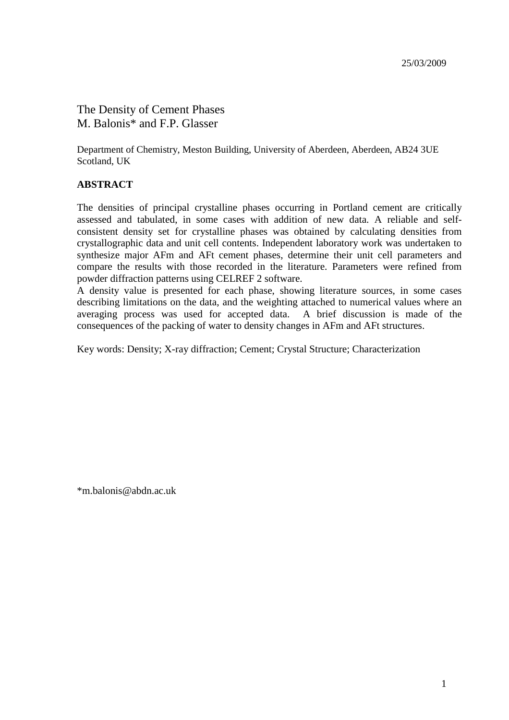The Density of Cement Phases M. Balonis\* and F.P. Glasser

Department of Chemistry, Meston Building, University of Aberdeen, Aberdeen, AB24 3UE Scotland, UK

## **ABSTRACT**

The densities of principal crystalline phases occurring in Portland cement are critically assessed and tabulated, in some cases with addition of new data. A reliable and selfconsistent density set for crystalline phases was obtained by calculating densities from crystallographic data and unit cell contents. Independent laboratory work was undertaken to synthesize major AFm and AFt cement phases, determine their unit cell parameters and compare the results with those recorded in the literature. Parameters were refined from powder diffraction patterns using CELREF 2 software.

A density value is presented for each phase, showing literature sources, in some cases describing limitations on the data, and the weighting attached to numerical values where an averaging process was used for accepted data. A brief discussion is made of the consequences of the packing of water to density changes in AFm and AFt structures.

Key words: Density; X-ray diffraction; Cement; Crystal Structure; Characterization

\*m.balonis@abdn.ac.uk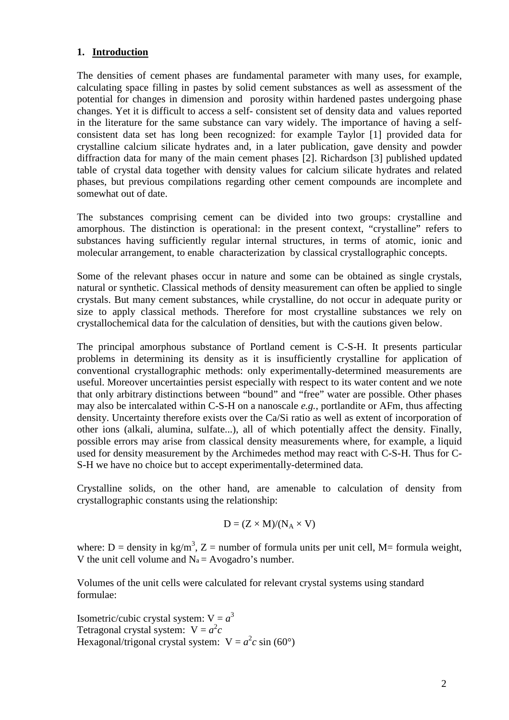#### **1. Introduction**

The densities of cement phases are fundamental parameter with many uses, for example, calculating space filling in pastes by solid cement substances as well as assessment of the potential for changes in dimension and porosity within hardened pastes undergoing phase changes. Yet it is difficult to access a self- consistent set of density data and values reported in the literature for the same substance can vary widely. The importance of having a selfconsistent data set has long been recognized: for example Taylor [1] provided data for crystalline calcium silicate hydrates and, in a later publication, gave density and powder diffraction data for many of the main cement phases [2]. Richardson [3] published updated table of crystal data together with density values for calcium silicate hydrates and related phases, but previous compilations regarding other cement compounds are incomplete and somewhat out of date.

The substances comprising cement can be divided into two groups: crystalline and amorphous. The distinction is operational: in the present context, "crystalline" refers to substances having sufficiently regular internal structures, in terms of atomic, ionic and molecular arrangement, to enable characterization by classical crystallographic concepts.

Some of the relevant phases occur in nature and some can be obtained as single crystals, natural or synthetic. Classical methods of density measurement can often be applied to single crystals. But many cement substances, while crystalline, do not occur in adequate purity or size to apply classical methods. Therefore for most crystalline substances we rely on crystallochemical data for the calculation of densities, but with the cautions given below.

The principal amorphous substance of Portland cement is C-S-H. It presents particular problems in determining its density as it is insufficiently crystalline for application of conventional crystallographic methods: only experimentally-determined measurements are useful. Moreover uncertainties persist especially with respect to its water content and we note that only arbitrary distinctions between "bound" and "free" water are possible. Other phases may also be intercalated within C-S-H on a nanoscale *e.g.*, portlandite or AFm, thus affecting density. Uncertainty therefore exists over the Ca/Si ratio as well as extent of incorporation of other ions (alkali, alumina, sulfate...), all of which potentially affect the density. Finally, possible errors may arise from classical density measurements where, for example, a liquid used for density measurement by the Archimedes method may react with C-S-H. Thus for C-S-H we have no choice but to accept experimentally-determined data.

Crystalline solids, on the other hand, are amenable to calculation of density from crystallographic constants using the relationship:

$$
D = (Z \times M)/(N_A \times V)
$$

where: D = density in kg/m<sup>3</sup>, Z = number of formula units per unit cell, M= formula weight, V the unit cell volume and  $N_a = Avogadro's number$ .

Volumes of the unit cells were calculated for relevant crystal systems using standard formulae:

Isometric/cubic crystal system:  $V = a^3$ Tetragonal crystal system:  $V = a^2c$ Hexagonal/trigonal crystal system:  $V = a^2c \sin(60^\circ)$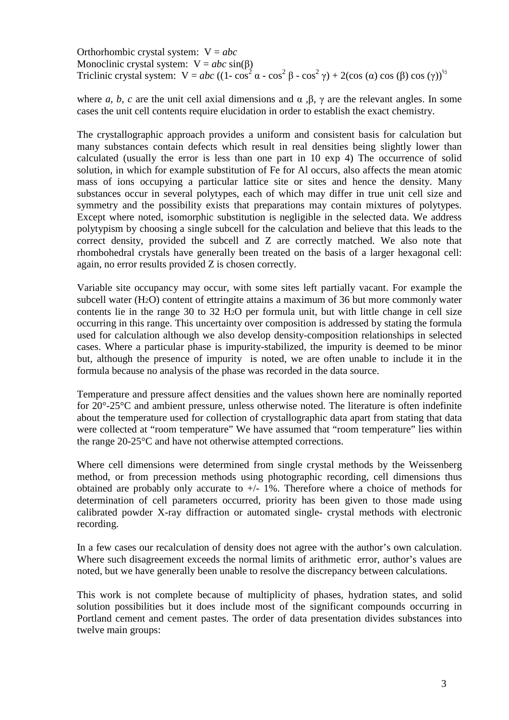Orthorhombic crystal system: V = *abc*  Monoclinic crystal system:  $V = abc \sin(\beta)$ Triclinic crystal system:  $V = abc ((1 - cos^2 \alpha - cos^2 \beta - cos^2 \gamma) + 2(cos (\alpha) cos (\beta) cos (\gamma))^{1/2}$ 

where *a, b, c* are the unit cell axial dimensions and  $\alpha$ ,  $\beta$ ,  $\gamma$  are the relevant angles. In some cases the unit cell contents require elucidation in order to establish the exact chemistry.

The crystallographic approach provides a uniform and consistent basis for calculation but many substances contain defects which result in real densities being slightly lower than calculated (usually the error is less than one part in 10 exp 4) The occurrence of solid solution, in which for example substitution of Fe for Al occurs, also affects the mean atomic mass of ions occupying a particular lattice site or sites and hence the density. Many substances occur in several polytypes, each of which may differ in true unit cell size and symmetry and the possibility exists that preparations may contain mixtures of polytypes. Except where noted, isomorphic substitution is negligible in the selected data. We address polytypism by choosing a single subcell for the calculation and believe that this leads to the correct density, provided the subcell and Z are correctly matched. We also note that rhombohedral crystals have generally been treated on the basis of a larger hexagonal cell: again, no error results provided Z is chosen correctly.

Variable site occupancy may occur, with some sites left partially vacant. For example the subcell water (H2O) content of ettringite attains a maximum of 36 but more commonly water contents lie in the range 30 to 32 H2O per formula unit, but with little change in cell size occurring in this range. This uncertainty over composition is addressed by stating the formula used for calculation although we also develop density-composition relationships in selected cases. Where a particular phase is impurity-stabilized, the impurity is deemed to be minor but, although the presence of impurity is noted, we are often unable to include it in the formula because no analysis of the phase was recorded in the data source.

Temperature and pressure affect densities and the values shown here are nominally reported for 20°-25°C and ambient pressure, unless otherwise noted. The literature is often indefinite about the temperature used for collection of crystallographic data apart from stating that data were collected at "room temperature" We have assumed that "room temperature" lies within the range 20-25°C and have not otherwise attempted corrections.

Where cell dimensions were determined from single crystal methods by the Weissenberg method, or from precession methods using photographic recording, cell dimensions thus obtained are probably only accurate to  $+/- 1\%$ . Therefore where a choice of methods for determination of cell parameters occurred, priority has been given to those made using calibrated powder X-ray diffraction or automated single- crystal methods with electronic recording.

In a few cases our recalculation of density does not agree with the author's own calculation. Where such disagreement exceeds the normal limits of arithmetic error, author's values are noted, but we have generally been unable to resolve the discrepancy between calculations.

This work is not complete because of multiplicity of phases, hydration states, and solid solution possibilities but it does include most of the significant compounds occurring in Portland cement and cement pastes. The order of data presentation divides substances into twelve main groups: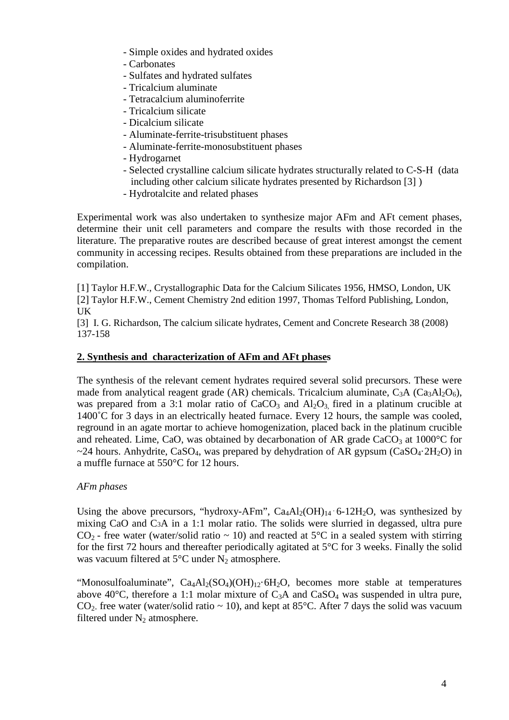- Simple oxides and hydrated oxides
- Carbonates
- Sulfates and hydrated sulfates
- Tricalcium aluminate
- Tetracalcium aluminoferrite
- Tricalcium silicate
- Dicalcium silicate
- Aluminate-ferrite-trisubstituent phases
- Aluminate-ferrite-monosubstituent phases
- Hydrogarnet
- Selected crystalline calcium silicate hydrates structurally related to C-S-H (data including other calcium silicate hydrates presented by Richardson [3] )
- Hydrotalcite and related phases

Experimental work was also undertaken to synthesize major AFm and AFt cement phases, determine their unit cell parameters and compare the results with those recorded in the literature. The preparative routes are described because of great interest amongst the cement community in accessing recipes. Results obtained from these preparations are included in the compilation.

[1] Taylor H.F.W., Crystallographic Data for the Calcium Silicates 1956, HMSO, London, UK [2] Taylor H.F.W., Cement Chemistry 2nd edition 1997, Thomas Telford Publishing, London, UK

[3] I. G. Richardson, The calcium silicate hydrates, Cement and Concrete Research 38 (2008) 137-158

#### **2. Synthesis and characterization of AFm and AFt phases**

The synthesis of the relevant cement hydrates required several solid precursors. These were made from analytical reagent grade (AR) chemicals. Tricalcium aluminate,  $C_3A$  ( $C_{43}Al_2O_6$ ), was prepared from a 3:1 molar ratio of  $CaCO<sub>3</sub>$  and  $Al<sub>2</sub>O<sub>3</sub>$  fired in a platinum crucible at 1400°C for 3 days in an electrically heated furnace. Every 12 hours, the sample was cooled, reground in an agate mortar to achieve homogenization, placed back in the platinum crucible and reheated. Lime, CaO, was obtained by decarbonation of AR grade  $CaCO<sub>3</sub>$  at 1000 $^{\circ}$ C for  $\sim$ 24 hours. Anhydrite, CaSO<sub>4</sub>, was prepared by dehydration of AR gypsum (CaSO<sub>4</sub>·2H<sub>2</sub>O) in a muffle furnace at 550°C for 12 hours.

### *AFm phases*

Using the above precursors, "hydroxy-AFm",  $Ca_4Al_2(OH)_{14}$  6-12H<sub>2</sub>O, was synthesized by mixing CaO and C3A in a 1:1 molar ratio. The solids were slurried in degassed, ultra pure  $CO<sub>2</sub>$  - free water (water/solid ratio ~ 10) and reacted at 5°C in a sealed system with stirring for the first 72 hours and thereafter periodically agitated at 5°C for 3 weeks. Finally the solid was vacuum filtered at  $5^{\circ}$ C under N<sub>2</sub> atmosphere.

"Monosulfoaluminate",  $Ca_4Al_2(SO_4)(OH)_{12}·6H_2O$ , becomes more stable at temperatures above 40 $^{\circ}$ C, therefore a 1:1 molar mixture of C<sub>3</sub>A and CaSO<sub>4</sub> was suspended in ultra pure,  $CO<sub>2</sub>$  free water (water/solid ratio ~ 10), and kept at 85°C. After 7 days the solid was vacuum filtered under  $N_2$  atmosphere.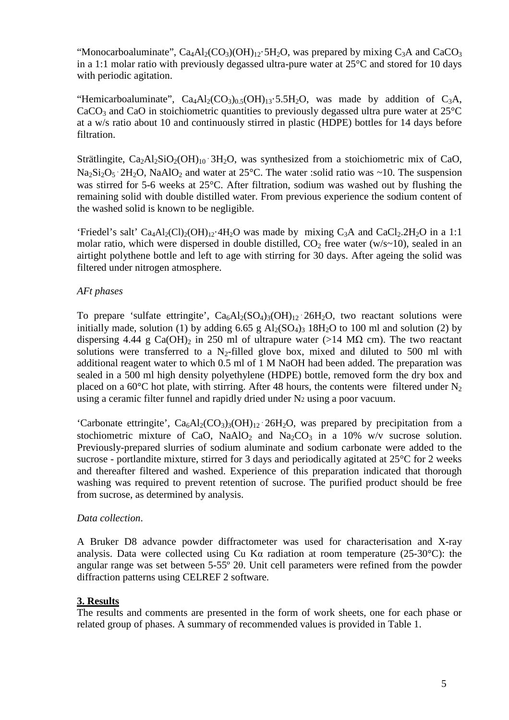"Monocarboaluminate",  $Ca_4Al_2(CO_3)(OH)_{12} \cdot 5H_2O$ , was prepared by mixing  $C_3A$  and  $CaCO_3$ in a 1:1 molar ratio with previously degassed ultra-pure water at 25°C and stored for 10 days with periodic agitation.

"Hemicarboaluminate",  $Ca_4Al_2(CO_3)_0$ <sub>5</sub>(OH)<sub>13</sub>·5.5H<sub>2</sub>O, was made by addition of C<sub>3</sub>A,  $CaCO<sub>3</sub>$  and CaO in stoichiometric quantities to previously degassed ultra pure water at 25 $\degree$ C at a w/s ratio about 10 and continuously stirred in plastic (HDPE) bottles for 14 days before filtration.

Strätlingite,  $Ca<sub>2</sub>Al<sub>2</sub>SiO<sub>2</sub>(OH)<sub>10</sub>·3H<sub>2</sub>O$ , was synthesized from a stoichiometric mix of CaO,  $Na<sub>2</sub>Si<sub>2</sub>O<sub>5</sub>·2H<sub>2</sub>O$ , NaAlO<sub>2</sub> and water at 25°C. The water :solid ratio was ~10. The suspension was stirred for 5-6 weeks at 25°C. After filtration, sodium was washed out by flushing the remaining solid with double distilled water. From previous experience the sodium content of the washed solid is known to be negligible.

'Friedel's salt' Ca<sub>4</sub>Al<sub>2</sub>(Cl)<sub>2</sub>(OH)<sub>12</sub>·4H<sub>2</sub>O was made by mixing C<sub>3</sub>A and CaCl<sub>2</sub>.2H<sub>2</sub>O in a 1:1 molar ratio, which were dispersed in double distilled,  $CO<sub>2</sub>$  free water (w/s~10), sealed in an airtight polythene bottle and left to age with stirring for 30 days. After ageing the solid was filtered under nitrogen atmosphere.

#### *AFt phases*

To prepare 'sulfate ettringite',  $Ca_6Al_2(SO_4)_3(OH)_{12}$  26H<sub>2</sub>O, two reactant solutions were initially made, solution (1) by adding 6.65 g  $Al_2(SO_4)_3$  18H<sub>2</sub>O to 100 ml and solution (2) by dispersing 4.44 g Ca(OH)<sub>2</sub> in 250 ml of ultrapure water (>14 M $\Omega$  cm). The two reactant solutions were transferred to a  $N_2$ -filled glove box, mixed and diluted to 500 ml with additional reagent water to which 0.5 ml of 1 M NaOH had been added. The preparation was sealed in a 500 ml high density polyethylene (HDPE) bottle, removed form the dry box and placed on a 60 $\degree$ C hot plate, with stirring. After 48 hours, the contents were filtered under N<sub>2</sub> using a ceramic filter funnel and rapidly dried under N2 using a poor vacuum.

'Carbonate ettringite',  $Ca<sub>6</sub>Al<sub>2</sub>(CO<sub>3</sub>)<sub>3</sub>(OH)<sub>12</sub>·26H<sub>2</sub>O$ , was prepared by precipitation from a stochiometric mixture of CaO, NaAlO<sub>2</sub> and Na<sub>2</sub>CO<sub>3</sub> in a 10% w/v sucrose solution. Previously-prepared slurries of sodium aluminate and sodium carbonate were added to the sucrose - portlandite mixture, stirred for 3 days and periodically agitated at 25°C for 2 weeks and thereafter filtered and washed. Experience of this preparation indicated that thorough washing was required to prevent retention of sucrose. The purified product should be free from sucrose, as determined by analysis.

#### *Data collection*.

A Bruker D8 advance powder diffractometer was used for characterisation and X-ray analysis. Data were collected using Cu K $\alpha$  radiation at room temperature (25-30°C): the angular range was set between 5-55º 2θ. Unit cell parameters were refined from the powder diffraction patterns using CELREF 2 software.

### **3. Results**

The results and comments are presented in the form of work sheets, one for each phase or related group of phases. A summary of recommended values is provided in Table 1.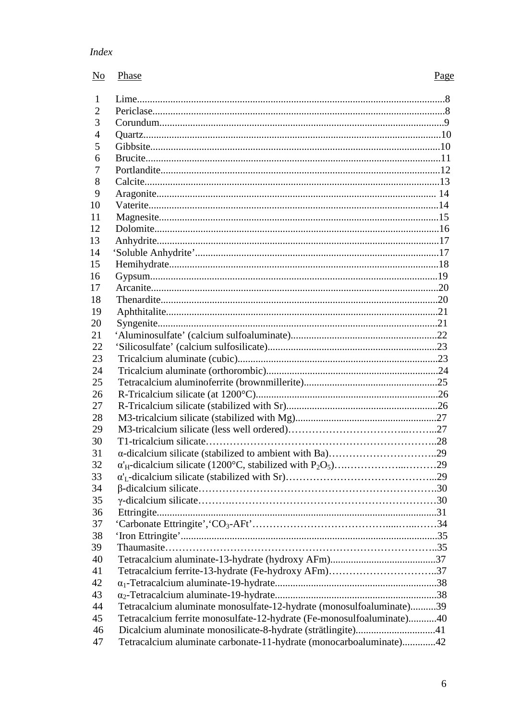## **Index**

| No             | Phase                                                                 | Page |
|----------------|-----------------------------------------------------------------------|------|
| $\mathbf{1}$   |                                                                       |      |
| $\overline{2}$ |                                                                       |      |
| 3              |                                                                       |      |
| $\overline{4}$ |                                                                       |      |
| 5              |                                                                       |      |
| 6              |                                                                       |      |
| 7              |                                                                       |      |
| 8              |                                                                       |      |
| 9              |                                                                       |      |
| 10             |                                                                       |      |
| 11             |                                                                       |      |
| 12             |                                                                       |      |
| 13             |                                                                       |      |
| 14             |                                                                       |      |
| 15             |                                                                       |      |
| 16             |                                                                       |      |
| 17             |                                                                       |      |
| 18             |                                                                       |      |
| 19             |                                                                       |      |
| 20             |                                                                       |      |
| 21             |                                                                       |      |
| 22             |                                                                       |      |
| 23             |                                                                       |      |
| 24             |                                                                       |      |
| 25             |                                                                       |      |
| 26             |                                                                       |      |
| 27             |                                                                       |      |
| 28             |                                                                       |      |
| 29             |                                                                       |      |
| 30             |                                                                       |      |
| 31             |                                                                       |      |
| 32             |                                                                       |      |
| 33             |                                                                       |      |
| 34             |                                                                       |      |
| 35             |                                                                       |      |
| 36             |                                                                       |      |
| 37             |                                                                       |      |
| 38             |                                                                       |      |
| 39             |                                                                       |      |
| 40             |                                                                       |      |
| 41             | Tetracalcium ferrite-13-hydrate (Fe-hydroxy AFm)37                    |      |
| 42             |                                                                       |      |
| 43             |                                                                       |      |
| 44             | Tetracalcium aluminate monosulfate-12-hydrate (monosulfoaluminate)39  |      |
| 45             | Tetracalcium ferrite monosulfate-12-hydrate (Fe-monosulfoaluminate)40 |      |
| 46             |                                                                       |      |
| 47             | Tetracalcium aluminate carbonate-11-hydrate (monocarboaluminate)42    |      |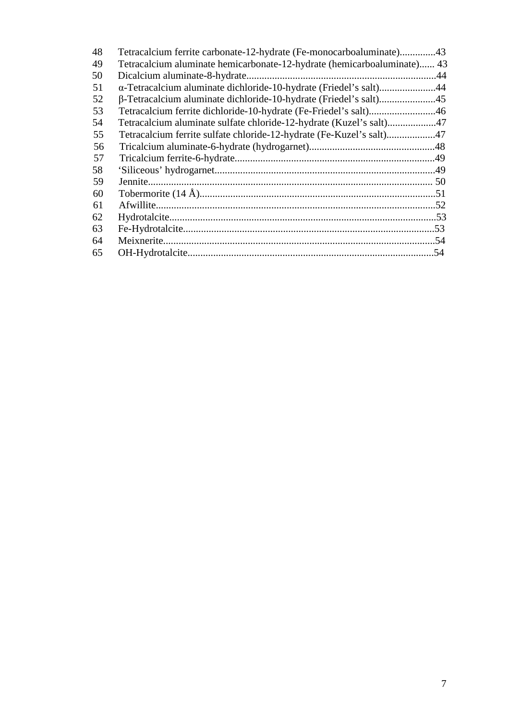| 48 | Tetracalcium ferrite carbonate-12-hydrate (Fe-monocarboaluminate)43     |     |
|----|-------------------------------------------------------------------------|-----|
| 49 | Tetracalcium aluminate hemicarbonate-12-hydrate (hemicarboaluminate) 43 |     |
| 50 | Dicalcium aluminate-8-hydrate                                           | .44 |
| 51 | α-Tetracalcium aluminate dichloride-10-hydrate (Friedel's salt)44       |     |
| 52 | β-Tetracalcium aluminate dichloride-10-hydrate (Friedel's salt)45       |     |
| 53 | Tetracalcium ferrite dichloride-10-hydrate (Fe-Friedel's salt)46        |     |
| 54 | Tetracalcium aluminate sulfate chloride-12-hydrate (Kuzel's salt)47     |     |
| 55 | Tetracalcium ferrite sulfate chloride-12-hydrate (Fe-Kuzel's salt)47    |     |
| 56 |                                                                         |     |
| 57 |                                                                         |     |
| 58 |                                                                         |     |
| 59 |                                                                         |     |
| 60 |                                                                         |     |
| 61 |                                                                         |     |
| 62 |                                                                         |     |
| 63 |                                                                         |     |
| 64 |                                                                         |     |
| 65 |                                                                         |     |
|    |                                                                         |     |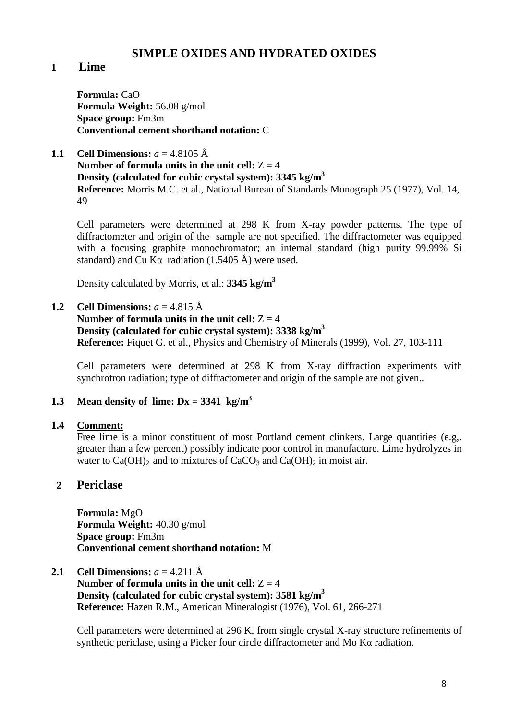# **SIMPLE OXIDES AND HYDRATED OXIDES**

# **1 Lime**

**Formula:** CaO **Formula Weight:** 56.08 g/mol **Space group:** Fm3m **Conventional cement shorthand notation:** C

**1.1** Cell Dimensions:  $a = 4.8105 \text{ Å}$ 

**Number of formula units in the unit cell:**  $Z = 4$ **Density (calculated for cubic crystal system): 3345 kg/m<sup>3</sup> Reference:** Morris M.C. et al., National Bureau of Standards Monograph 25 (1977), Vol. 14, 49

Cell parameters were determined at 298 K from X-ray powder patterns. The type of diffractometer and origin of the sample are not specified. The diffractometer was equipped with a focusing graphite monochromator; an internal standard (high purity 99.99% Si standard) and Cu K $\alpha$  radiation (1.5405 Å) were used.

Density calculated by Morris, et al.: **3345 kg/m<sup>3</sup>**

**1.2** Cell Dimensions:  $a = 4.815 \text{ Å}$ 

**Number of formula units in the unit cell:**  $Z = 4$ **Density (calculated for cubic crystal system): 3338 kg/m<sup>3</sup> Reference:** Fiquet G. et al., Physics and Chemistry of Minerals (1999), Vol. 27, 103-111

Cell parameters were determined at 298 K from X-ray diffraction experiments with synchrotron radiation; type of diffractometer and origin of the sample are not given..

# **1.3** Mean density of lime:  $Dx = 3341$  kg/m<sup>3</sup>

### **1.4 Comment:**

Free lime is a minor constituent of most Portland cement clinkers. Large quantities (e.g., greater than a few percent) possibly indicate poor control in manufacture. Lime hydrolyzes in water to  $Ca(OH)_2$  and to mixtures of  $CaCO_3$  and  $Ca(OH)_2$  in moist air.

# **2 Periclase**

**Formula:** MgO **Formula Weight:** 40.30 g/mol **Space group:** Fm3m **Conventional cement shorthand notation:** M

**2.1 Cell Dimensions:**  $a = 4.211 \text{ Å}$ 

**Number of formula units in the unit cell:**  $Z = 4$ **Density (calculated for cubic crystal system): 3581 kg/m<sup>3</sup> Reference:** Hazen R.M., American Mineralogist (1976), Vol. 61, 266-271

Cell parameters were determined at 296 K, from single crystal X-ray structure refinements of synthetic periclase, using a Picker four circle diffractometer and Mo Kα radiation.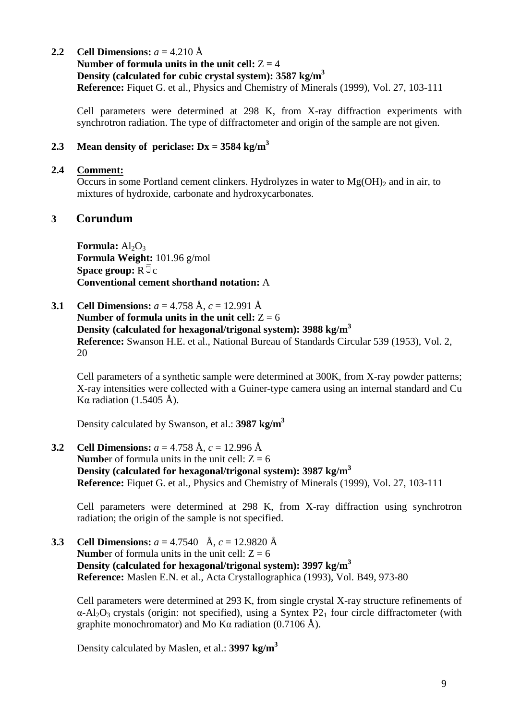# **2.2 Cell Dimensions:**  $a = 4.210 \text{ Å}$

**Number of formula units in the unit cell:**  $Z = 4$ **Density (calculated for cubic crystal system): 3587 kg/m<sup>3</sup> Reference:** Fiquet G. et al., Physics and Chemistry of Minerals (1999), Vol. 27, 103-111

Cell parameters were determined at 298 K, from X-ray diffraction experiments with synchrotron radiation. The type of diffractometer and origin of the sample are not given.

# **2.3 Mean density of periclase: Dx = 3584 kg/m<sup>3</sup>**

### **2.4 Comment:**

Occurs in some Portland cement clinkers. Hydrolyzes in water to  $Mg(OH)$ <sub>2</sub> and in air, to mixtures of hydroxide, carbonate and hydroxycarbonates.

# **3 Corundum**

**Formula:** Al<sub>2</sub>O<sub>3</sub> **Formula Weight:** 101.96 g/mol **Space group:**  $R \overline{3}c$ **Conventional cement shorthand notation:** A

**3.1** Cell Dimensions:  $a = 4.758 \text{ Å}$ ,  $c = 12.991 \text{ Å}$ **Number of formula units in the unit cell:**  $Z = 6$ **Density (calculated for hexagonal/trigonal system): 3988 kg/m<sup>3</sup> Reference:** Swanson H.E. et al., National Bureau of Standards Circular 539 (1953), Vol. 2, 20

Cell parameters of a synthetic sample were determined at 300K, from X-ray powder patterns; X-ray intensities were collected with a Guiner-type camera using an internal standard and Cu Kα radiation  $(1.5405 \text{ Å})$ .

Density calculated by Swanson, et al.: **3987 kg/m<sup>3</sup>**

**3.2** Cell Dimensions:  $a = 4.758 \text{ Å}$ ,  $c = 12.996 \text{ Å}$ **Number** of formula units in the unit cell:  $Z = 6$ **Density (calculated for hexagonal/trigonal system): 3987 kg/m<sup>3</sup> Reference:** Fiquet G. et al., Physics and Chemistry of Minerals (1999), Vol. 27, 103-111

Cell parameters were determined at 298 K, from X-ray diffraction using synchrotron radiation; the origin of the sample is not specified.

**3.3** Cell Dimensions:  $a = 4.7540$  Å,  $c = 12.9820$  Å **Number** of formula units in the unit cell:  $Z = 6$ **Density (calculated for hexagonal/trigonal system): 3997 kg/m<sup>3</sup> Reference:** Maslen E.N. et al., Acta Crystallographica (1993), Vol. B49, 973-80

Cell parameters were determined at 293 K, from single crystal X-ray structure refinements of  $\alpha$ -Al<sub>2</sub>O<sub>3</sub> crystals (origin: not specified), using a Syntex P<sub>21</sub> four circle diffractometer (with graphite monochromator) and Mo K $\alpha$  radiation (0.7106 Å).

Density calculated by Maslen, et al.: **3997 kg/m<sup>3</sup>**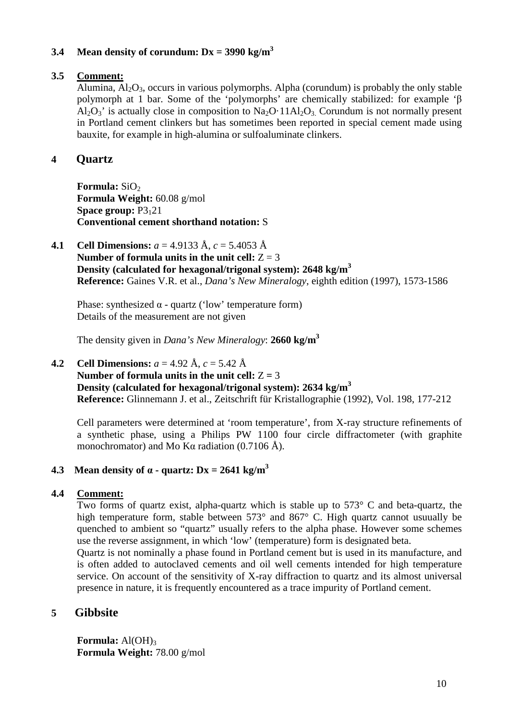# **3.4 Mean density of corundum: Dx = 3990 kg/m<sup>3</sup>**

### **3.5 Comment:**

Alumina,  $Al_2O_3$ , occurs in various polymorphs. Alpha (corundum) is probably the only stable polymorph at 1 bar. Some of the 'polymorphs' are chemically stabilized: for example 'β  $Al_2O_3$ ' is actually close in composition to  $Na_2O \cdot 11Al_2O_3$ . Corundum is not normally present in Portland cement clinkers but has sometimes been reported in special cement made using bauxite, for example in high-alumina or sulfoaluminate clinkers.

# **4 Quartz**

**Formula:** SiO<sub>2</sub> **Formula Weight:** 60.08 g/mol **Space group:** P3<sub>1</sub>21 **Conventional cement shorthand notation:** S

**4.1 Cell Dimensions:** *a* = 4.9133 Å, *c* = 5.4053 Å **Number of formula units in the unit cell:**  $Z = 3$ **Density (calculated for hexagonal/trigonal system): 2648 kg/m<sup>3</sup> Reference:** Gaines V.R. et al., *Dana's New Mineralogy*, eighth edition (1997), 1573-1586

Phase: synthesized  $\alpha$  - quartz ('low' temperature form) Details of the measurement are not given

The density given in *Dana's New Mineralogy*: **2660 kg/m<sup>3</sup>**

**4.2** Cell Dimensions:  $a = 4.92 \text{ Å}$ ,  $c = 5.42 \text{ Å}$ **Number of formula units in the unit cell:**  $Z = 3$ **Density (calculated for hexagonal/trigonal system): 2634 kg/m<sup>3</sup> Reference:** Glinnemann J. et al., Zeitschrift für Kristallographie (1992), Vol. 198, 177-212

Cell parameters were determined at 'room temperature', from X-ray structure refinements of a synthetic phase, using a Philips PW 1100 four circle diffractometer (with graphite monochromator) and Mo K $\alpha$  radiation (0.7106 Å).

# **4.3** Mean density of  $\alpha$  - quartz:  $Dx = 2641 \text{ kg/m}^3$

### **4.4 Comment:**

Two forms of quartz exist, alpha-quartz which is stable up to 573° C and beta-quartz, the high temperature form, stable between 573° and 867° C. High quartz cannot usuually be quenched to ambient so "quartz" usually refers to the alpha phase. However some schemes use the reverse assignment, in which 'low' (temperature) form is designated beta.

Quartz is not nominally a phase found in Portland cement but is used in its manufacture, and is often added to autoclaved cements and oil well cements intended for high temperature service. On account of the sensitivity of X-ray diffraction to quartz and its almost universal presence in nature, it is frequently encountered as a trace impurity of Portland cement.

# **5 Gibbsite**

**Formula:** Al(OH)<sub>3</sub> **Formula Weight:** 78.00 g/mol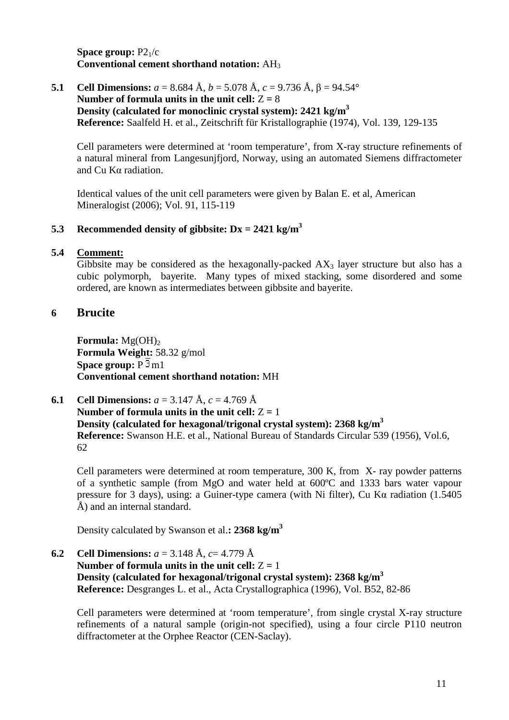#### **Space group:** P2<sub>1</sub>/c **Conventional cement shorthand notation:** AH<sup>3</sup>

**5.1** Cell Dimensions:  $a = 8.684 \text{ Å}, b = 5.078 \text{ Å}, c = 9.736 \text{ Å}, \beta = 94.54^{\circ}$ **Number of formula units in the unit cell:**  $Z = 8$ **Density (calculated for monoclinic crystal system): 2421 kg/m<sup>3</sup> Reference:** Saalfeld H. et al., Zeitschrift für Kristallographie (1974), Vol. 139, 129-135

Cell parameters were determined at 'room temperature', from X-ray structure refinements of a natural mineral from Langesunjfjord, Norway, using an automated Siemens diffractometer and Cu Kα radiation.

Identical values of the unit cell parameters were given by Balan E. et al, American Mineralogist (2006); Vol. 91, 115-119

## **5.3 Recommended density of gibbsite: Dx = 2421 kg/m<sup>3</sup>**

### **5.4 Comment:**

Gibbsite may be considered as the hexagonally-packed  $AX_3$  layer structure but also has a cubic polymorph, bayerite. Many types of mixed stacking, some disordered and some ordered, are known as intermediates between gibbsite and bayerite.

# **6 Brucite**

**Formula:**  $Mg(OH)_{2}$ **Formula Weight:** 58.32 g/mol **Space group:**  $P^{\overline{3}}m1$ **Conventional cement shorthand notation:** MH

**6.1** Cell Dimensions:  $a = 3.147 \text{ Å}$ ,  $c = 4.769 \text{ Å}$ **Number of formula units in the unit cell:**  $Z = 1$ **Density (calculated for hexagonal/trigonal crystal system): 2368 kg/m<sup>3</sup> Reference:** Swanson H.E. et al., National Bureau of Standards Circular 539 (1956), Vol.6, 62

Cell parameters were determined at room temperature, 300 K, from X- ray powder patterns of a synthetic sample (from MgO and water held at 600ºC and 1333 bars water vapour pressure for 3 days), using: a Guiner-type camera (with Ni filter), Cu Kα radiation (1.5405 Å) and an internal standard.

Density calculated by Swanson et al.**: 2368 kg/m<sup>3</sup>**

**6.2** Cell Dimensions:  $a = 3.148$  Å,  $c = 4.779$  Å **Number of formula units in the unit cell:**  $Z = 1$ **Density (calculated for hexagonal/trigonal crystal system): 2368 kg/m<sup>3</sup> Reference:** Desgranges L. et al., Acta Crystallographica (1996), Vol. B52, 82-86

Cell parameters were determined at 'room temperature', from single crystal X-ray structure refinements of a natural sample (origin-not specified), using a four circle P110 neutron diffractometer at the Orphee Reactor (CEN-Saclay).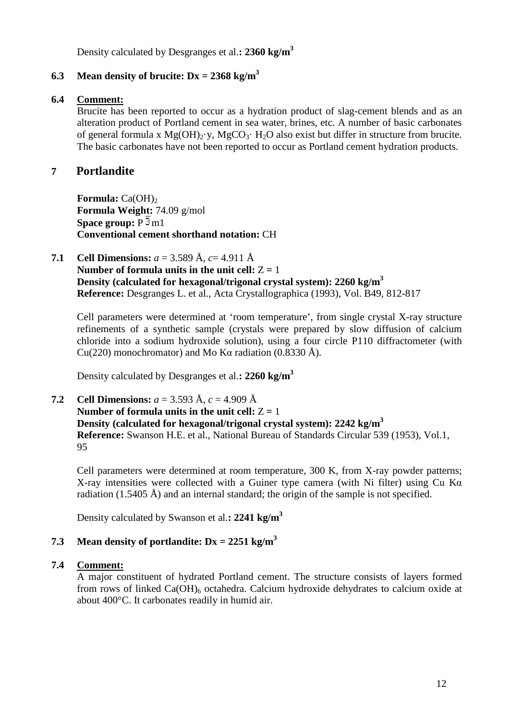Density calculated by Desgranges et al.**: 2360 kg/m<sup>3</sup>**

# **6.3** Mean density of brucite:  $Dx = 2368 \text{ kg/m}^3$

### **6.4 Comment:**

Brucite has been reported to occur as a hydration product of slag-cement blends and as an alteration product of Portland cement in sea water, brines, etc. A number of basic carbonates of general formula x  $Mg(OH)<sub>2</sub>·y$ ,  $MgCO<sub>3</sub>·H<sub>2</sub>O$  also exist but differ in structure from brucite. The basic carbonates have not been reported to occur as Portland cement hydration products.

# **7 Portlandite**

**Formula:** Ca(OH)<sub>2</sub> **Formula Weight:** 74.09 g/mol **Space group:**  $P^{\overline{3}}m1$ **Conventional cement shorthand notation:** CH

**7.1** Cell Dimensions:  $a = 3.589 \text{ Å}$ ,  $c = 4.911 \text{ Å}$ **Number of formula units in the unit cell:**  $Z = 1$ **Density (calculated for hexagonal/trigonal crystal system): 2260 kg/m<sup>3</sup> Reference:** Desgranges L. et al., Acta Crystallographica (1993), Vol. B49, 812-817

Cell parameters were determined at 'room temperature', from single crystal X-ray structure refinements of a synthetic sample (crystals were prepared by slow diffusion of calcium chloride into a sodium hydroxide solution), using a four circle P110 diffractometer (with Cu(220) monochromator) and Mo K $\alpha$  radiation (0.8330 Å).

Density calculated by Desgranges et al.**: 2260 kg/m<sup>3</sup>**

**7.2** Cell Dimensions:  $a = 3.593 \text{ Å}$ ,  $c = 4.909 \text{ Å}$ **Number of formula units in the unit cell:**  $Z = 1$ **Density (calculated for hexagonal/trigonal crystal system): 2242 kg/m<sup>3</sup> Reference:** Swanson H.E. et al., National Bureau of Standards Circular 539 (1953), Vol.1, 95

Cell parameters were determined at room temperature, 300 K, from X-ray powder patterns; X-ray intensities were collected with a Guiner type camera (with Ni filter) using Cu Kα radiation (1.5405 Å) and an internal standard; the origin of the sample is not specified.

Density calculated by Swanson et al.**: 2241 kg/m<sup>3</sup>**

### **7.3 Mean density of portlandite: Dx = 2251 kg/m<sup>3</sup>**

### **7.4 Comment:**

A major constituent of hydrated Portland cement. The structure consists of layers formed from rows of linked  $Ca(OH)_{6}$  octahedra. Calcium hydroxide dehydrates to calcium oxide at about 400°C. It carbonates readily in humid air.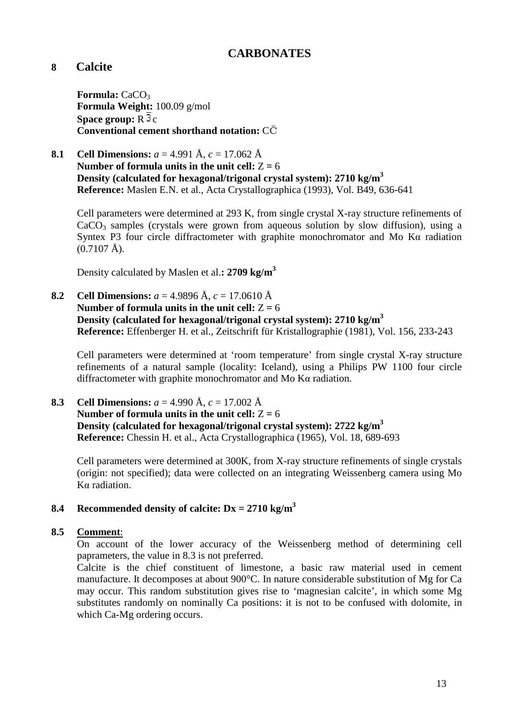# **CARBONATES**

# **8 Calcite**

**Formula:** CaCO<sub>3</sub> **Formula Weight:** 100.09 g/mol **Space group:**  $R \bar{3}c$ **Conventional cement shorthand notation:** C

**8.1** Cell Dimensions:  $a = 4.991 \text{ Å}$ ,  $c = 17.062 \text{ Å}$ **Number of formula units in the unit cell:**  $Z = 6$ **Density (calculated for hexagonal/trigonal crystal system): 2710 kg/m<sup>3</sup> Reference:** Maslen E.N. et al., Acta Crystallographica (1993), Vol. B49, 636-641

Cell parameters were determined at 293 K, from single crystal X-ray structure refinements of  $CaCO<sub>3</sub>$  samples (crystals were grown from aqueous solution by slow diffusion), using a Syntex P3 four circle diffractometer with graphite monochromator and Mo Kα radiation  $(0.7107 \text{ Å})$ .

Density calculated by Maslen et al.**: 2709 kg/m<sup>3</sup>**

**8.2** Cell Dimensions:  $a = 4.9896 \text{ Å}$ ,  $c = 17.0610 \text{ Å}$ **Number of formula units in the unit cell:**  $Z = 6$ **Density (calculated for hexagonal/trigonal crystal system): 2710 kg/m<sup>3</sup> Reference:** Effenberger H. et al., Zeitschrift für Kristallographie (1981), Vol. 156, 233-243

Cell parameters were determined at 'room temperature' from single crystal X-ray structure refinements of a natural sample (locality: Iceland), using a Philips PW 1100 four circle diffractometer with graphite monochromator and Mo Kα radiation.

**8.3** Cell Dimensions:  $a = 4.990 \text{ Å}$ ,  $c = 17.002 \text{ Å}$ **Number of formula units in the unit cell:**  $Z = 6$ **Density (calculated for hexagonal/trigonal crystal system): 2722 kg/m<sup>3</sup> Reference:** Chessin H. et al., Acta Crystallographica (1965), Vol. 18, 689-693

Cell parameters were determined at 300K, from X-ray structure refinements of single crystals (origin: not specified); data were collected on an integrating Weissenberg camera using Mo Kα radiation.

### **8.4 Recommended density of calcite: Dx = 2710 kg/m<sup>3</sup>**

### **8.5 Comment**:

On account of the lower accuracy of the Weissenberg method of determining cell paprameters, the value in 8.3 is not preferred.

Calcite is the chief constituent of limestone, a basic raw material used in cement manufacture. It decomposes at about 900°C. In nature considerable substitution of Mg for Ca may occur. This random substitution gives rise to 'magnesian calcite', in which some Mg substitutes randomly on nominally Ca positions: it is not to be confused with dolomite, in which Ca-Mg ordering occurs.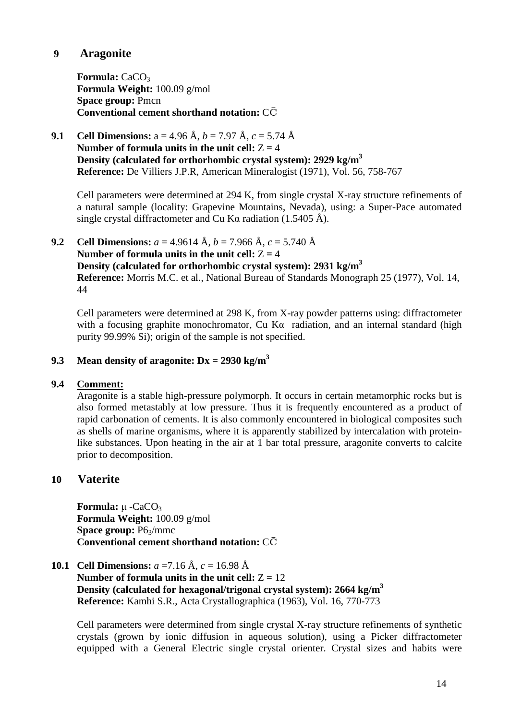## **9 Aragonite**

**Formula:** CaCO<sub>3</sub> **Formula Weight:** 100.09 g/mol **Space group:** Pmcn **Conventional cement shorthand notation:** C

**9.1** Cell Dimensions:  $a = 4.96 \text{ Å}, b = 7.97 \text{ Å}, c = 5.74 \text{ Å}$ **Number of formula units in the unit cell:**  $Z = 4$ **Density (calculated for orthorhombic crystal system): 2929 kg/m<sup>3</sup> Reference:** De Villiers J.P.R, American Mineralogist (1971), Vol. 56, 758-767

Cell parameters were determined at 294 K, from single crystal X-ray structure refinements of a natural sample (locality: Grapevine Mountains, Nevada), using: a Super-Pace automated single crystal diffractometer and Cu K $\alpha$  radiation (1.5405 Å).

**9.2** Cell Dimensions:  $a = 4.9614 \text{ Å}$ ,  $b = 7.966 \text{ Å}$ ,  $c = 5.740 \text{ Å}$ **Number of formula units in the unit cell:**  $Z = 4$ **Density (calculated for orthorhombic crystal system): 2931 kg/m<sup>3</sup> Reference:** Morris M.C. et al., National Bureau of Standards Monograph 25 (1977), Vol. 14, 44

Cell parameters were determined at 298 K, from X-ray powder patterns using: diffractometer with a focusing graphite monochromator, Cu K $\alpha$  radiation, and an internal standard (high purity 99.99% Si); origin of the sample is not specified.

### **9.3 Mean density of aragonite: Dx = 2930 kg/m<sup>3</sup>**

### **9.4 Comment:**

Aragonite is a stable high-pressure polymorph. It occurs in certain metamorphic rocks but is also formed metastably at low pressure. Thus it is frequently encountered as a product of rapid carbonation of cements. It is also commonly encountered in biological composites such as shells of marine organisms, where it is apparently stabilized by intercalation with proteinlike substances. Upon heating in the air at 1 bar total pressure, aragonite converts to calcite prior to decomposition.

# **10 Vaterite**

**Formula:**  $\mu$  -CaCO<sub>3</sub> **Formula Weight:** 100.09 g/mol **Space group:** P63/mmc **Conventional cement shorthand notation:** C

**10.1 Cell Dimensions:**  $a = 7.16 \text{ Å}, c = 16.98 \text{ Å}$ **Number of formula units in the unit cell:**  $Z = 12$ **Density (calculated for hexagonal/trigonal crystal system): 2664 kg/m<sup>3</sup> Reference:** Kamhi S.R., Acta Crystallographica (1963), Vol. 16, 770-773

Cell parameters were determined from single crystal X-ray structure refinements of synthetic crystals (grown by ionic diffusion in aqueous solution), using a Picker diffractometer equipped with a General Electric single crystal orienter. Crystal sizes and habits were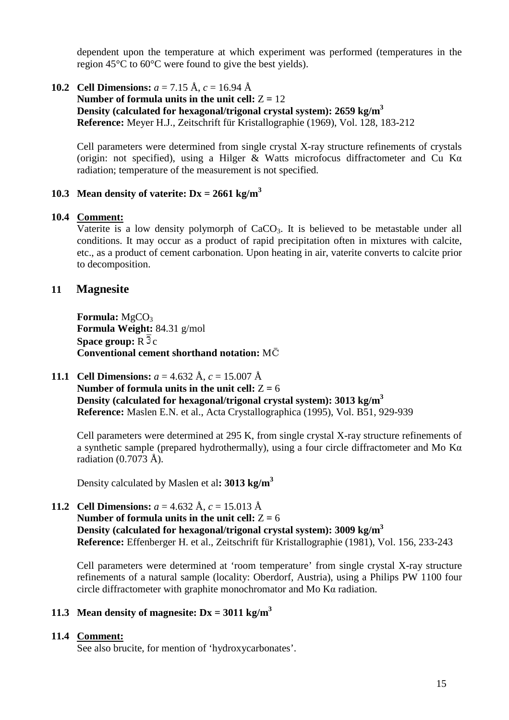dependent upon the temperature at which experiment was performed (temperatures in the region 45°C to 60°C were found to give the best yields).

**10.2** Cell Dimensions:  $a = 7.15 \text{ Å}$ ,  $c = 16.94 \text{ Å}$ **Number of formula units in the unit cell:**  $Z = 12$ **Density (calculated for hexagonal/trigonal crystal system): 2659 kg/m<sup>3</sup> Reference:** Meyer H.J., Zeitschrift für Kristallographie (1969), Vol. 128, 183-212

Cell parameters were determined from single crystal X-ray structure refinements of crystals (origin: not specified), using a Hilger & Watts microfocus diffractometer and Cu Kα radiation; temperature of the measurement is not specified.

### **10.3** Mean density of vaterite:  $Dx = 2661 \text{ kg/m}^3$

### **10.4 Comment:**

Vaterite is a low density polymorph of  $CaCO<sub>3</sub>$ . It is believed to be metastable under all conditions. It may occur as a product of rapid precipitation often in mixtures with calcite, etc., as a product of cement carbonation. Upon heating in air, vaterite converts to calcite prior to decomposition.

# **11 Magnesite**

**Formula:** MgCO<sub>3</sub> **Formula Weight:** 84.31 g/mol **Space group:** R 3c **Conventional cement shorthand notation:** M

**11.1 Cell Dimensions:**  $a = 4.632 \text{ Å}$ ,  $c = 15.007 \text{ Å}$ **Number of formula units in the unit cell:**  $Z = 6$ **Density (calculated for hexagonal/trigonal crystal system): 3013 kg/m<sup>3</sup> Reference:** Maslen E.N. et al., Acta Crystallographica (1995), Vol. B51, 929-939

Cell parameters were determined at 295 K, from single crystal X-ray structure refinements of a synthetic sample (prepared hydrothermally), using a four circle diffractometer and Mo Kα radiation  $(0.7073 \text{ Å})$ .

Density calculated by Maslen et al**: 3013 kg/m<sup>3</sup>**

**11.2 Cell Dimensions:**  $a = 4.632 \text{ Å}$ ,  $c = 15.013 \text{ Å}$ **Number of formula units in the unit cell:**  $Z = 6$ **Density (calculated for hexagonal/trigonal crystal system): 3009 kg/m<sup>3</sup> Reference:** Effenberger H. et al., Zeitschrift für Kristallographie (1981), Vol. 156, 233-243

Cell parameters were determined at 'room temperature' from single crystal X-ray structure refinements of a natural sample (locality: Oberdorf, Austria), using a Philips PW 1100 four circle diffractometer with graphite monochromator and Mo Kα radiation.

## **11.3** Mean density of magnesite:  $Dx = 3011 \text{ kg/m}^3$

### **11.4 Comment:**

See also brucite, for mention of 'hydroxycarbonates'.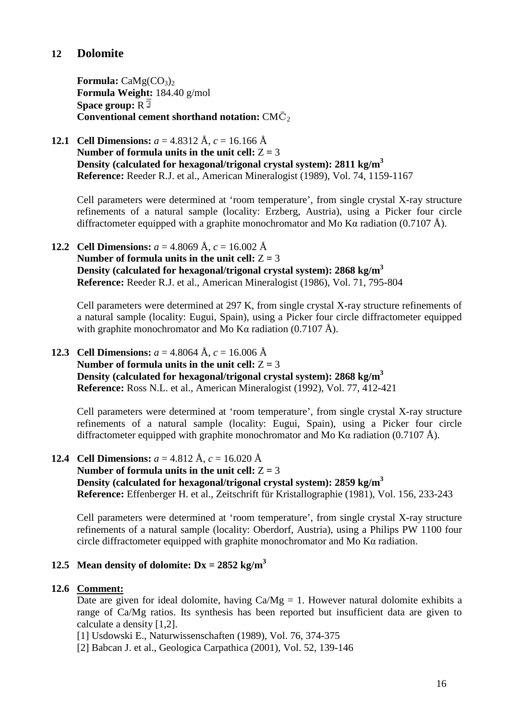# **12 Dolomite**

**Formula:** CaMg(CO<sub>3</sub>)<sub>2</sub> **Formula Weight:** 184.40 g/mol **Space group:** R **Conventional cement shorthand notation: CMC<sub>2</sub>** 

**12.1 Cell Dimensions:**  $a = 4.8312 \text{ Å}$ ,  $c = 16.166 \text{ Å}$ **Number of formula units in the unit cell:**  $Z = 3$ **Density (calculated for hexagonal/trigonal crystal system): 2811 kg/m<sup>3</sup> Reference:** Reeder R.J. et al., American Mineralogist (1989), Vol. 74, 1159-1167

Cell parameters were determined at 'room temperature', from single crystal X-ray structure refinements of a natural sample (locality: Erzberg, Austria), using a Picker four circle diffractometer equipped with a graphite monochromator and Mo K $\alpha$  radiation (0.7107 Å).

**12.2 Cell Dimensions:**  $a = 4.8069 \text{ Å}$ ,  $c = 16.002 \text{ Å}$ **Number of formula units in the unit cell:**  $Z = 3$ **Density (calculated for hexagonal/trigonal crystal system): 2868 kg/m<sup>3</sup> Reference:** Reeder R.J. et al., American Mineralogist (1986), Vol. 71, 795-804

Cell parameters were determined at 297 K, from single crystal X-ray structure refinements of a natural sample (locality: Eugui, Spain), using a Picker four circle diffractometer equipped with graphite monochromator and Mo K $\alpha$  radiation (0.7107 Å).

**12.3** Cell Dimensions:  $a = 4.8064$  Å,  $c = 16.006$  Å **Number of formula units in the unit cell:**  $Z = 3$ **Density (calculated for hexagonal/trigonal crystal system): 2868 kg/m<sup>3</sup> Reference:** Ross N.L. et al., American Mineralogist (1992), Vol. 77, 412-421

Cell parameters were determined at 'room temperature', from single crystal X-ray structure refinements of a natural sample (locality: Eugui, Spain), using a Picker four circle diffractometer equipped with graphite monochromator and Mo K $\alpha$  radiation (0.7107 Å).

**12.4 Cell Dimensions:**  $a = 4.812 \text{ Å}$ ,  $c = 16.020 \text{ Å}$ **Number of formula units in the unit cell:**  $Z = 3$ **Density (calculated for hexagonal/trigonal crystal system): 2859 kg/m<sup>3</sup> Reference:** Effenberger H. et al., Zeitschrift für Kristallographie (1981), Vol. 156, 233-243

Cell parameters were determined at 'room temperature', from single crystal X-ray structure refinements of a natural sample (locality: Oberdorf, Austria), using a Philips PW 1100 four circle diffractometer equipped with graphite monochromator and Mo Kα radiation.

# **12.5** Mean density of dolomite:  $Dx = 2852$  kg/m<sup>3</sup>

#### **12.6 Comment:**

Date are given for ideal dolomite, having  $Ca/Mg = 1$ . However natural dolomite exhibits a range of Ca/Mg ratios. Its synthesis has been reported but insufficient data are given to calculate a density [1,2].

[1] Usdowski E., Naturwissenschaften (1989), Vol. 76, 374-375

[2] Babcan J. et al., Geologica Carpathica (2001), Vol. 52, 139-146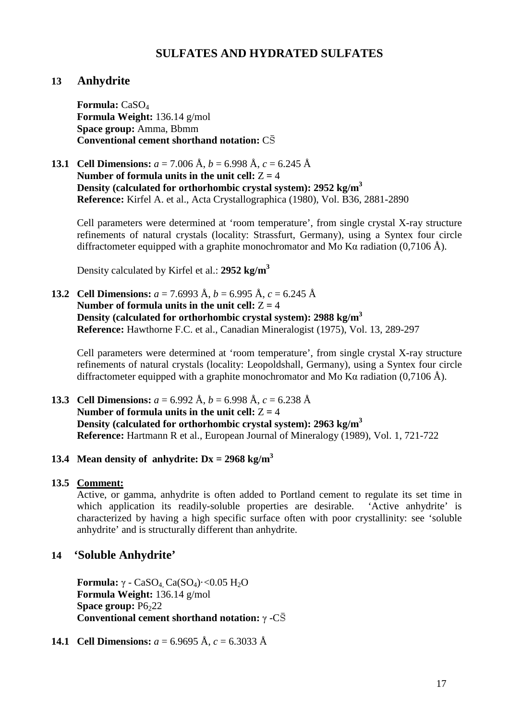# **SULFATES AND HYDRATED SULFATES**

## **13 Anhydrite**

**Formula:** CaSO<sup>4</sup> **Formula Weight:** 136.14 g/mol **Space group:** Amma, Bbmm **Conventional cement shorthand notation:** C

**13.1 Cell Dimensions:**  $a = 7.006 \text{ Å}, b = 6.998 \text{ Å}, c = 6.245 \text{ Å}$ **Number of formula units in the unit cell:**  $Z = 4$ **Density (calculated for orthorhombic crystal system): 2952 kg/m<sup>3</sup> Reference:** Kirfel A. et al., Acta Crystallographica (1980), Vol. B36, 2881-2890

Cell parameters were determined at 'room temperature', from single crystal X-ray structure refinements of natural crystals (locality: Strassfurt, Germany), using a Syntex four circle diffractometer equipped with a graphite monochromator and Mo K $\alpha$  radiation (0,7106 Å).

Density calculated by Kirfel et al.: **2952 kg/m<sup>3</sup>**

**13.2 Cell Dimensions:**  $a = 7.6993 \text{ Å}, b = 6.995 \text{ Å}, c = 6.245 \text{ Å}$ **Number of formula units in the unit cell:**  $Z = 4$ **Density (calculated for orthorhombic crystal system): 2988 kg/m<sup>3</sup> Reference:** Hawthorne F.C. et al., Canadian Mineralogist (1975), Vol. 13, 289-297

Cell parameters were determined at 'room temperature', from single crystal X-ray structure refinements of natural crystals (locality: Leopoldshall, Germany), using a Syntex four circle diffractometer equipped with a graphite monochromator and Mo K $\alpha$  radiation (0,7106 Å).

**13.3 Cell Dimensions:**  $a = 6.992 \text{ Å}, b = 6.998 \text{ Å}, c = 6.238 \text{ Å}$ **Number of formula units in the unit cell:**  $Z = 4$ **Density (calculated for orthorhombic crystal system): 2963 kg/m<sup>3</sup> Reference:** Hartmann R et al., European Journal of Mineralogy (1989), Vol. 1, 721-722

## **13.4** Mean density of anhydrite:  $Dx = 2968 \text{ kg/m}^3$

#### **13.5 Comment:**

Active, or gamma, anhydrite is often added to Portland cement to regulate its set time in which application its readily-soluble properties are desirable. 'Active anhydrite' is characterized by having a high specific surface often with poor crystallinity: see 'soluble anhydrite' and is structurally different than anhydrite.

**14 'Soluble Anhydrite'**

**Formula:**  $\gamma$  - CaSO<sub>4</sub>, Ca(SO<sub>4</sub>) $\cdot$ <0.05 H<sub>2</sub>O **Formula Weight:** 136.14 g/mol **Space group: P6222 Conventional cement shorthand notation:** γ -C

**14.1 Cell Dimensions:**  $a = 6.9695 \text{ Å}, c = 6.3033 \text{ Å}$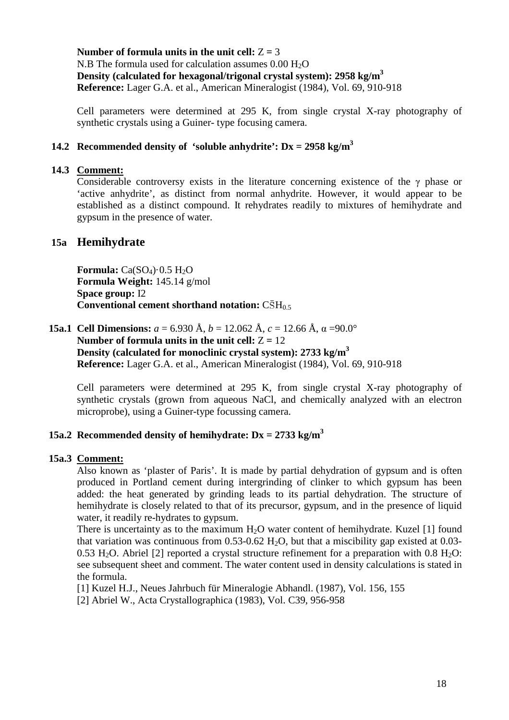**Number of formula units in the unit cell:**  $Z = 3$ N.B The formula used for calculation assumes  $0.00 H<sub>2</sub>O$ **Density (calculated for hexagonal/trigonal crystal system): 2958 kg/m<sup>3</sup> Reference:** Lager G.A. et al., American Mineralogist (1984), Vol. 69, 910-918

Cell parameters were determined at 295 K, from single crystal X-ray photography of synthetic crystals using a Guiner- type focusing camera.

#### **14.2 Recommended density of 'soluble anhydrite': Dx = 2958 kg/m<sup>3</sup>**

#### **14.3 Comment:**

Considerable controversy exists in the literature concerning existence of the γ phase or 'active anhydrite', as distinct from normal anhydrite. However, it would appear to be established as a distinct compound. It rehydrates readily to mixtures of hemihydrate and gypsum in the presence of water.

## **15a Hemihydrate**

**Formula:**  $Ca(SO<sub>4</sub>) \cdot 0.5 H<sub>2</sub>O$ **Formula Weight:** 145.14 g/mol **Space group:** I2 **Conventional cement shorthand notation:**  $C\bar{S}H_0$ 

 **15a.1 Cell Dimensions:**  $a = 6.930 \text{ Å}, b = 12.062 \text{ Å}, c = 12.66 \text{ Å}, \alpha = 90.0^{\circ}$ **Number of formula units in the unit cell:**  $Z = 12$ **Density (calculated for monoclinic crystal system): 2733 kg/m<sup>3</sup> Reference:** Lager G.A. et al., American Mineralogist (1984), Vol. 69, 910-918

Cell parameters were determined at 295 K, from single crystal X-ray photography of synthetic crystals (grown from aqueous NaCl, and chemically analyzed with an electron microprobe), using a Guiner-type focussing camera.

### **15a.2 Recommended density of hemihydrate: Dx = 2733 kg/m<sup>3</sup>**

#### **15a.3 Comment:**

Also known as 'plaster of Paris'. It is made by partial dehydration of gypsum and is often produced in Portland cement during intergrinding of clinker to which gypsum has been added: the heat generated by grinding leads to its partial dehydration. The structure of hemihydrate is closely related to that of its precursor, gypsum, and in the presence of liquid water, it readily re-hydrates to gypsum.

There is uncertainty as to the maximum  $H_2O$  water content of hemihydrate. Kuzel [1] found that variation was continuous from  $0.53$ -0.62 H<sub>2</sub>O, but that a miscibility gap existed at 0.03-0.53 H<sub>2</sub>O. Abriel [2] reported a crystal structure refinement for a preparation with 0.8 H<sub>2</sub>O: see subsequent sheet and comment. The water content used in density calculations is stated in the formula.

[1] Kuzel H.J., Neues Jahrbuch für Mineralogie Abhandl. (1987), Vol. 156, 155

[2] Abriel W., Acta Crystallographica (1983), Vol. C39, 956-958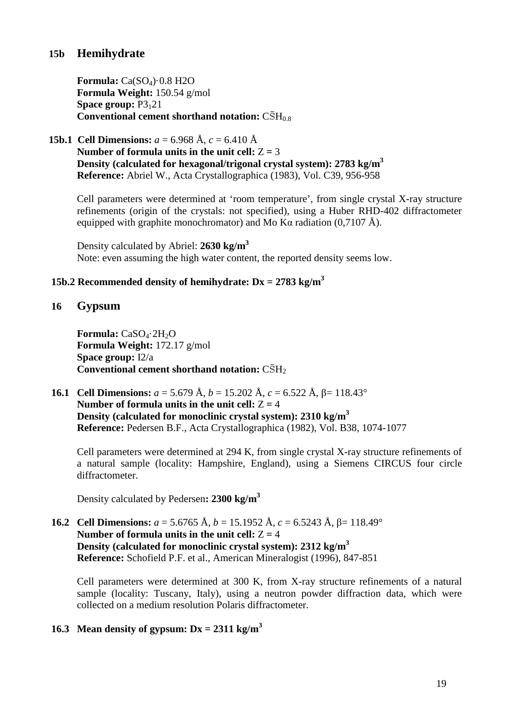# **15b Hemihydrate**

**Formula:** Ca(SO<sub>4</sub>) $\cdot$ 0.8 H2O **Formula Weight:** 150.54 g/mol **Space group:** P3<sub>1</sub>21 **Conventional cement shorthand notation:**  $C\bar{S}H_{0.8}$ 

 **15b.1 Cell Dimensions:**  $a = 6.968 \text{ Å}, c = 6.410 \text{ Å}$ **Number of formula units in the unit cell:**  $Z = 3$ **Density (calculated for hexagonal/trigonal crystal system): 2783 kg/m<sup>3</sup> Reference:** Abriel W., Acta Crystallographica (1983), Vol. C39, 956-958

Cell parameters were determined at 'room temperature', from single crystal X-ray structure refinements (origin of the crystals: not specified), using a Huber RHD-402 diffractometer equipped with graphite monochromator) and Mo K $\alpha$  radiation (0.7107 Å).

Density calculated by Abriel: **2630 kg/m<sup>3</sup>** Note: even assuming the high water content, the reported density seems low.

#### **15b.2 Recommended density of hemihydrate: Dx = 2783 kg/m<sup>3</sup>**

### **16 Gypsum**

**Formula:** CaSO<sub>4</sub>·2H<sub>2</sub>O **Formula Weight:** 172.17 g/mol **Space group:** I2/a **Conventional cement shorthand notation:** C<sup>S</sup>H<sub>2</sub>

**16.1 Cell Dimensions:**  $a = 5.679 \text{ Å}$ ,  $b = 15.202 \text{ Å}$ ,  $c = 6.522 \text{ Å}$ ,  $\beta = 118.43^{\circ}$ **Number of formula units in the unit cell:**  $Z = 4$ **Density (calculated for monoclinic crystal system): 2310 kg/m<sup>3</sup> Reference:** Pedersen B.F., Acta Crystallographica (1982), Vol. B38, 1074-1077

Cell parameters were determined at 294 K, from single crystal X-ray structure refinements of a natural sample (locality: Hampshire, England), using a Siemens CIRCUS four circle diffractometer.

Density calculated by Pedersen**: 2300 kg/m<sup>3</sup>**

**16.2 Cell Dimensions:** *a* = 5.6765 Å, *b* = 15.1952 Å, *c* = 6.5243 Å, β= 118.49° **Number of formula units in the unit cell:**  $Z = 4$ **Density (calculated for monoclinic crystal system): 2312 kg/m<sup>3</sup> Reference:** Schofield P.F. et al., American Mineralogist (1996), 847-851

Cell parameters were determined at 300 K, from X-ray structure refinements of a natural sample (locality: Tuscany, Italy), using a neutron powder diffraction data, which were collected on a medium resolution Polaris diffractometer.

#### **16.3** Mean density of gypsum:  $Dx = 2311 \text{ kg/m}^3$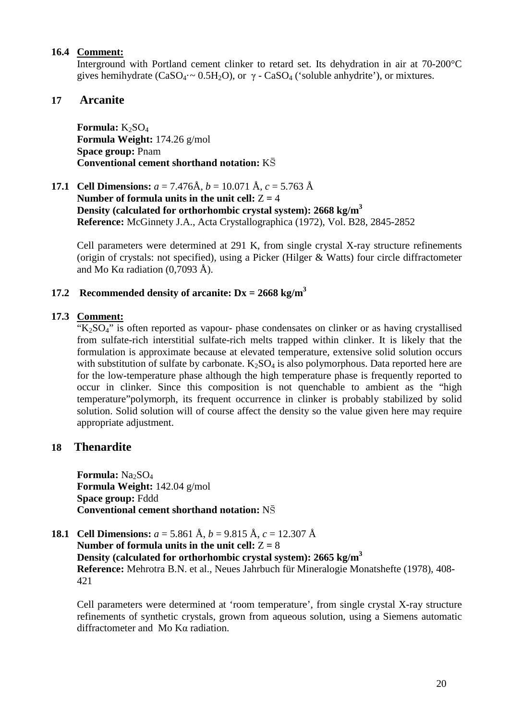#### **16.4 Comment:**

Interground with Portland cement clinker to retard set. Its dehydration in air at 70-200°C gives hemihydrate (CaSO<sub>4</sub> $\sim$  0.5H<sub>2</sub>O), or  $\gamma$  - CaSO<sub>4</sub> ('soluble anhydrite'), or mixtures.

### **17 Arcanite**

**Formula:** K<sub>2</sub>SO<sub>4</sub> **Formula Weight:** 174.26 g/mol **Space group:** Pnam **Conventional cement shorthand notation:** K

### **17.1 Cell Dimensions:**  $a = 7.476 \text{\AA}$ ,  $b = 10.071 \text{\AA}$ ,  $c = 5.763 \text{\AA}$ **Number of formula units in the unit cell:**  $Z = 4$ **Density (calculated for orthorhombic crystal system): 2668 kg/m<sup>3</sup> Reference:** McGinnety J.A., Acta Crystallographica (1972), Vol. B28, 2845-2852

Cell parameters were determined at 291 K, from single crystal X-ray structure refinements (origin of crystals: not specified), using a Picker (Hilger & Watts) four circle diffractometer and Mo K $\alpha$  radiation (0,7093 Å).

#### **17.2 Recommended density of arcanite: Dx = 2668 kg/m<sup>3</sup>**

#### **17.3 Comment:**

" $K<sub>2</sub>SO<sub>4</sub>$ " is often reported as vapour- phase condensates on clinker or as having crystallised from sulfate-rich interstitial sulfate-rich melts trapped within clinker. It is likely that the formulation is approximate because at elevated temperature, extensive solid solution occurs with substitution of sulfate by carbonate.  $K_2SO_4$  is also polymorphous. Data reported here are for the low-temperature phase although the high temperature phase is frequently reported to occur in clinker. Since this composition is not quenchable to ambient as the "high temperature"polymorph, its frequent occurrence in clinker is probably stabilized by solid solution. Solid solution will of course affect the density so the value given here may require appropriate adjustment.

### **18 Thenardite**

**Formula:** Na<sub>2</sub>SO<sub>4</sub> **Formula Weight:** 142.04 g/mol **Space group:** Fddd **Conventional cement shorthand notation:** N

**18.1 Cell Dimensions:**  $a = 5.861 \text{ Å}, b = 9.815 \text{ Å}, c = 12.307 \text{ Å}$ **Number of formula units in the unit cell:**  $Z = 8$ **Density (calculated for orthorhombic crystal system): 2665 kg/m<sup>3</sup> Reference:** Mehrotra B.N. et al., Neues Jahrbuch für Mineralogie Monatshefte (1978), 408- 421

Cell parameters were determined at 'room temperature', from single crystal X-ray structure refinements of synthetic crystals, grown from aqueous solution, using a Siemens automatic diffractometer and Mo Kα radiation.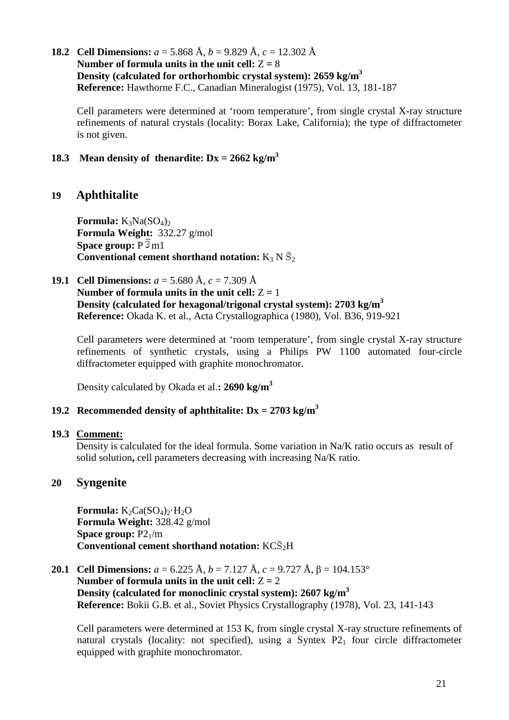**18.2 Cell Dimensions:**  $a = 5.868 \text{ Å}, b = 9.829 \text{ Å}, c = 12.302 \text{ Å}$ **Number of formula units in the unit cell:**  $Z = 8$ **Density (calculated for orthorhombic crystal system): 2659 kg/m<sup>3</sup> Reference:** Hawthorne F.C., Canadian Mineralogist (1975), Vol. 13, 181-187

Cell parameters were determined at 'room temperature', from single crystal X-ray structure refinements of natural crystals (locality: Borax Lake, California); the type of diffractometer is not given.

### **18.3** Mean density of thenardite:  $Dx = 2662 \text{ kg/m}^3$

## **19 Aphthitalite**

**Formula:**  $K_3Na(SO_4)_2$ **Formula Weight:** 332.27 g/mol **Space group:**  $P^3m1$ **Conventional cement shorthand notation:**  $K_3 N \bar{S}_2$ 

**19.1 Cell Dimensions:**  $a = 5.680 \text{ Å}, c = 7.309 \text{ Å}$ **Number of formula units in the unit cell:**  $Z = 1$ **Density (calculated for hexagonal/trigonal crystal system): 2703 kg/m<sup>3</sup> Reference:** Okada K. et al., Acta Crystallographica (1980), Vol. B36, 919-921

Cell parameters were determined at 'room temperature', from single crystal X-ray structure refinements of synthetic crystals, using a Philips PW 1100 automated four-circle diffractometer equipped with graphite monochromator.

Density calculated by Okada et al.**: 2690 kg/m<sup>3</sup>**

### **19.2 Recommended density of aphthitalite: Dx = 2703 kg/m<sup>3</sup>**

#### **19.3 Comment:**

Density is calculated for the ideal formula. Some variation in Na/K ratio occurs as result of solid solution**,** cell parameters decreasing with increasing Na/K ratio.

### **20 Syngenite**

**Formula:** K<sub>2</sub>Ca(SO<sub>4</sub>)<sub>2</sub>·H<sub>2</sub>O **Formula Weight:** 328.42 g/mol **Space group:**  $P2_1/m$ **Conventional cement shorthand notation:**  $KC\bar{S}_2H$ 

**20.1 Cell Dimensions:**  $a = 6.225 \text{ Å}$ ,  $b = 7.127 \text{ Å}$ ,  $c = 9.727 \text{ Å}$ ,  $\beta = 104.153^{\circ}$ **Number of formula units in the unit cell:**  $Z = 2$ **Density (calculated for monoclinic crystal system): 2607 kg/m<sup>3</sup> Reference:** Bokii G.B. et al., Soviet Physics Crystallography (1978), Vol. 23, 141-143

Cell parameters were determined at 153 K, from single crystal X-ray structure refinements of natural crystals (locality: not specified), using a Syntex  $P2<sub>1</sub>$  four circle diffractometer equipped with graphite monochromator.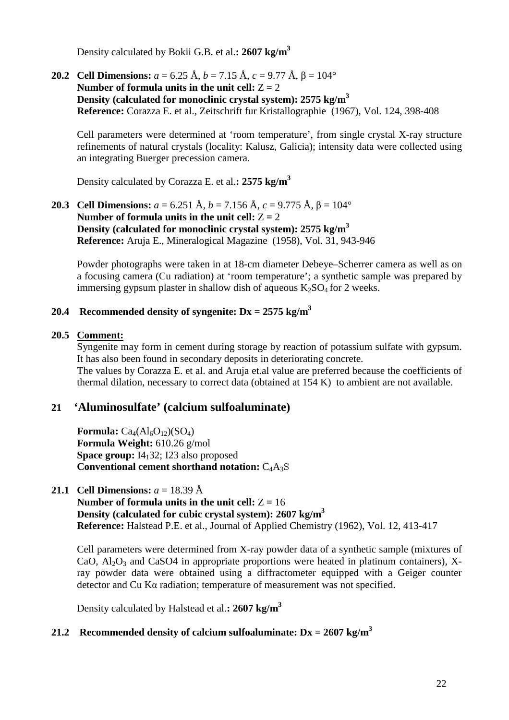Density calculated by Bokii G.B. et al.**: 2607 kg/m<sup>3</sup>**

**20.2** Cell Dimensions:  $a = 6.25 \text{ Å}, b = 7.15 \text{ Å}, c = 9.77 \text{ Å}, \beta = 104^{\circ}$ **Number of formula units in the unit cell:**  $Z = 2$ **Density (calculated for monoclinic crystal system): 2575 kg/m<sup>3</sup> Reference:** Corazza E. et al., Zeitschrift fur Kristallographie (1967), Vol. 124, 398-408

Cell parameters were determined at 'room temperature', from single crystal X-ray structure refinements of natural crystals (locality: Kalusz, Galicia); intensity data were collected using an integrating Buerger precession camera.

Density calculated by Corazza E. et al.**: 2575 kg/m<sup>3</sup>**

**20.3** Cell Dimensions:  $a = 6.251 \text{ Å}$ ,  $b = 7.156 \text{ Å}$ ,  $c = 9.775 \text{ Å}$ ,  $\beta = 104^{\circ}$ **Number of formula units in the unit cell:**  $Z = 2$ **Density (calculated for monoclinic crystal system): 2575 kg/m<sup>3</sup> Reference:** Aruja E., Mineralogical Magazine (1958), Vol. 31, 943-946

Powder photographs were taken in at 18-cm diameter Debeye–Scherrer camera as well as on a focusing camera (Cu radiation) at 'room temperature'; a synthetic sample was prepared by immersing gypsum plaster in shallow dish of aqueous  $K_2SO_4$  for 2 weeks.

# **20.4 Recommended density of syngenite: Dx = 2575 kg/m<sup>3</sup>**

## **20.5 Comment:**

Syngenite may form in cement during storage by reaction of potassium sulfate with gypsum. It has also been found in secondary deposits in deteriorating concrete.

The values by Corazza E. et al. and Aruja et.al value are preferred because the coefficients of thermal dilation, necessary to correct data (obtained at 154 K) to ambient are not available.

# **21 'Aluminosulfate' (calcium sulfoaluminate)**

**Formula:**  $Ca_4(Al_6O_{12})(SO_4)$ **Formula Weight:** 610.26 g/mol **Space group:** I4<sub>1</sub>32; I23 also proposed Conventional cement shorthand notation: C<sub>4</sub>A<sub>3</sub> $\bar{S}$ 

**21.1 Cell Dimensions:**  $a = 18.39 \text{ Å}$ 

**Number of formula units in the unit cell:**  $Z = 16$ **Density (calculated for cubic crystal system): 2607 kg/m<sup>3</sup> Reference:** Halstead P.E. et al., Journal of Applied Chemistry (1962), Vol. 12, 413-417

Cell parameters were determined from X-ray powder data of a synthetic sample (mixtures of CaO,  $Al_2O_3$  and CaSO4 in appropriate proportions were heated in platinum containers), Xray powder data were obtained using a diffractometer equipped with a Geiger counter detector and Cu Kα radiation; temperature of measurement was not specified.

Density calculated by Halstead et al.**: 2607 kg/m<sup>3</sup>**

### **21.2 Recommended density of calcium sulfoaluminate: Dx = 2607 kg/m<sup>3</sup>**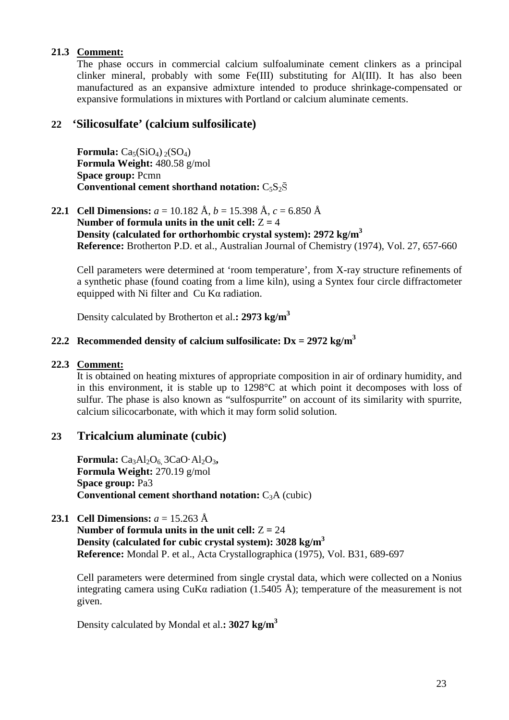#### **21.3 Comment:**

The phase occurs in commercial calcium sulfoaluminate cement clinkers as a principal clinker mineral, probably with some Fe(III) substituting for Al(III). It has also been manufactured as an expansive admixture intended to produce shrinkage-compensated or expansive formulations in mixtures with Portland or calcium aluminate cements.

# **22 'Silicosulfate' (calcium sulfosilicate)**

**Formula:**  $Ca<sub>5</sub>(SiO<sub>4</sub>)<sub>2</sub>(SO<sub>4</sub>)$ **Formula Weight:** 480.58 g/mol **Space group:** Pcmn **Conventional cement shorthand notation:** C<sub>5</sub>S<sub>2</sub> $\bar{S}$ 

**22.1 Cell Dimensions:**  $a = 10.182 \text{ Å}, b = 15.398 \text{ Å}, c = 6.850 \text{ Å}$ **Number of formula units in the unit cell:**  $Z = 4$ **Density (calculated for orthorhombic crystal system): 2972 kg/m<sup>3</sup> Reference:** Brotherton P.D. et al., Australian Journal of Chemistry (1974), Vol. 27, 657-660

Cell parameters were determined at 'room temperature', from X-ray structure refinements of a synthetic phase (found coating from a lime kiln), using a Syntex four circle diffractometer equipped with Ni filter and Cu Kα radiation.

Density calculated by Brotherton et al.**: 2973 kg/m<sup>3</sup>**

### **22.2 Recommended density of calcium sulfosilicate: Dx = 2972 kg/m<sup>3</sup>**

#### **22.3 Comment:**

It is obtained on heating mixtures of appropriate composition in air of ordinary humidity, and in this environment, it is stable up to 1298°C at which point it decomposes with loss of sulfur. The phase is also known as "sulfospurrite" on account of its similarity with spurrite, calcium silicocarbonate, with which it may form solid solution.

# **23 Tricalcium aluminate (cubic)**

**Formula:** Ca<sub>3</sub>Al<sub>2</sub>O<sub>6</sub>, 3CaO·Al<sub>2</sub>O<sub>3</sub>, **Formula Weight:** 270.19 g/mol **Space group: Pa3 Conventional cement shorthand notation:** C<sub>3</sub>A (cubic)

**23.1 Cell Dimensions:**  $a = 15.263 \text{ Å}$ 

**Number of formula units in the unit cell:**  $Z = 24$ **Density (calculated for cubic crystal system): 3028 kg/m<sup>3</sup> Reference:** Mondal P. et al., Acta Crystallographica (1975), Vol. B31, 689-697

Cell parameters were determined from single crystal data, which were collected on a Nonius integrating camera using CuK $\alpha$  radiation (1.5405 Å); temperature of the measurement is not given.

Density calculated by Mondal et al.**: 3027 kg/m<sup>3</sup>**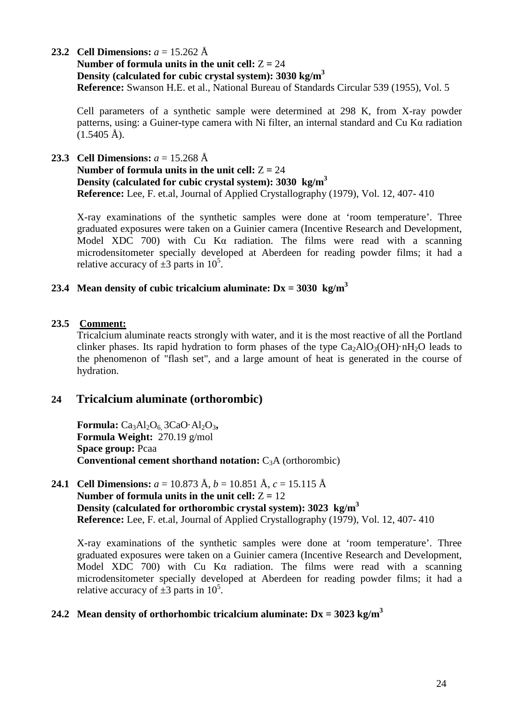# **23.2 Cell Dimensions:**  $a = 15.262 \text{ Å}$

**Number of formula units in the unit cell:**  $Z = 24$ **Density (calculated for cubic crystal system): 3030 kg/m<sup>3</sup> Reference:** Swanson H.E. et al., National Bureau of Standards Circular 539 (1955), Vol. 5

Cell parameters of a synthetic sample were determined at 298 K, from X-ray powder patterns, using: a Guiner-type camera with Ni filter, an internal standard and Cu Kα radiation  $(1.5405 \text{ Å})$ .

### **23.3 Cell Dimensions:**  $a = 15.268 \text{ Å}$ **Number of formula units in the unit cell:**  $Z = 24$ **Density (calculated for cubic crystal system): 3030 kg/m<sup>3</sup> Reference:** Lee, F. et.al, Journal of Applied Crystallography (1979), Vol. 12, 407- 410

X-ray examinations of the synthetic samples were done at 'room temperature'. Three graduated exposures were taken on a Guinier camera (Incentive Research and Development, Model XDC 700) with Cu Kα radiation. The films were read with a scanning microdensitometer specially developed at Aberdeen for reading powder films; it had a relative accuracy of  $\pm 3$  parts in 10<sup>5</sup>.

### **23.4 Mean density of cubic tricalcium aluminate: Dx = 3030 kg/m<sup>3</sup>**

#### **23.5 Comment:**

Tricalcium aluminate reacts strongly with water, and it is the most reactive of all the Portland clinker phases. Its rapid hydration to form phases of the type  $Ca_2AlO_3(OH) \cdot nH_2O$  leads to the phenomenon of "flash set", and a large amount of heat is generated in the course of hydration.

### **24 Tricalcium aluminate (orthorombic)**

**Formula:** Ca<sub>3</sub>Al<sub>2</sub>O<sub>6</sub>, 3CaO·Al<sub>2</sub>O<sub>3</sub>, **Formula Weight:** 270.19 g/mol **Space group:** Pcaa **Conventional cement shorthand notation:** C<sub>3</sub>A (orthorombic)

### **24.1 Cell Dimensions:**  $a = 10.873 \text{ Å}, b = 10.851 \text{ Å}, c = 15.115 \text{ Å}$ **Number of formula units in the unit cell:**  $Z = 12$ **Density (calculated for orthorombic crystal system): 3023 kg/m<sup>3</sup> Reference:** Lee, F. et.al, Journal of Applied Crystallography (1979), Vol. 12, 407- 410

X-ray examinations of the synthetic samples were done at 'room temperature'. Three graduated exposures were taken on a Guinier camera (Incentive Research and Development, Model XDC 700) with Cu Kα radiation. The films were read with a scanning microdensitometer specially developed at Aberdeen for reading powder films; it had a relative accuracy of  $\pm 3$  parts in 10<sup>5</sup>.

### **24.2 Mean density of orthorhombic tricalcium aluminate: Dx = 3023 kg/m<sup>3</sup>**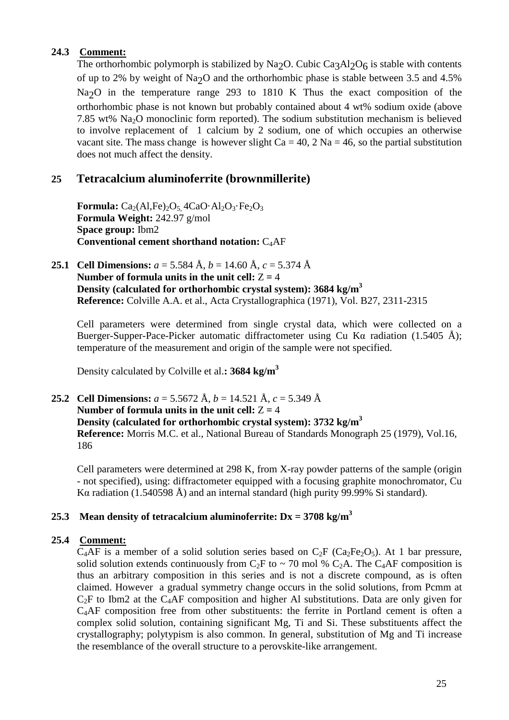## **24.3 Comment:**

The orthorhombic polymorph is stabilized by Na<sub>2</sub>O. Cubic Ca<sub>3</sub>Al<sub>2</sub>O<sub>6</sub> is stable with contents of up to 2% by weight of Na<sub>2</sub>O and the orthorhombic phase is stable between 3.5 and 4.5% Na<sub>2</sub>O in the temperature range 293 to 1810 K Thus the exact composition of the orthorhombic phase is not known but probably contained about 4 wt% sodium oxide (above 7.85 wt% Na<sub>2</sub>O monoclinic form reported). The sodium substitution mechanism is believed to involve replacement of 1 calcium by 2 sodium, one of which occupies an otherwise vacant site. The mass change is however slight Ca = 40, 2 Na = 46, so the partial substitution does not much affect the density.

# **25 Tetracalcium aluminoferrite (brownmillerite)**

**Formula:**  $Ca_2(AI,Fe)_2O_5$ ,  $4CaO·Al_2O_3·Fe_2O_3$ **Formula Weight:** 242.97 g/mol **Space group:** Ibm2 **Conventional cement shorthand notation:** C4AF

**25.1 Cell Dimensions:**  $a = 5.584 \text{ Å}, b = 14.60 \text{ Å}, c = 5.374 \text{ Å}$ **Number of formula units in the unit cell:**  $Z = 4$ **Density (calculated for orthorhombic crystal system): 3684 kg/m<sup>3</sup> Reference:** Colville A.A. et al., Acta Crystallographica (1971), Vol. B27, 2311-2315

Cell parameters were determined from single crystal data, which were collected on a Buerger-Supper-Pace-Picker automatic diffractometer using Cu Kα radiation (1.5405 Å); temperature of the measurement and origin of the sample were not specified.

Density calculated by Colville et al.**: 3684 kg/m<sup>3</sup>**

**25.2 Cell Dimensions:**  $a = 5.5672 \text{ Å}, b = 14.521 \text{ Å}, c = 5.349 \text{ Å}$ **Number of formula units in the unit cell:**  $Z = 4$ **Density (calculated for orthorhombic crystal system): 3732 kg/m<sup>3</sup> Reference:** Morris M.C. et al., National Bureau of Standards Monograph 25 (1979), Vol.16, 186

Cell parameters were determined at 298 K, from X-ray powder patterns of the sample (origin - not specified), using: diffractometer equipped with a focusing graphite monochromator, Cu Kα radiation (1.540598 Å) and an internal standard (high purity 99.99% Si standard).

# **25.3 Mean density of tetracalcium aluminoferrite: Dx = 3708 kg/m<sup>3</sup>**

### **25.4 Comment:**

C<sub>4</sub>AF is a member of a solid solution series based on C<sub>2</sub>F (Ca<sub>2</sub>Fe<sub>2</sub>O<sub>5</sub>). At 1 bar pressure, solid solution extends continuously from  $C_2F$  to ~ 70 mol %  $C_2A$ . The C<sub>4</sub>AF composition is thus an arbitrary composition in this series and is not a discrete compound, as is often claimed. However a gradual symmetry change occurs in the solid solutions, from Pcmm at  $C_2F$  to Ibm2 at the  $C_4AF$  composition and higher Al substitutions. Data are only given for C4AF composition free from other substituents: the ferrite in Portland cement is often a complex solid solution, containing significant Mg, Ti and Si. These substituents affect the crystallography; polytypism is also common. In general, substitution of Mg and Ti increase the resemblance of the overall structure to a perovskite-like arrangement.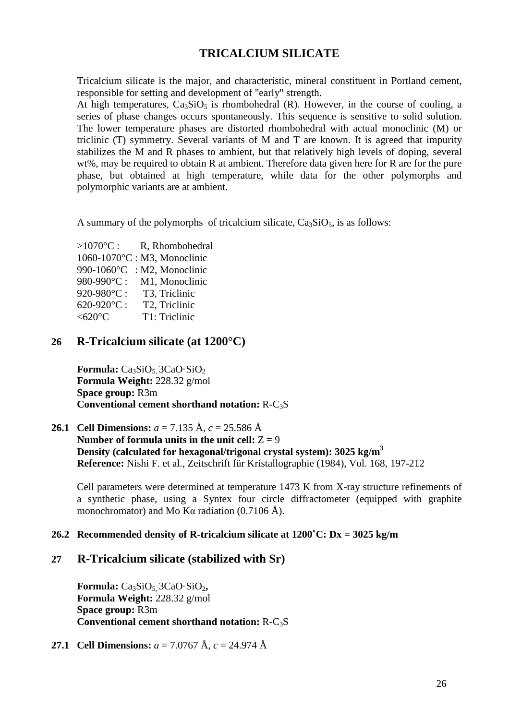# **TRICALCIUM SILICATE**

Tricalcium silicate is the major, and characteristic, mineral constituent in Portland cement, responsible for setting and development of "early" strength.

At high temperatures,  $Ca<sub>3</sub>SiO<sub>5</sub>$  is rhombohedral (R). However, in the course of cooling, a series of phase changes occurs spontaneously. This sequence is sensitive to solid solution. The lower temperature phases are distorted rhombohedral with actual monoclinic (M) or triclinic (T) symmetry. Several variants of M and T are known. It is agreed that impurity stabilizes the M and R phases to ambient, but that relatively high levels of doping, several wt%, may be required to obtain R at ambient. Therefore data given here for R are for the pure phase, but obtained at high temperature, while data for the other polymorphs and polymorphic variants are at ambient.

A summary of the polymorphs of tricalcium silicate,  $Ca<sub>3</sub>SiO<sub>5</sub>$ , is as follows:

 $>1070^{\circ}$ C : R, Rhombohedral 1060-1070°C : M3, Monoclinic 990-1060°C : M2, Monoclinic 980-990°C : M1, Monoclinic 920-980°C : T3, Triclinic 620-920°C : T2, Triclinic <620°C T1: Triclinic

## **26 R-Tricalcium silicate (at 1200°C)**

**Formula:**  $Ca<sub>3</sub>SiO<sub>5</sub>$ ,  $3CaO·SiO<sub>2</sub>$ **Formula Weight:** 228.32 g/mol **Space group:** R3m **Conventional cement shorthand notation:** R-C3S

**26.1 Cell Dimensions:**  $a = 7.135 \text{ Å}$ ,  $c = 25.586 \text{ Å}$ **Number of formula units in the unit cell:**  $Z = 9$ **Density (calculated for hexagonal/trigonal crystal system): 3025 kg/m<sup>3</sup> Reference:** Nishi F. et al., Zeitschrift für Kristallographie (1984), Vol. 168, 197-212

Cell parameters were determined at temperature 1473 K from X-ray structure refinements of a synthetic phase, using a Syntex four circle diffractometer (equipped with graphite monochromator) and Mo Kα radiation (0.7106 Å).

#### **26.2 Recommended density of R-tricalcium silicate at 1200˚C: Dx = 3025 kg/m**

**27 R-Tricalcium silicate (stabilized with Sr)** 

**Formula:** Ca3SiO5, 3CaO·SiO2**, Formula Weight:** 228.32 g/mol **Space group:** R3m **Conventional cement shorthand notation:** R-C3S

**27.1 Cell Dimensions:**  $a = 7.0767 \text{ Å}$ ,  $c = 24.974 \text{ Å}$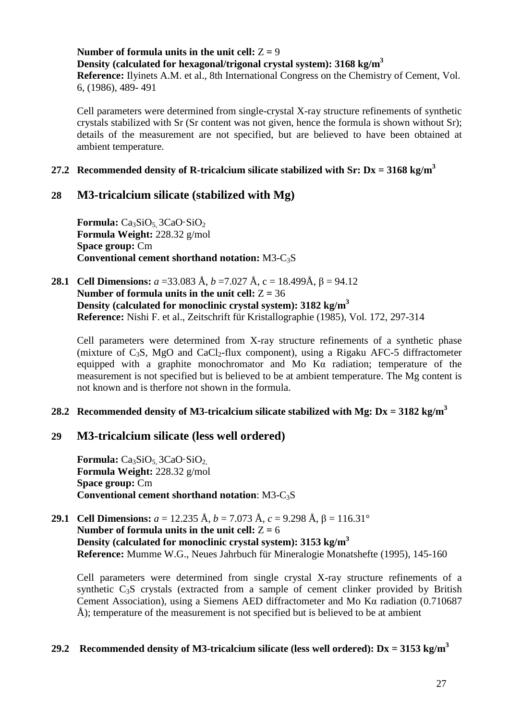# **Number of formula units in the unit cell:**  $Z = 9$ **Density (calculated for hexagonal/trigonal crystal system): 3168 kg/m<sup>3</sup> Reference:** Ilyinets A.M. et al., 8th International Congress on the Chemistry of Cement, Vol.

6, (1986), 489- 491

Cell parameters were determined from single-crystal X-ray structure refinements of synthetic crystals stabilized with Sr (Sr content was not given, hence the formula is shown without Sr); details of the measurement are not specified, but are believed to have been obtained at ambient temperature.

### **27.2 Recommended density of R-tricalcium silicate stabilized with Sr: Dx = 3168 kg/m<sup>3</sup>**

# **28 M3-tricalcium silicate (stabilized with Mg)**

**Formula:**  $Ca<sub>3</sub>SiO<sub>5</sub>$ ,  $3CaO·SiO<sub>2</sub>$ **Formula Weight:** 228.32 g/mol **Space group:** Cm **Conventional cement shorthand notation:** M3-C3S

**28.1 Cell Dimensions:** *a* =33.083 Å, *b* =7.027 Å, c = 18.499Å, β = 94.12 **Number of formula units in the unit cell:**  $Z = 36$ **Density (calculated for monoclinic crystal system): 3182 kg/m<sup>3</sup> Reference:** Nishi F. et al., Zeitschrift für Kristallographie (1985), Vol. 172, 297-314

Cell parameters were determined from X-ray structure refinements of a synthetic phase (mixture of  $C_3S$ , MgO and  $CaCl<sub>2</sub>$ -flux component), using a Rigaku AFC-5 diffractometer equipped with a graphite monochromator and Mo Kα radiation; temperature of the measurement is not specified but is believed to be at ambient temperature. The Mg content is not known and is therfore not shown in the formula.

# **28.2 Recommended density of M3-tricalcium silicate stabilized with Mg: Dx = 3182 kg/m<sup>3</sup>**

# **29 M3-tricalcium silicate (less well ordered)**

**Formula:**  $Ca<sub>3</sub>SiO<sub>5</sub>$ ,  $3CaO·SiO<sub>2</sub>$ **Formula Weight:** 228.32 g/mol **Space group:** Cm **Conventional cement shorthand notation**: M3-C3S

**29.1 Cell Dimensions:**  $a = 12.235 \text{ Å}, b = 7.073 \text{ Å}, c = 9.298 \text{ Å}, \beta = 116.31^{\circ}$ **Number of formula units in the unit cell:**  $Z = 6$ **Density (calculated for monoclinic crystal system): 3153 kg/m<sup>3</sup> Reference:** Mumme W.G., Neues Jahrbuch für Mineralogie Monatshefte (1995), 145-160

Cell parameters were determined from single crystal X-ray structure refinements of a synthetic  $C_3S$  crystals (extracted from a sample of cement clinker provided by British Cement Association), using a Siemens AED diffractometer and Mo Kα radiation (0.710687 Å); temperature of the measurement is not specified but is believed to be at ambient

# **29.2 Recommended density of M3-tricalcium silicate (less well ordered): Dx = 3153 kg/m<sup>3</sup>**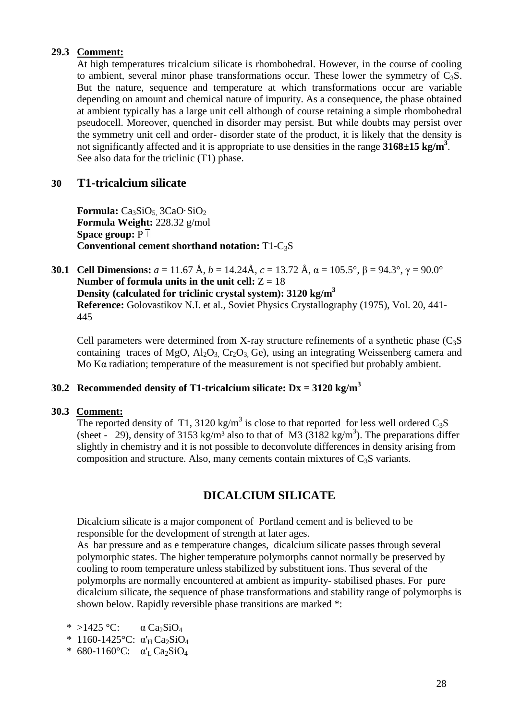#### **29.3 Comment:**

At high temperatures tricalcium silicate is rhombohedral. However, in the course of cooling to ambient, several minor phase transformations occur. These lower the symmetry of  $C_3S$ . But the nature, sequence and temperature at which transformations occur are variable depending on amount and chemical nature of impurity. As a consequence, the phase obtained at ambient typically has a large unit cell although of course retaining a simple rhombohedral pseudocell. Moreover, quenched in disorder may persist. But while doubts may persist over the symmetry unit cell and order- disorder state of the product, it is likely that the density is not significantly affected and it is appropriate to use densities in the range 3168±15 kg/m<sup>3</sup>. See also data for the triclinic (T1) phase.

# **30 T1-tricalcium silicate**

**Formula:** Ca<sub>3</sub>SiO<sub>5</sub>, 3CaO·SiO<sub>2</sub> **Formula Weight:** 228.32 g/mol **Space group:** P **Conventional cement shorthand notation:** T1-C3S

**30.1 Cell Dimensions:**  $a = 11.67 \text{ Å}$ ,  $b = 14.24 \text{ Å}$ ,  $c = 13.72 \text{ Å}$ ,  $\alpha = 105.5^{\circ}$ ,  $\beta = 94.3^{\circ}$ ,  $\gamma = 90.0^{\circ}$ **Number of formula units in the unit cell:**  $Z = 18$ **Density (calculated for triclinic crystal system): 3120 kg/m<sup>3</sup> Reference:** Golovastikov N.I. et al., Soviet Physics Crystallography (1975), Vol. 20, 441- 445

Cell parameters were determined from X-ray structure refinements of a synthetic phase  $(C_3S)$ containing traces of MgO,  $Al_2O_3$ , Cr<sub>2</sub>O<sub>3</sub>, Ge), using an integrating Weissenberg camera and Mo Kα radiation; temperature of the measurement is not specified but probably ambient.

#### **30.2 Recommended density of T1-tricalcium silicate: Dx = 3120 kg/m<sup>3</sup>**

#### **30.3 Comment:**

The reported density of T1, 3120 kg/m<sup>3</sup> is close to that reported for less well ordered  $C_3S$ (sheet - 29), density of 3153 kg/m<sup>3</sup> also to that of M3 (3182 kg/m<sup>3</sup>). The preparations differ slightly in chemistry and it is not possible to deconvolute differences in density arising from composition and structure. Also, many cements contain mixtures of  $C_3S$  variants.

## **DICALCIUM SILICATE**

Dicalcium silicate is a major component of Portland cement and is believed to be responsible for the development of strength at later ages.

As bar pressure and as e temperature changes, dicalcium silicate passes through several polymorphic states. The higher temperature polymorphs cannot normally be preserved by cooling to room temperature unless stabilized by substituent ions. Thus several of the polymorphs are normally encountered at ambient as impurity- stabilised phases. For pure dicalcium silicate, the sequence of phase transformations and stability range of polymorphs is shown below. Rapidly reversible phase transitions are marked \*:

\* >1425 °C:  $\alpha$  Ca<sub>2</sub>SiO<sub>4</sub>

\* 1160-1425 °C:  $\alpha'_{\text{H}}$  Ca<sub>2</sub>SiO<sub>4</sub>

\* 680-1160°C:  $\alpha'_{\rm L}$  Ca<sub>2</sub>SiO<sub>4</sub>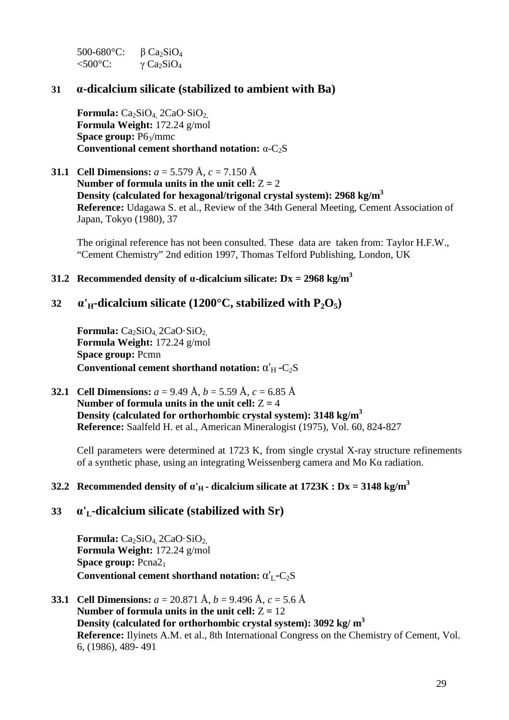500-680 $^{\circ}$ C: β Ca<sub>2</sub>SiO<sub>4</sub>  $\langle 500^{\circ}$ C:  $\gamma$  Ca<sub>2</sub>SiO<sub>4</sub>

## **31 α-dicalcium silicate (stabilized to ambient with Ba)**

**Formula:**  $Ca_2SiO_4$ ,  $2CaO·SiO_2$ , **Formula Weight:** 172.24 g/mol **Space group: P63/mmc Conventional cement shorthand notation:** α-C<sub>2</sub>S

**31.1 Cell Dimensions:**  $a = 5.579 \text{ Å}, c = 7.150 \text{ Å}$ **Number of formula units in the unit cell:**  $Z = 2$ **Density (calculated for hexagonal/trigonal crystal system): 2968 kg/m<sup>3</sup> Reference:** Udagawa S. et al., Review of the 34th General Meeting, Cement Association of Japan, Tokyo (1980), 37

The original reference has not been consulted. These data are taken from: Taylor H.F.W., "Cement Chemistry" 2nd edition 1997, Thomas Telford Publishing, London, UK

#### **31.2** Recommended density of  $\alpha$ -dicalcium silicate: Dx = 2968 kg/m<sup>3</sup>

# **32**  $\alpha'_{\text{H}}$ **-dicalcium silicate (1200°C, stabilized with**  $P_2O_5$ **)**

**Formula:**  $Ca_2SiO_4$ ,  $2CaO·SiO_2$ , **Formula Weight:** 172.24 g/mol **Space group:** Pcmn Conventional cement shorthand notation:  $\alpha'_{\text{H}}$  -C<sub>2</sub>S

**32.1 Cell Dimensions:**  $a = 9.49 \text{ Å}, b = 5.59 \text{ Å}, c = 6.85 \text{ Å}$ **Number of formula units in the unit cell:**  $Z = 4$ **Density (calculated for orthorhombic crystal system): 3148 kg/m<sup>3</sup> Reference:** Saalfeld H. et al., American Mineralogist (1975), Vol. 60, 824-827

Cell parameters were determined at 1723 K, from single crystal X-ray structure refinements of a synthetic phase, using an integrating Weissenberg camera and Mo Kα radiation.

### **32.2** Recommended density of  $\alpha'_{\text{H}}$  **-** dicalcium silicate at 1723K : Dx = 3148 kg/m<sup>3</sup>

### **33 α'L-dicalcium silicate (stabilized with Sr)**

**Formula:**  $Ca_2SiO_4$ ,  $2CaO·SiO_2$ **Formula Weight:** 172.24 g/mol **Space group:** Pcna2<sub>1</sub> **Conventional cement shorthand notation:**  $\alpha'_{L}$ -C<sub>2</sub>S

**33.1 Cell Dimensions:**  $a = 20.871 \text{ Å}$ ,  $b = 9.496 \text{ Å}$ ,  $c = 5.6 \text{ Å}$ **Number of formula units in the unit cell:**  $Z = 12$ **Density (calculated for orthorhombic crystal system): 3092 kg/ m<sup>3</sup> Reference:** Ilyinets A.M. et al., 8th International Congress on the Chemistry of Cement, Vol. 6, (1986), 489- 491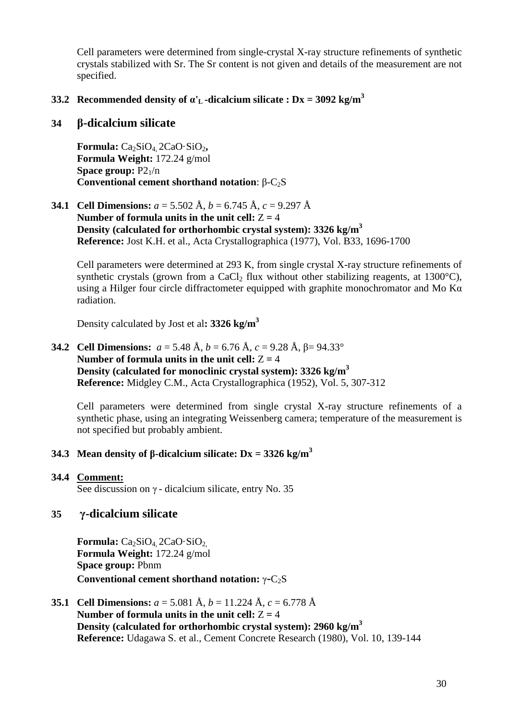Cell parameters were determined from single-crystal X-ray structure refinements of synthetic crystals stabilized with Sr. The Sr content is not given and details of the measurement are not specified.

## **33.2** Recommended density of  $\alpha'$ <sub>L</sub> -dicalcium silicate :  $Dx = 3092 \text{ kg/m}^3$

## **34 β-dicalcium silicate**

**Formula:** Ca<sub>2</sub>SiO<sub>4</sub>, 2CaO·SiO<sub>2</sub>, **Formula Weight:** 172.24 g/mol **Space group:** P2<sub>1</sub>/n **Conventional cement shorthand notation**: β-C2S

**34.1 Cell Dimensions:**  $a = 5.502 \text{ Å}$ ,  $b = 6.745 \text{ Å}$ ,  $c = 9.297 \text{ Å}$ **Number of formula units in the unit cell:**  $Z = 4$ **Density (calculated for orthorhombic crystal system): 3326 kg/m<sup>3</sup> Reference:** Jost K.H. et al., Acta Crystallographica (1977), Vol. B33, 1696-1700

Cell parameters were determined at 293 K, from single crystal X-ray structure refinements of synthetic crystals (grown from a CaCl<sub>2</sub> flux without other stabilizing reagents, at 1300 $^{\circ}$ C), using a Hilger four circle diffractometer equipped with graphite monochromator and Mo Kα radiation.

Density calculated by Jost et al**: 3326 kg/m<sup>3</sup>**

**34.2 Cell Dimensions:**  $a = 5.48 \text{ Å}, b = 6.76 \text{ Å}, c = 9.28 \text{ Å}, \beta = 94.33^{\circ}$ **Number of formula units in the unit cell:**  $Z = 4$ **Density (calculated for monoclinic crystal system): 3326 kg/m<sup>3</sup> Reference:** Midgley C.M., Acta Crystallographica (1952), Vol. 5, 307-312

Cell parameters were determined from single crystal X-ray structure refinements of a synthetic phase, using an integrating Weissenberg camera; temperature of the measurement is not specified but probably ambient.

### **34.3** Mean density of  $\beta$ -dicalcium silicate:  $Dx = 3326 \text{ kg/m}^3$

**34.4 Comment:**

See discussion on γ - dicalcium silicate, entry No. 35

# **35 γ-dicalcium silicate**

**Formula:**  $Ca_2SiO_4$   $2CaO·SiO_2$ **Formula Weight:** 172.24 g/mol **Space group:** Pbnm **Conventional cement shorthand notation:** γ**-**C2S

**35.1 Cell Dimensions:** *a* = 5.081 Å, *b* = 11.224 Å, *c* = 6.778 Å **Number of formula units in the unit cell:**  $Z = 4$ **Density (calculated for orthorhombic crystal system): 2960 kg/m<sup>3</sup> Reference:** Udagawa S. et al., Cement Concrete Research (1980), Vol. 10, 139-144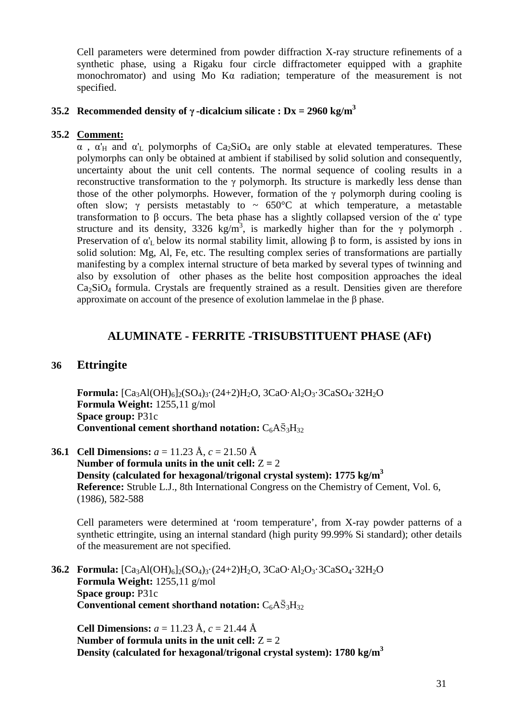Cell parameters were determined from powder diffraction X-ray structure refinements of a synthetic phase, using a Rigaku four circle diffractometer equipped with a graphite monochromator) and using Mo Kα radiation; temperature of the measurement is not specified.

### **35.2** Recommended density of  $\gamma$  **-dicalcium silicate :** Dx = 2960 kg/m<sup>3</sup>

### **35.2 Comment:**

 $\alpha$ ,  $\alpha'_{\rm H}$  and  $\alpha'_{\rm L}$  polymorphs of Ca<sub>2</sub>SiO<sub>4</sub> are only stable at elevated temperatures. These polymorphs can only be obtained at ambient if stabilised by solid solution and consequently, uncertainty about the unit cell contents. The normal sequence of cooling results in a reconstructive transformation to the  $\gamma$  polymorph. Its structure is markedly less dense than those of the other polymorphs. However, formation of the  $\gamma$  polymorph during cooling is often slow; γ persists metastably to  $\sim 650^{\circ}$ C at which temperature, a metastable transformation to β occurs. The beta phase has a slightly collapsed version of the α' type structure and its density, 3326 kg/m<sup>3</sup>, is markedly higher than for the  $\gamma$  polymorph. Preservation of  $\alpha_L$  below its normal stability limit, allowing  $\beta$  to form, is assisted by ions in solid solution: Mg, Al, Fe, etc. The resulting complex series of transformations are partially manifesting by a complex internal structure of beta marked by several types of twinning and also by exsolution of other phases as the belite host composition approaches the ideal  $Ca_2SiO<sub>4</sub>$  formula. Crystals are frequently strained as a result. Densities given are therefore approximate on account of the presence of exolution lammelae in the β phase.

# **ALUMINATE - FERRITE -TRISUBSTITUENT PHASE (AFt)**

# **36 Ettringite**

**Formula:**  $[C_{a_3}Al(OH)_{6}]_2(SO_4)_3.24+2)H_2O$ ,  $3CaO·Al_2O_3.3CaSO_4.32H_2O$ **Formula Weight:** 1255,11 g/mol **Space group:** P31c **Conventional cement shorthand notation:**  $C_6A\bar{S}_3H_{32}$ 

**36.1 Cell Dimensions:**  $a = 11.23 \text{ Å}$ ,  $c = 21.50 \text{ Å}$ **Number of formula units in the unit cell:**  $Z = 2$ **Density (calculated for hexagonal/trigonal crystal system): 1775 kg/m<sup>3</sup> Reference:** Struble L.J., 8th International Congress on the Chemistry of Cement, Vol. 6, (1986), 582-588

Cell parameters were determined at 'room temperature', from X-ray powder patterns of a synthetic ettringite, using an internal standard (high purity 99.99% Si standard); other details of the measurement are not specified.

**36.2 Formula:**  $[C_{a_3}Al(OH)_{6}]_2(SO_4)_3 \cdot (24+2)H_2O$ ,  $3CaO·Al_2O_3 \cdot 3CaSO_4 \cdot 32H_2O$ **Formula Weight:** 1255,11 g/mol **Space group:** P31c **Conventional cement shorthand notation:**  $C_6A\bar{S}_3H_{32}$ 

**Cell Dimensions:**  $a = 11.23 \text{ Å}$ ,  $c = 21.44 \text{ Å}$ **Number of formula units in the unit cell:**  $Z = 2$ **Density (calculated for hexagonal/trigonal crystal system): 1780 kg/m<sup>3</sup>**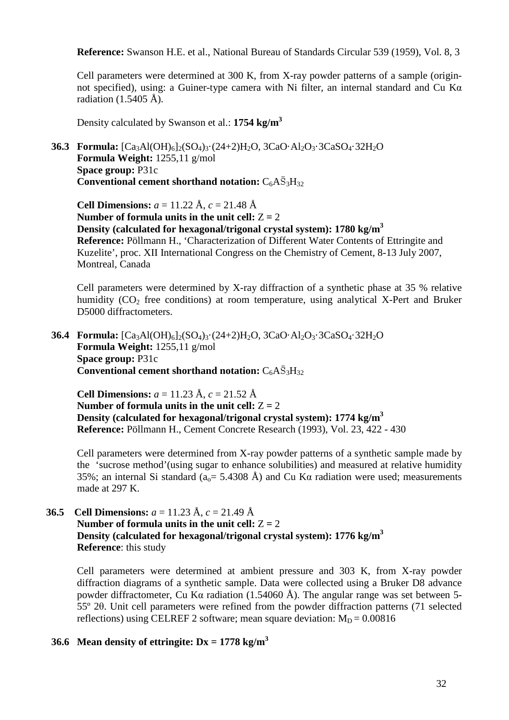**Reference:** Swanson H.E. et al., National Bureau of Standards Circular 539 (1959), Vol. 8, 3

Cell parameters were determined at 300 K, from X-ray powder patterns of a sample (originnot specified), using: a Guiner-type camera with Ni filter, an internal standard and Cu Kα radiation  $(1.5405 \text{ Å})$ .

Density calculated by Swanson et al.: **1754 kg/m<sup>3</sup>**

**36.3 Formula:**  $[C_{a_3}Al(OH)_{6}]_2(SO_4)_3.24+2)H_2O$ ,  $3CaO·Al_2O_3.3CaSO_4.32H_2O$ **Formula Weight:** 1255,11 g/mol **Space group:** P31c **Conventional cement shorthand notation:**  $C_6A\bar{S}_3H_{32}$ 

**Cell Dimensions:**  $a = 11.22 \text{ Å}$ ,  $c = 21.48 \text{ Å}$ **Number of formula units in the unit cell:**  $Z = 2$ **Density (calculated for hexagonal/trigonal crystal system): 1780 kg/m<sup>3</sup> Reference:** Pöllmann H., 'Characterization of Different Water Contents of Ettringite and Kuzelite', proc. XII International Congress on the Chemistry of Cement, 8-13 July 2007, Montreal, Canada

Cell parameters were determined by X-ray diffraction of a synthetic phase at 35 % relative humidity  $(CO<sub>2</sub>)$  free conditions) at room temperature, using analytical X-Pert and Bruker D5000 diffractometers.

**36.4 Formula:**  $[C_{a_3}Al(OH)_{6}]_2(SO_4)_3.24+2)H_2O$ ,  $3CaO·Al_2O_3.3CaSO_4.32H_2O$ **Formula Weight:** 1255,11 g/mol **Space group:** P31c **Conventional cement shorthand notation:**  $C_6A\bar{S}_3H_{32}$ 

 **Cell Dimensions:** *a* = 11.23 Å, *c* = 21.52 Å **Number of formula units in the unit cell:**  $Z = 2$ **Density (calculated for hexagonal/trigonal crystal system): 1774 kg/m<sup>3</sup> Reference:** Pöllmann H., Cement Concrete Research (1993), Vol. 23, 422 - 430

Cell parameters were determined from X-ray powder patterns of a synthetic sample made by the 'sucrose method'(using sugar to enhance solubilities) and measured at relative humidity 35%; an internal Si standard ( $a_0$  = 5.4308 Å) and Cu K $\alpha$  radiation were used; measurements made at 297 K.

**36.5** Cell Dimensions:  $a = 11.23$  Å,  $c = 21.49$  Å **Number of formula units in the unit cell:**  $Z = 2$ **Density (calculated for hexagonal/trigonal crystal system): 1776 kg/m<sup>3</sup> Reference**: this study

Cell parameters were determined at ambient pressure and 303 K, from X-ray powder diffraction diagrams of a synthetic sample. Data were collected using a Bruker D8 advance powder diffractometer, Cu K $\alpha$  radiation (1.54060 Å). The angular range was set between 5-55º 2θ. Unit cell parameters were refined from the powder diffraction patterns (71 selected reflections) using CELREF 2 software; mean square deviation:  $M_D = 0.00816$ 

# **36.6** Mean density of ettringite:  $Dx = 1778 \text{ kg/m}^3$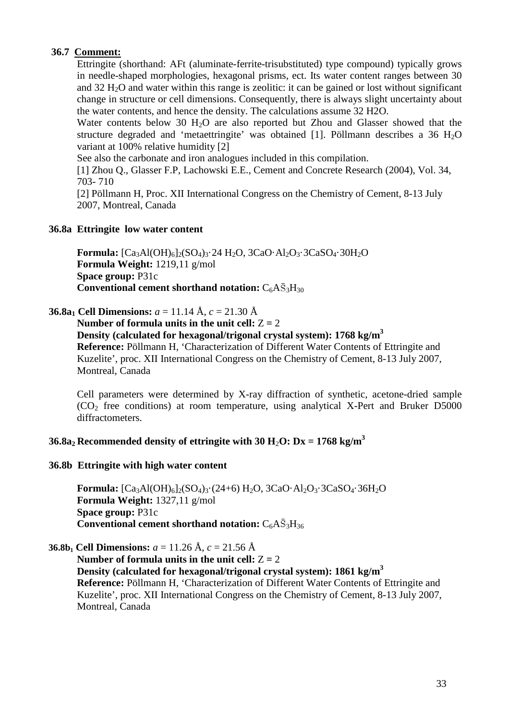### **36.7 Comment:**

Ettringite (shorthand: AFt (aluminate-ferrite-trisubstituted) type compound) typically grows in needle-shaped morphologies, hexagonal prisms, ect. Its water content ranges between 30 and 32 H2O and water within this range is zeolitic: it can be gained or lost without significant change in structure or cell dimensions. Consequently, there is always slight uncertainty about the water contents, and hence the density. The calculations assume 32 H2O.

Water contents below 30  $H<sub>2</sub>O$  are also reported but Zhou and Glasser showed that the structure degraded and 'metaettringite' was obtained [1]. Pöllmann describes a 36 H<sub>2</sub>O variant at 100% relative humidity [2]

See also the carbonate and iron analogues included in this compilation.

[1] Zhou Q., Glasser F.P, Lachowski E.E., Cement and Concrete Research (2004), Vol. 34, 703- 710

[2] Pöllmann H, Proc. XII International Congress on the Chemistry of Cement, 8-13 July 2007, Montreal, Canada

#### **36.8a Ettringite low water content**

**Formula:**  $[C_{a_3}Al(OH)_{6}]_2(SO_4)_3.24 H_2O$ ,  $3CaO·Al_2O_3.3CaSO_4.30H_2O$ **Formula Weight:** 1219,11 g/mol **Space group:** P31c **Conventional cement shorthand notation:**  $C_6A\bar{S}_3H_{30}$ 

### **36.8a**<sub>**1</sub> Cell Dimensions:**  $a = 11.14 \text{ Å}$ ,  $c = 21.30 \text{ Å}$ </sub>

**Number of formula units in the unit cell:**  $Z = 2$ **Density (calculated for hexagonal/trigonal crystal system): 1768 kg/m<sup>3</sup> Reference:** Pöllmann H, 'Characterization of Different Water Contents of Ettringite and Kuzelite', proc. XII International Congress on the Chemistry of Cement, 8-13 July 2007, Montreal, Canada

Cell parameters were determined by X-ray diffraction of synthetic, acetone-dried sample  $(CO<sub>2</sub>$  free conditions) at room temperature, using analytical X-Pert and Bruker D5000 diffractometers.

## **36.8a**<sub>2</sub> **Recommended density of ettringite with 30 H<sub>2</sub>O: Dx = 1768 kg/m<sup>3</sup>**

#### **36.8b****Ettringite with high water content**

**Formula:**  $[C_{a_3}Al(OH)_6]_2(SO_4)_3.24+6) H_2O$ ,  $3CaO·Al_2O_3.3CaSO_4.36H_2O$ **Formula Weight:** 1327,11 g/mol **Space group:** P31c **Conventional cement shorthand notation:**  $C_6A\bar{S}_3H_{36}$ 

 **36.8b1 Cell Dimensions:** *a* = 11.26 Å, *c* = 21.56 Å

**Number of formula units in the unit cell:**  $Z = 2$ **Density (calculated for hexagonal/trigonal crystal system): 1861 kg/m<sup>3</sup> Reference:** Pöllmann H, 'Characterization of Different Water Contents of Ettringite and Kuzelite', proc. XII International Congress on the Chemistry of Cement, 8-13 July 2007, Montreal, Canada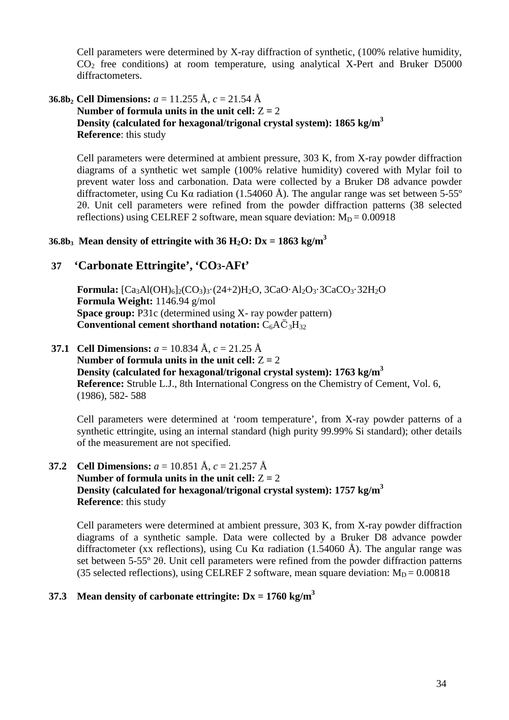Cell parameters were determined by X-ray diffraction of synthetic, (100% relative humidity,  $CO<sub>2</sub>$  free conditions) at room temperature, using analytical X-Pert and Bruker D5000 diffractometers.

**36.8b2 Cell Dimensions:** *a* = 11.255 Å, *c* = 21.54 Å **Number of formula units in the unit cell:**  $Z = 2$ **Density (calculated for hexagonal/trigonal crystal system): 1865 kg/m<sup>3</sup> Reference**: this study

Cell parameters were determined at ambient pressure, 303 K, from X-ray powder diffraction diagrams of a synthetic wet sample (100% relative humidity) covered with Mylar foil to prevent water loss and carbonation. Data were collected by a Bruker D8 advance powder diffractometer, using Cu Kα radiation (1.54060 Å). The angular range was set between 5-55º 2θ. Unit cell parameters were refined from the powder diffraction patterns (38 selected reflections) using CELREF 2 software, mean square deviation:  $M_D = 0.00918$ 

### **36.8b3** Mean density of ettringite with 36 H<sub>2</sub>O: Dx = 1863 kg/m<sup>3</sup>

## **37 'Carbonate Ettringite', 'CO3-AFt'**

**Formula:**  $[C_{a_3}Al(OH)_{6}]_2(CO_3)_3 \cdot (24+2)H_2O$ ,  $3CaO·Al_2O_3 \cdot 3CaCO_3 \cdot 32H_2O$ **Formula Weight:** 1146.94 g/mol **Space group:** P31c (determined using X- ray powder pattern) **Conventional cement shorthand notation:**  $C_6A\overline{C}_3H_{32}$ 

**37.1 Cell Dimensions:**  $a = 10.834 \text{ Å}$ ,  $c = 21.25 \text{ Å}$ **Number of formula units in the unit cell:**  $Z = 2$ **Density (calculated for hexagonal/trigonal crystal system): 1763 kg/m<sup>3</sup> Reference:** Struble L.J., 8th International Congress on the Chemistry of Cement, Vol. 6, (1986), 582- 588

Cell parameters were determined at 'room temperature', from X-ray powder patterns of a synthetic ettringite, using an internal standard (high purity 99.99% Si standard); other details of the measurement are not specified.

**37.2 Cell Dimensions:**  $a = 10.851 \text{ Å}$ ,  $c = 21.257 \text{ Å}$ **Number of formula units in the unit cell:**  $Z = 2$ **Density (calculated for hexagonal/trigonal crystal system): 1757 kg/m<sup>3</sup> Reference**: this study

Cell parameters were determined at ambient pressure, 303 K, from X-ray powder diffraction diagrams of a synthetic sample. Data were collected by a Bruker D8 advance powder diffractometer (xx reflections), using Cu K $\alpha$  radiation (1.54060 Å). The angular range was set between 5-55º 2θ. Unit cell parameters were refined from the powder diffraction patterns (35 selected reflections), using CELREF 2 software, mean square deviation:  $M_D = 0.00818$ 

#### **37.3 Mean density of carbonate ettringite: Dx = 1760 kg/m<sup>3</sup>**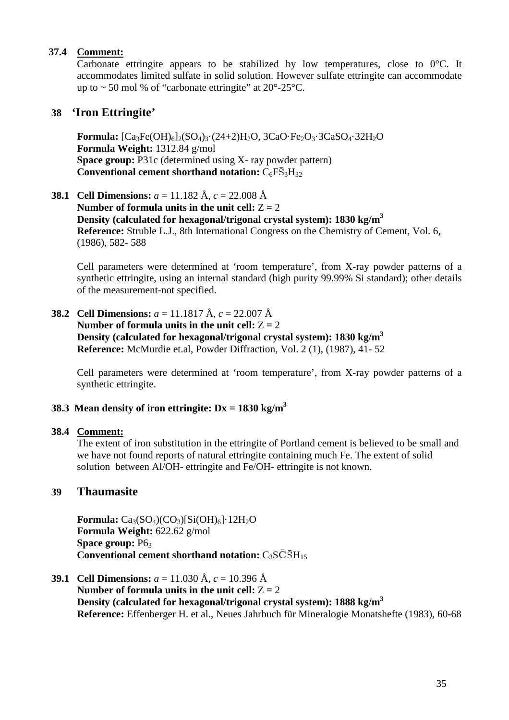#### **37.4 Comment:**

Carbonate ettringite appears to be stabilized by low temperatures, close to  $0^{\circ}$ C. It accommodates limited sulfate in solid solution. However sulfate ettringite can accommodate up to  $\sim$  50 mol % of "carbonate ettringite" at 20°-25°C.

# **38 'Iron Ettringite'**

**Formula:**  $[C_{a_3}Fe(OH)_{6}]_2(SO_4)_3.24+2)H_2O$ ,  $3CaO·Fe_2O_3.3CaSO_4.32H_2O$ **Formula Weight:** 1312.84 g/mol **Space group:** P31c (determined using X- ray powder pattern) **Conventional cement shorthand notation:**  $C_6F\bar{S}_3H_{32}$ 

**38.1 Cell Dimensions:**  $a = 11.182 \text{ Å}$ ,  $c = 22.008 \text{ Å}$ **Number of formula units in the unit cell:**  $Z = 2$ **Density (calculated for hexagonal/trigonal crystal system): 1830 kg/m<sup>3</sup> Reference:** Struble L.J., 8th International Congress on the Chemistry of Cement, Vol. 6, (1986), 582- 588

Cell parameters were determined at 'room temperature', from X-ray powder patterns of a synthetic ettringite, using an internal standard (high purity 99.99% Si standard); other details of the measurement-not specified.

**38.2 Cell Dimensions:**  $a = 11.1817 \text{ Å}$ ,  $c = 22.007 \text{ Å}$ **Number of formula units in the unit cell:**  $Z = 2$ **Density (calculated for hexagonal/trigonal crystal system): 1830 kg/m<sup>3</sup> Reference:** McMurdie et.al, Powder Diffraction, Vol. 2 (1), (1987), 41- 52

Cell parameters were determined at 'room temperature', from X-ray powder patterns of a synthetic ettringite.

### **38.3 Mean density of iron ettringite: Dx = 1830 kg/m<sup>3</sup>**

### **38.4 Comment:**

The extent of iron substitution in the ettringite of Portland cement is believed to be small and we have not found reports of natural ettringite containing much Fe. The extent of solid solution between Al/OH- ettringite and Fe/OH- ettringite is not known.

# **39 Thaumasite**

**Formula:**  $Ca_3(SO_4)(CO_3)[Si(OH)_6] \cdot 12H_2O$ **Formula Weight:** 622.62 g/mol **Space group: P63 Conventional cement shorthand notation:**  $C_3S\overline{C}SH_{15}$ 

**39.1 Cell Dimensions:**  $a = 11.030 \text{ Å}$ ,  $c = 10.396 \text{ Å}$ **Number of formula units in the unit cell:**  $Z = 2$ **Density (calculated for hexagonal/trigonal crystal system): 1888 kg/m<sup>3</sup> Reference:** Effenberger H. et al., Neues Jahrbuch für Mineralogie Monatshefte (1983), 60-68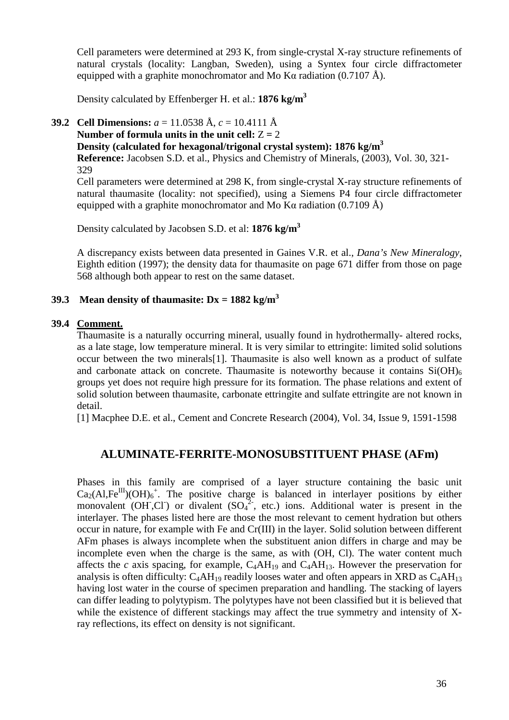Cell parameters were determined at 293 K, from single-crystal X-ray structure refinements of natural crystals (locality: Langban, Sweden), using a Syntex four circle diffractometer equipped with a graphite monochromator and Mo K $\alpha$  radiation (0.7107 Å).

Density calculated by Effenberger H. et al.: **1876 kg/m<sup>3</sup>**

**39.2 Cell Dimensions:**  $a = 11.0538 \text{ Å}$ ,  $c = 10.4111 \text{ Å}$ **Number of formula units in the unit cell:**  $Z = 2$ **Density (calculated for hexagonal/trigonal crystal system): 1876 kg/m<sup>3</sup> Reference:** Jacobsen S.D. et al., Physics and Chemistry of Minerals, (2003), Vol. 30, 321- 329 Cell parameters were determined at 298 K, from single-crystal X-ray structure refinements of natural thaumasite (locality: not specified), using a Siemens P4 four circle diffractometer

equipped with a graphite monochromator and Mo K $\alpha$  radiation (0.7109 Å)

Density calculated by Jacobsen S.D. et al: **1876 kg/m<sup>3</sup>**

A discrepancy exists between data presented in Gaines V.R. et al., *Dana's New Mineralogy*, Eighth edition (1997); the density data for thaumasite on page 671 differ from those on page 568 although both appear to rest on the same dataset.

## **39.3** Mean density of thaumasite:  $Dx = 1882 \text{ kg/m}^3$

### **39.4 Comment.**

Thaumasite is a naturally occurring mineral, usually found in hydrothermally- altered rocks, as a late stage, low temperature mineral. It is very similar to ettringite: limited solid solutions occur between the two minerals[1]. Thaumasite is also well known as a product of sulfate and carbonate attack on concrete. Thaumasite is noteworthy because it contains  $Si(OH)_{6}$ groups yet does not require high pressure for its formation. The phase relations and extent of solid solution between thaumasite, carbonate ettringite and sulfate ettringite are not known in detail.

[1] Macphee D.E. et al., Cement and Concrete Research (2004), Vol. 34, Issue 9, 1591-1598

# **ALUMINATE-FERRITE-MONOSUBSTITUENT PHASE (AFm)**

Phases in this family are comprised of a layer structure containing the basic unit  $Ca_2(AI,Fe^{III})(OH)<sub>6</sub><sup>+</sup>$ . The positive charge is balanced in interlayer positions by either monovalent (OH,Cl) or divalent  $(SO<sub>4</sub><sup>2</sup>$ , etc.) ions. Additional water is present in the interlayer. The phases listed here are those the most relevant to cement hydration but others occur in nature, for example with Fe and Cr(III) in the layer. Solid solution between different AFm phases is always incomplete when the substituent anion differs in charge and may be incomplete even when the charge is the same, as with (OH, Cl). The water content much affects the *c* axis spacing, for example,  $C_4AH_{19}$  and  $C_4AH_{13}$ . However the preservation for analysis is often difficulty:  $C_4AH_{19}$  readily looses water and often appears in XRD as  $C_4AH_{13}$ having lost water in the course of specimen preparation and handling. The stacking of layers can differ leading to polytypism. The polytypes have not been classified but it is believed that while the existence of different stackings may affect the true symmetry and intensity of Xray reflections, its effect on density is not significant.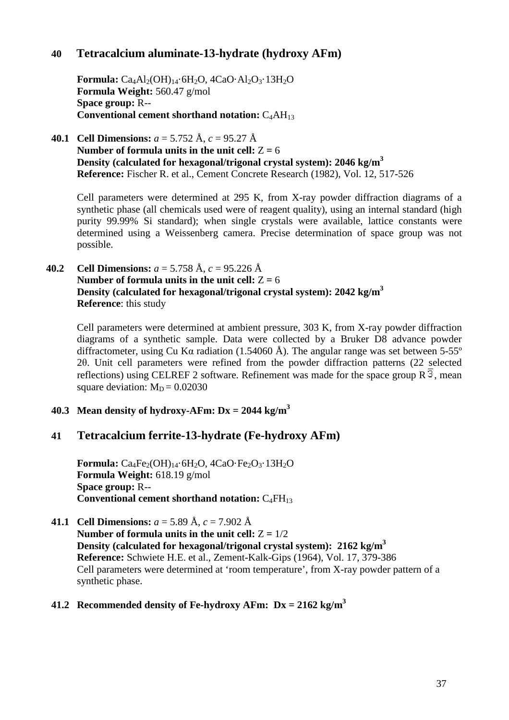# **40 Tetracalcium aluminate-13-hydrate (hydroxy AFm)**

**Formula:**  $Ca_4Al_2(OH)_{14} \cdot 6H_2O$ ,  $4CaO \cdot Al_2O_3 \cdot 13H_2O$ **Formula Weight:** 560.47 g/mol **Space group:** R-- **Conventional cement shorthand notation:** C<sub>4</sub>AH<sub>13</sub>

**40.1 Cell Dimensions:**  $a = 5.752 \text{ Å}$ ,  $c = 95.27 \text{ Å}$ **Number of formula units in the unit cell:**  $Z = 6$ **Density (calculated for hexagonal/trigonal crystal system): 2046 kg/m<sup>3</sup> Reference:** Fischer R. et al., Cement Concrete Research (1982), Vol. 12, 517-526

Cell parameters were determined at 295 K, from X-ray powder diffraction diagrams of a synthetic phase (all chemicals used were of reagent quality), using an internal standard (high purity 99.99% Si standard); when single crystals were available, lattice constants were determined using a Weissenberg camera. Precise determination of space group was not possible.

**40.2** Cell Dimensions:  $a = 5.758$  Å,  $c = 95.226$  Å **Number of formula units in the unit cell:**  $Z = 6$ **Density (calculated for hexagonal/trigonal crystal system): 2042 kg/m<sup>3</sup> Reference**: this study

Cell parameters were determined at ambient pressure, 303 K, from X-ray powder diffraction diagrams of a synthetic sample. Data were collected by a Bruker D8 advance powder diffractometer, using Cu Kα radiation (1.54060 Å). The angular range was set between 5-55º 2θ. Unit cell parameters were refined from the powder diffraction patterns (22 selected reflections) using CELREF 2 software. Refinement was made for the space group  $R^{\overline{3}}$ , mean square deviation:  $M_D = 0.02030$ 

# **40.3** Mean density of hydroxy-AFm:  $Dx = 2044 \text{ kg/m}^3$

# **41 Tetracalcium ferrite-13-hydrate (Fe-hydroxy AFm)**

**Formula:**  $Ca_4Fe_2(OH)_{14} \cdot 6H_2O$ ,  $4CaO·Fe_2O_3 \cdot 13H_2O$ **Formula Weight:** 618.19 g/mol **Space group:** R-- **Conventional cement shorthand notation:** C<sub>4</sub>FH<sub>13</sub>

**41.1 Cell Dimensions:**  $a = 5.89 \text{ Å}$ ,  $c = 7.902 \text{ Å}$ **Number of formula units in the unit cell:**  $Z = 1/2$ **Density (calculated for hexagonal/trigonal crystal system): 2162 kg/m<sup>3</sup> Reference:** Schwiete H.E. et al., Zement-Kalk-Gips (1964), Vol. 17, 379-386 Cell parameters were determined at 'room temperature', from X-ray powder pattern of a synthetic phase.

## **41.2 Recommended density of Fe-hydroxy AFm: Dx = 2162 kg/m<sup>3</sup>**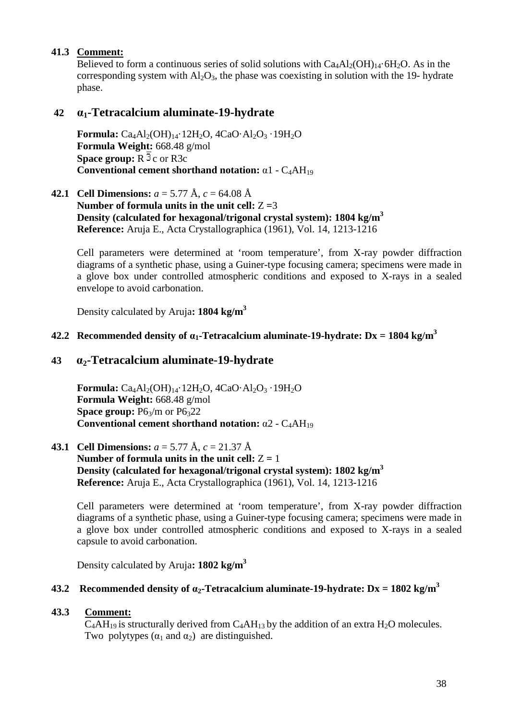## **41.3 Comment:**

Believed to form a continuous series of solid solutions with  $Ca_4Al_2(OH)_{14}·6H_2O$ . As in the corresponding system with  $A<sub>1</sub>Q<sub>3</sub>$ , the phase was coexisting in solution with the 19- hydrate phase.

# **42 α1-Tetracalcium aluminate-19-hydrate**

**Formula:**  $Ca_4Al_2(OH)_{14}$   $\cdot$  12H<sub>2</sub>O,  $4CaO \cdot Al_2O_3 \cdot 19H_2O$ **Formula Weight:** 668.48 g/mol **Space group:**  $R \overline{3}c$  or R3c **Conventional cement shorthand notation:** α1 - C<sub>4</sub>AH<sub>19</sub>

**42.1 Cell Dimensions:**  $a = 5.77 \text{ Å}$ ,  $c = 64.08 \text{ Å}$ **Number of formula units in the unit cell:**  $Z = 3$ **Density (calculated for hexagonal/trigonal crystal system): 1804 kg/m<sup>3</sup> Reference:** Aruja E., Acta Crystallographica (1961), Vol. 14, 1213-1216

Cell parameters were determined at 'room temperature', from X-ray powder diffraction diagrams of a synthetic phase, using a Guiner-type focusing camera; specimens were made in a glove box under controlled atmospheric conditions and exposed to X-rays in a sealed envelope to avoid carbonation.

Density calculated by Aruja**: 1804 kg/m<sup>3</sup>**

# **42.2** Recommended density of  $a_1$ -Tetracalcium aluminate-19-hydrate: Dx = 1804 kg/m<sup>3</sup>

# **43 α2-Tetracalcium aluminate-19-hydrate**

**Formula:**  $Ca_4Al_2(OH)_{14} \cdot 12H_2O$ ,  $4CaO \cdot Al_2O_3 \cdot 19H_2O$ **Formula Weight:** 668.48 g/mol **Space group:**  $P6_3/m$  or  $P6_322$ **Conventional cement shorthand notation:** α2 - C<sub>4</sub>AH<sub>19</sub>

**43.1 Cell Dimensions:**  $a = 5.77 \text{ Å}$ ,  $c = 21.37 \text{ Å}$ **Number of formula units in the unit cell:**  $Z = 1$ **Density (calculated for hexagonal/trigonal crystal system): 1802 kg/m<sup>3</sup> Reference:** Aruja E., Acta Crystallographica (1961), Vol. 14, 1213-1216

Cell parameters were determined at 'room temperature', from X-ray powder diffraction diagrams of a synthetic phase, using a Guiner-type focusing camera; specimens were made in a glove box under controlled atmospheric conditions and exposed to X-rays in a sealed capsule to avoid carbonation.

Density calculated by Aruja**: 1802 kg/m<sup>3</sup>**

### **43.2** Recommended density of  $a_2$ -Tetracalcium aluminate-19-hydrate:  $Dx = 1802 \text{ kg/m}^3$

# **43.3 Comment:**

 $C_4AH_{19}$  is structurally derived from  $C_4AH_{13}$  by the addition of an extra  $H_2O$  molecules. Two polytypes  $(\alpha_1 \text{ and } \alpha_2)$  are distinguished.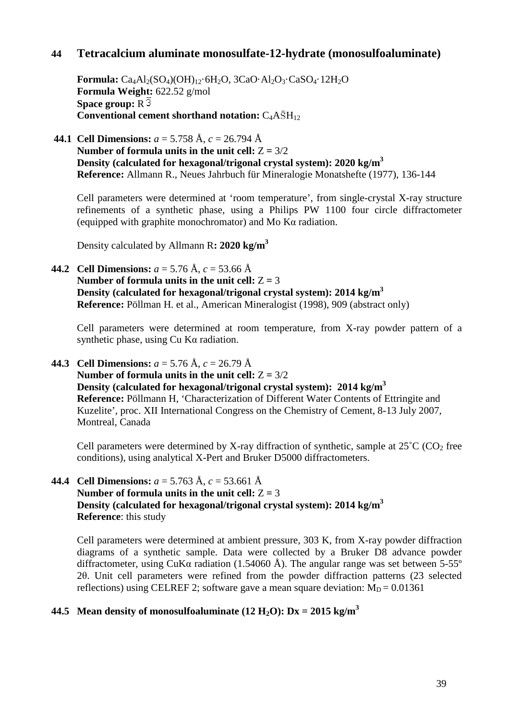# **44 Tetracalcium aluminate monosulfate-12-hydrate (monosulfoaluminate)**

**Formula:** Ca<sub>4</sub>Al<sub>2</sub>(SO<sub>4</sub>)(OH)<sub>12</sub>·6H<sub>2</sub>O, 3CaO·Al<sub>2</sub>O<sub>3</sub>·CaSO<sub>4</sub>·12H<sub>2</sub>O **Formula Weight:** 622.52 g/mol **Space group:** R **Conventional cement shorthand notation:**  $C_4A\overline{S}H_{12}$ 

 **44.1 Cell Dimensions:**  $a = 5.758$  Å,  $c = 26.794$  Å **Number of formula units in the unit cell:**  $Z = 3/2$ **Density (calculated for hexagonal/trigonal crystal system): 2020 kg/m<sup>3</sup> Reference:** Allmann R., Neues Jahrbuch für Mineralogie Monatshefte (1977), 136-144

Cell parameters were determined at 'room temperature', from single-crystal X-ray structure refinements of a synthetic phase, using a Philips PW 1100 four circle diffractometer (equipped with graphite monochromator) and Mo Kα radiation.

Density calculated by Allmann R**: 2020 kg/m<sup>3</sup>**

**44.2 Cell Dimensions:**  $a = 5.76 \text{ Å}$ ,  $c = 53.66 \text{ Å}$ **Number of formula units in the unit cell:**  $Z = 3$ **Density (calculated for hexagonal/trigonal crystal system): 2014 kg/m<sup>3</sup> Reference:** Pöllman H. et al., American Mineralogist (1998), 909 (abstract only)

Cell parameters were determined at room temperature, from X-ray powder pattern of a synthetic phase, using Cu Kα radiation.

**44.3** Cell Dimensions:  $a = 5.76$  Å,  $c = 26.79$  Å **Number of formula units in the unit cell:**  $Z = 3/2$ **Density (calculated for hexagonal/trigonal crystal system): 2014 kg/m<sup>3</sup> Reference:** Pöllmann H, 'Characterization of Different Water Contents of Ettringite and Kuzelite', proc. XII International Congress on the Chemistry of Cement, 8-13 July 2007, Montreal, Canada

Cell parameters were determined by X-ray diffraction of synthetic, sample at  $25^{\circ}$ C (CO<sub>2</sub> free conditions), using analytical X-Pert and Bruker D5000 diffractometers.

 **44.4 Cell Dimensions:**  $a = 5.763 \text{ Å}$ ,  $c = 53.661 \text{ Å}$ **Number of formula units in the unit cell:**  $Z = 3$ **Density (calculated for hexagonal/trigonal crystal system): 2014 kg/m<sup>3</sup> Reference**: this study

Cell parameters were determined at ambient pressure, 303 K, from X-ray powder diffraction diagrams of a synthetic sample. Data were collected by a Bruker D8 advance powder diffractometer, using CuKa radiation (1.54060 Å). The angular range was set between 5-55 $^{\circ}$ 2θ. Unit cell parameters were refined from the powder diffraction patterns (23 selected reflections) using CELREF 2; software gave a mean square deviation:  $M_D = 0.01361$ 

## **44.5** Mean density of monosulfoaluminate (12 H<sub>2</sub>O): Dx = 2015 kg/m<sup>3</sup>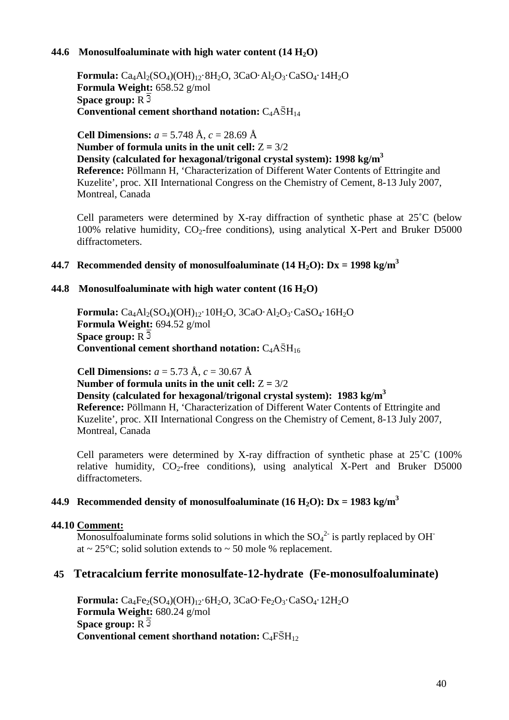#### **44.6****Monosulfoaluminate with high water content (14 H2O)**

**Formula:**  $Ca_4Al_2(SO_4)(OH)_{12}$   $8H_2O$ ,  $3CaO·Al_2O_3$   $CaSO_4$   $14H_2O$ **Formula Weight:** 658.52 g/mol **Space group:** R **Conventional cement shorthand notation:**  $C_4A\bar{S}H_{14}$ 

 **Cell Dimensions:** *a* = 5.748 Å, *c* = 28.69 Å **Number of formula units in the unit cell:**  $Z = 3/2$ **Density (calculated for hexagonal/trigonal crystal system): 1998 kg/m<sup>3</sup> Reference:** Pöllmann H, 'Characterization of Different Water Contents of Ettringite and Kuzelite', proc. XII International Congress on the Chemistry of Cement, 8-13 July 2007, Montreal, Canada

Cell parameters were determined by X-ray diffraction of synthetic phase at 25˚C (below  $100\%$  relative humidity, CO<sub>2</sub>-free conditions), using analytical X-Pert and Bruker D5000 diffractometers.

#### **44.7** Recommended density of monosulfoaluminate  $(14 \text{ H}_2\text{O})$ :  $\text{Dx} = 1998 \text{ kg/m}^3$

#### **44.8****Monosulfoaluminate with high water content (16 H2O)**

**Formula:**  $Ca_4Al_2(SO_4)(OH)_{12}$ :  $10H_2O$ ,  $3CaO·Al_2O_3$ · $CaSO_4$ · $16H_2O$ **Formula Weight:** 694.52 g/mol **Space group:** R **Conventional cement shorthand notation:** C<sub>4</sub>ASH<sub>16</sub>

**Cell Dimensions:**  $a = 5.73 \text{ Å}$ ,  $c = 30.67 \text{ Å}$ 

**Number of formula units in the unit cell:**  $Z = 3/2$ 

**Density (calculated for hexagonal/trigonal crystal system): 1983 kg/m<sup>3</sup> Reference:** Pöllmann H, 'Characterization of Different Water Contents of Ettringite and Kuzelite', proc. XII International Congress on the Chemistry of Cement, 8-13 July 2007, Montreal, Canada

Cell parameters were determined by X-ray diffraction of synthetic phase at 25˚C (100% relative humidity,  $CO_2$ -free conditions), using analytical X-Pert and Bruker D5000 diffractometers.

#### **44.9** Recommended density of monosulfoaluminate (16 H<sub>2</sub>O): Dx = 1983 kg/m<sup>3</sup>

#### **44.10 Comment:**

Monosulfoaluminate forms solid solutions in which the  $SO_4^2$  is partly replaced by OH at  $\sim$  25 $^{\circ}$ C; solid solution extends to  $\sim$  50 mole % replacement.

### **45 Tetracalcium ferrite monosulfate-12-hydrate (Fe-monosulfoaluminate)**

**Formula:**  $Ca_4Fe_2(SO_4)(OH)_{12} \cdot 6H_2O$ ,  $3CaO·Fe_2O_3 \cdot CaSO_4 \cdot 12H_2O$ **Formula Weight:** 680.24 g/mol **Space group:** R **Conventional cement shorthand notation:** C<sub>4</sub>FSH<sub>12</sub>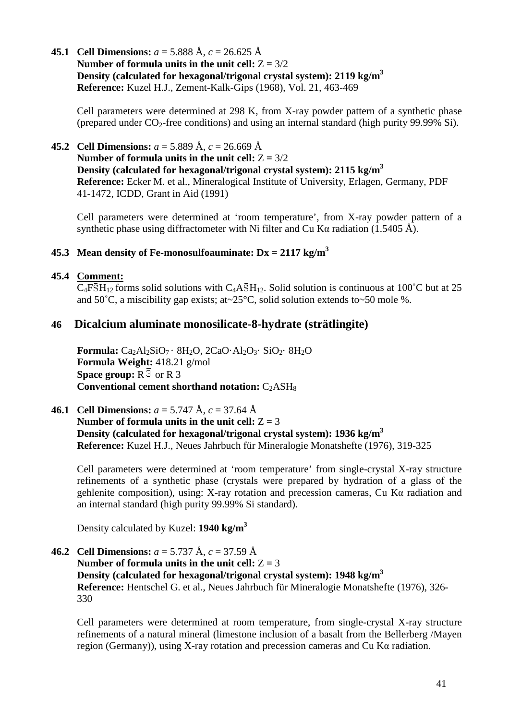**45.1 Cell Dimensions:**  $a = 5.888 \text{ Å}, c = 26.625 \text{ Å}$ **Number of formula units in the unit cell:**  $Z = 3/2$ **Density (calculated for hexagonal/trigonal crystal system): 2119 kg/m<sup>3</sup> Reference:** Kuzel H.J., Zement-Kalk-Gips (1968), Vol. 21, 463-469

Cell parameters were determined at 298 K, from X-ray powder pattern of a synthetic phase (prepared under  $CO_2$ -free conditions) and using an internal standard (high purity 99.99% Si).

**45.2 Cell Dimensions:**  $a = 5.889 \text{ Å}$ ,  $c = 26.669 \text{ Å}$ **Number of formula units in the unit cell:**  $Z = 3/2$ **Density (calculated for hexagonal/trigonal crystal system): 2115 kg/m<sup>3</sup> Reference:** Ecker M. et al., Mineralogical Institute of University, Erlagen, Germany, PDF 41-1472, ICDD, Grant in Aid (1991)

Cell parameters were determined at 'room temperature', from X-ray powder pattern of a synthetic phase using diffractometer with Ni filter and Cu K $\alpha$  radiation (1.5405 Å).

# **45.3 Mean density of Fe-monosulfoauminate: Dx = 2117 kg/m<sup>3</sup>**

### **45.4 Comment:**

 $C_4F\bar{S}H_1$  forms solid solutions with  $C_4A\bar{S}H_1$ . Solid solution is continuous at 100°C but at 25 and  $50^{\circ}$ C, a miscibility gap exists; at  $\sim$  25 $^{\circ}$ C, solid solution extends to  $\sim$  50 mole %.

# **46 Dicalcium aluminate monosilicate-8-hydrate (strätlingite)**

**Formula:**  $Ca_2Al_2SiO_7 \cdot 8H_2O$ ,  $2CaO \cdot Al_2O_3 \cdot SiO_2 \cdot 8H_2O$ **Formula Weight:** 418.21 g/mol **Space group:**  $R^{\overline{3}}$  or  $R^3$ **Conventional cement shorthand notation:** C<sub>2</sub>ASH<sub>8</sub>

**46.1 Cell Dimensions:**  $a = 5.747 \text{ Å}$ ,  $c = 37.64 \text{ Å}$ **Number of formula units in the unit cell:**  $Z = 3$ **Density (calculated for hexagonal/trigonal crystal system): 1936 kg/m<sup>3</sup> Reference:** Kuzel H.J., Neues Jahrbuch für Mineralogie Monatshefte (1976), 319-325

Cell parameters were determined at 'room temperature' from single-crystal X-ray structure refinements of a synthetic phase (crystals were prepared by hydration of a glass of the gehlenite composition), using: X-ray rotation and precession cameras, Cu Kα radiation and an internal standard (high purity 99.99% Si standard).

Density calculated by Kuzel: **1940 kg/m<sup>3</sup>**

**46.2 Cell Dimensions:**  $a = 5.737 \text{ Å}$ ,  $c = 37.59 \text{ Å}$ **Number of formula units in the unit cell:**  $Z = 3$ **Density (calculated for hexagonal/trigonal crystal system): 1948 kg/m<sup>3</sup> Reference:** Hentschel G. et al., Neues Jahrbuch für Mineralogie Monatshefte (1976), 326- 330

Cell parameters were determined at room temperature, from single-crystal X-ray structure refinements of a natural mineral (limestone inclusion of a basalt from the Bellerberg /Mayen region (Germany)), using X-ray rotation and precession cameras and Cu Kα radiation.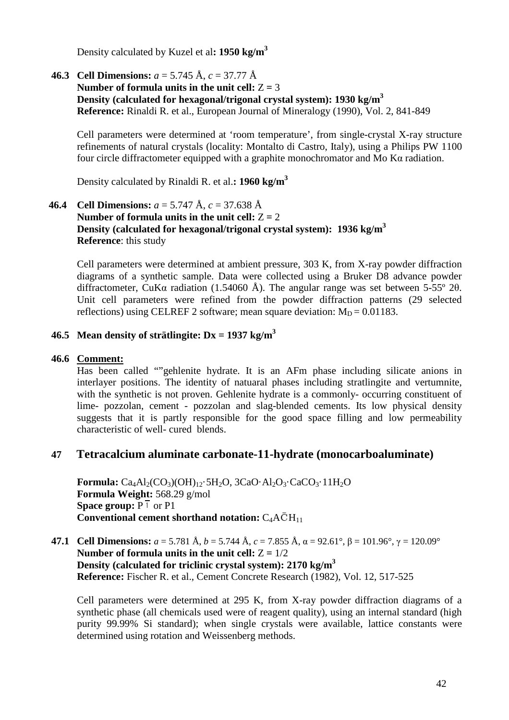Density calculated by Kuzel et al**: 1950 kg/m<sup>3</sup>**

**46.3 Cell Dimensions:**  $a = 5.745 \text{ Å}$ ,  $c = 37.77 \text{ Å}$ **Number of formula units in the unit cell:**  $Z = 3$ **Density (calculated for hexagonal/trigonal crystal system): 1930 kg/m<sup>3</sup> Reference:** Rinaldi R. et al., European Journal of Mineralogy (1990), Vol. 2, 841-849

Cell parameters were determined at 'room temperature', from single-crystal X-ray structure refinements of natural crystals (locality: Montalto di Castro, Italy), using a Philips PW 1100 four circle diffractometer equipped with a graphite monochromator and Mo Kα radiation.

Density calculated by Rinaldi R. et al.**: 1960 kg/m<sup>3</sup>**

 **46.4 Cell Dimensions:** *a* = 5.747 Å, *c* = 37.638 Å **Number of formula units in the unit cell:**  $Z = 2$ **Density (calculated for hexagonal/trigonal crystal system): 1936 kg/m<sup>3</sup> Reference**: this study

Cell parameters were determined at ambient pressure, 303 K, from X-ray powder diffraction diagrams of a synthetic sample. Data were collected using a Bruker D8 advance powder diffractometer, CuKα radiation (1.54060 Å). The angular range was set between 5-55º 2θ. Unit cell parameters were refined from the powder diffraction patterns (29 selected reflections) using CELREF 2 software; mean square deviation:  $M_D = 0.01183$ .

## **46.5 Mean density of strätlingite: Dx = 1937 kg/m<sup>3</sup>**

#### **46.6 Comment:**

Has been called ""gehlenite hydrate. It is an AFm phase including silicate anions in interlayer positions. The identity of natuaral phases including stratlingite and vertumnite, with the synthetic is not proven. Gehlenite hydrate is a commonly- occurring constituent of lime- pozzolan, cement - pozzolan and slag-blended cements. Its low physical density suggests that it is partly responsible for the good space filling and low permeability characteristic of well- cured blends.

# **47 Tetracalcium aluminate carbonate-11-hydrate (monocarboaluminate)**

**Formula:**  $Ca_4Al_2(CO_3)(OH)_{12} \cdot 5H_2O$ ,  $3CaO \cdot Al_2O_3 \cdot CaCO_3 \cdot 11H_2O$ **Formula Weight:** 568.29 g/mol **Space group:**  $P\bar{1}$  or P1 **Conventional cement shorthand notation:**  $C_4A\bar{C}H_{11}$ 

**47.1 Cell Dimensions:**  $a = 5.781 \text{ Å}$ ,  $b = 5.744 \text{ Å}$ ,  $c = 7.855 \text{ Å}$ ,  $\alpha = 92.61^{\circ}$ ,  $\beta = 101.96^{\circ}$ ,  $\gamma = 120.09^{\circ}$ **Number of formula units in the unit cell:**  $Z = 1/2$ **Density (calculated for triclinic crystal system): 2170 kg/m<sup>3</sup> Reference:** Fischer R. et al., Cement Concrete Research (1982), Vol. 12, 517-525

Cell parameters were determined at 295 K, from X-ray powder diffraction diagrams of a synthetic phase (all chemicals used were of reagent quality), using an internal standard (high purity 99.99% Si standard); when single crystals were available, lattice constants were determined using rotation and Weissenberg methods.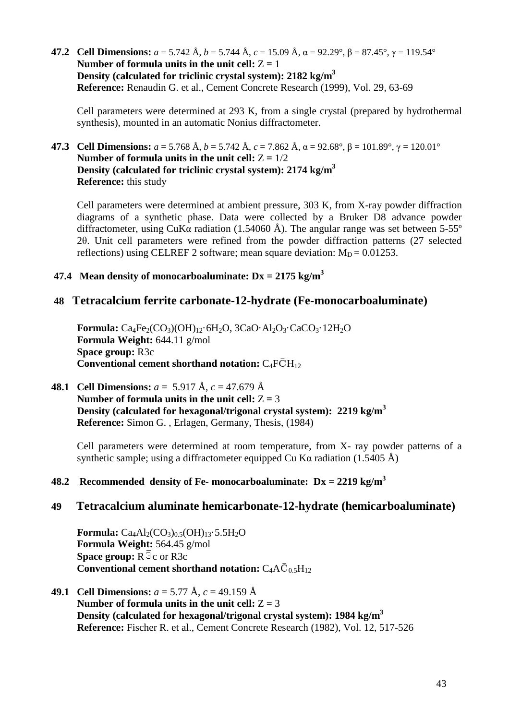**47.2 Cell Dimensions:**  $a = 5.742 \text{ Å}$ ,  $b = 5.744 \text{ Å}$ ,  $c = 15.09 \text{ Å}$ ,  $\alpha = 92.29^{\circ}$ ,  $\beta = 87.45^{\circ}$ ,  $\gamma = 119.54^{\circ}$ **Number of formula units in the unit cell:**  $Z = 1$ **Density (calculated for triclinic crystal system): 2182 kg/m<sup>3</sup> Reference:** Renaudin G. et al., Cement Concrete Research (1999), Vol. 29, 63-69

Cell parameters were determined at 293 K, from a single crystal (prepared by hydrothermal synthesis), mounted in an automatic Nonius diffractometer.

**47.3 Cell Dimensions:** *a* = 5.768 Å, *b* = 5.742 Å, *c* = 7.862 Å, α = 92.68°, β = 101.89°, γ = 120.01° **Number of formula units in the unit cell:**  $Z = 1/2$ **Density (calculated for triclinic crystal system): 2174 kg/m<sup>3</sup> Reference:** this study

Cell parameters were determined at ambient pressure, 303 K, from X-ray powder diffraction diagrams of a synthetic phase. Data were collected by a Bruker D8 advance powder diffractometer, using CuKa radiation (1.54060 Å). The angular range was set between 5-55 $^{\circ}$ 2θ. Unit cell parameters were refined from the powder diffraction patterns (27 selected reflections) using CELREF 2 software; mean square deviation:  $M_D = 0.01253$ .

### **47.4** Mean density of monocarboaluminate:  $Dx = 2175 \text{ kg/m}^3$

## **48 Tetracalcium ferrite carbonate-12-hydrate (Fe-monocarboaluminate)**

**Formula:**  $Ca_4Fe_2(CO_3)(OH)_{12}$  ·  $6H_2O$ ,  $3CaO·Al_2O_3$  ·  $CaCO_3·12H_2O$ **Formula Weight:** 644.11 g/mol **Space group:** R3c **Conventional cement shorthand notation:**  $C_4F\bar{C}H_{12}$ 

**48.1 Cell Dimensions:**  $a = 5.917 \text{ Å}$ ,  $c = 47.679 \text{ Å}$ **Number of formula units in the unit cell:**  $Z = 3$ **Density (calculated for hexagonal/trigonal crystal system): 2219 kg/m<sup>3</sup> Reference:** Simon G. , Erlagen, Germany, Thesis, (1984)

Cell parameters were determined at room temperature, from X- ray powder patterns of a synthetic sample; using a diffractometer equipped Cu K $\alpha$  radiation (1.5405 Å)

### **48.2 Recommended density of Fe- monocarboaluminate: Dx = 2219 kg/m<sup>3</sup>**

# **49 Tetracalcium aluminate hemicarbonate-12-hydrate (hemicarboaluminate)**

**Formula:**  $Ca_4Al_2(CO_3)_{0.5}(OH)_{13} \cdot 5.5H_2O$ **Formula Weight:** 564.45 g/mol **Space group:**  $R \overline{3}c$  or  $R3c$ **Conventional cement shorthand notation:**  $C_4A\bar{C}_0$ ,  $H_{12}$ 

**49.1 Cell Dimensions:**  $a = 5.77 \text{ Å}$ ,  $c = 49.159 \text{ Å}$ **Number of formula units in the unit cell:**  $Z = 3$ **Density (calculated for hexagonal/trigonal crystal system): 1984 kg/m<sup>3</sup> Reference:** Fischer R. et al., Cement Concrete Research (1982), Vol. 12, 517-526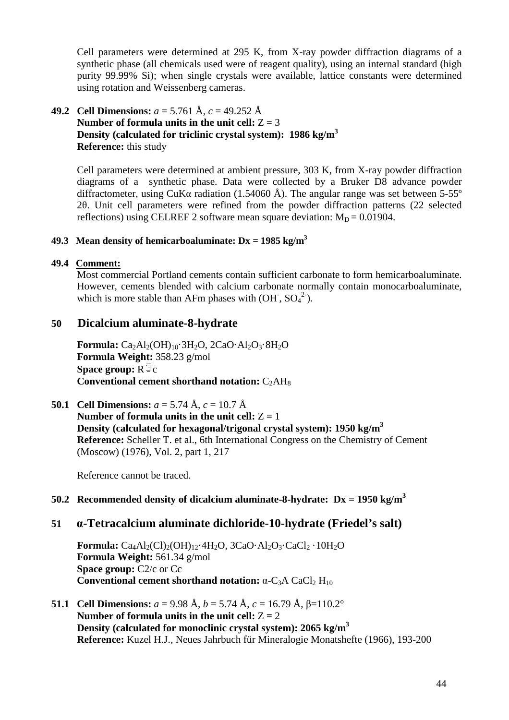Cell parameters were determined at 295 K, from X-ray powder diffraction diagrams of a synthetic phase (all chemicals used were of reagent quality), using an internal standard (high purity 99.99% Si); when single crystals were available, lattice constants were determined using rotation and Weissenberg cameras.

**49.2 Cell Dimensions:**  $a = 5.761 \text{ Å}$ ,  $c = 49.252 \text{ Å}$ **Number of formula units in the unit cell:**  $Z = 3$ **Density (calculated for triclinic crystal system): 1986 kg/m<sup>3</sup> Reference:** this study

Cell parameters were determined at ambient pressure, 303 K, from X-ray powder diffraction diagrams of a synthetic phase. Data were collected by a Bruker D8 advance powder diffractometer, using CuK $\alpha$  radiation (1.54060 Å). The angular range was set between 5-55 $^{\circ}$ 2θ. Unit cell parameters were refined from the powder diffraction patterns (22 selected reflections) using CELREF 2 software mean square deviation:  $M_D = 0.01904$ .

#### **49.3 Mean density of hemicarboaluminate: Dx = 1985 kg/m<sup>3</sup>**

#### **49.4 Comment:**

Most commercial Portland cements contain sufficient carbonate to form hemicarboaluminate. However, cements blended with calcium carbonate normally contain monocarboaluminate, which is more stable than AFm phases with  $(OH, SO<sub>4</sub><sup>2</sup>)$ .

## **50 Dicalcium aluminate-8-hydrate**

**Formula:**  $Ca_2Al_2(OH)_{10}$   $3H_2O$ ,  $2CaO·Al_2O_3·8H_2O$ **Formula Weight:** 358.23 g/mol **Space group:**  $R \bar{3}c$ **Conventional cement shorthand notation:** C<sub>2</sub>AH<sub>8</sub>

**50.1 Cell Dimensions:**  $a = 5.74 \text{ Å}$ ,  $c = 10.7 \text{ Å}$ **Number of formula units in the unit cell:**  $Z = 1$ **Density (calculated for hexagonal/trigonal crystal system): 1950 kg/m<sup>3</sup> Reference:** Scheller T. et al., 6th International Congress on the Chemistry of Cement (Moscow) (1976), Vol. 2, part 1, 217

Reference cannot be traced.

#### **50.2 Recommended density of dicalcium aluminate-8-hydrate: Dx = 1950 kg/m<sup>3</sup>**

### **51 α-Tetracalcium aluminate dichloride-10-hydrate (Friedel's salt)**

**Formula:**  $Ca_4Al_2(Cl)_2(OH)_{12} \cdot 4H_2O$ ,  $3CaO \cdot Al_2O_3 \cdot CaCl_2 \cdot 10H_2O$ **Formula Weight:** 561.34 g/mol **Space group:** C2/c or Cc **Conventional cement shorthand notation:** α-C<sub>3</sub>A CaCl<sub>2</sub> H<sub>10</sub>

**51.1 Cell Dimensions:**  $a = 9.98 \text{ Å}, b = 5.74 \text{ Å}, c = 16.79 \text{ Å}, \beta = 110.2^{\circ}$ **Number of formula units in the unit cell:**  $Z = 2$ **Density (calculated for monoclinic crystal system): 2065 kg/m<sup>3</sup> Reference:** Kuzel H.J., Neues Jahrbuch für Mineralogie Monatshefte (1966), 193-200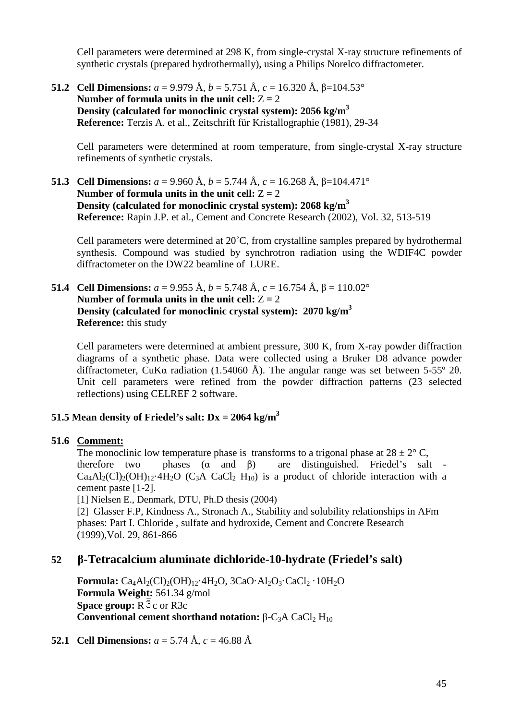Cell parameters were determined at 298 K, from single-crystal X-ray structure refinements of synthetic crystals (prepared hydrothermally), using a Philips Norelco diffractometer.

**51.2 Cell Dimensions:**  $a = 9.979 \text{ Å}, b = 5.751 \text{ Å}, c = 16.320 \text{ Å}, \beta = 104.53^{\circ}$ **Number of formula units in the unit cell:**  $Z = 2$ **Density (calculated for monoclinic crystal system): 2056 kg/m<sup>3</sup> Reference:** Terzis A. et al., Zeitschrift für Kristallographie (1981), 29-34

Cell parameters were determined at room temperature, from single-crystal X-ray structure refinements of synthetic crystals.

**51.3** Cell Dimensions:  $a = 9.960 \text{ Å}$ ,  $b = 5.744 \text{ Å}$ ,  $c = 16.268 \text{ Å}$ ,  $\beta = 104.471^{\circ}$ **Number of formula units in the unit cell:**  $Z = 2$ **Density (calculated for monoclinic crystal system): 2068 kg/m<sup>3</sup> Reference:** Rapin J.P. et al., Cement and Concrete Research (2002), Vol. 32, 513-519

Cell parameters were determined at 20˚C, from crystalline samples prepared by hydrothermal synthesis. Compound was studied by synchrotron radiation using the WDIF4C powder diffractometer on the DW22 beamline of LURE.

**51.4** Cell Dimensions:  $a = 9.955 \text{ Å}$ ,  $b = 5.748 \text{ Å}$ ,  $c = 16.754 \text{ Å}$ ,  $\beta = 110.02^{\circ}$ **Number of formula units in the unit cell:**  $Z = 2$ **Density (calculated for monoclinic crystal system): 2070 kg/m<sup>3</sup> Reference:** this study

Cell parameters were determined at ambient pressure, 300 K, from X-ray powder diffraction diagrams of a synthetic phase. Data were collected using a Bruker D8 advance powder diffractometer, CuK $\alpha$  radiation (1.54060 Å). The angular range was set between 5-55° 2 $\theta$ . Unit cell parameters were refined from the powder diffraction patterns (23 selected reflections) using CELREF 2 software.

### **51.5 Mean density of Friedel's salt: Dx = 2064 kg/m<sup>3</sup>**

#### **51.6 Comment:**

The monoclinic low temperature phase is transforms to a trigonal phase at  $28 \pm 2^{\circ}$  C, therefore two phases  $(\alpha$  and  $\beta$ ) are distinguished. Friedel's salt - $Ca_4Al_2(Cl)_2(OH)_{12}\cdot 4H_2O$  (C<sub>3</sub>A CaCl<sub>2</sub> H<sub>10</sub>) is a product of chloride interaction with a cement paste [1-2].

[1] Nielsen E., Denmark, DTU, Ph.D thesis (2004)

[2] Glasser F.P, Kindness A., Stronach A., Stability and solubility relationships in AFm phases: Part I. Chloride , sulfate and hydroxide, Cement and Concrete Research (1999),Vol. 29, 861-866

### **52 β-Tetracalcium aluminate dichloride-10-hydrate (Friedel's salt)**

**Formula:**  $Ca_4Al_2(Cl)_2(OH)_{12} \cdot 4H_2O$ ,  $3CaO \cdot Al_2O_3 \cdot CaCl_2 \cdot 10H_2O$ **Formula Weight:** 561.34 g/mol **Space group:**  $R \overline{3}c$  or R3c **Conventional cement shorthand notation:** β-C<sub>3</sub>A CaCl<sub>2</sub> H<sub>10</sub>

# **52.1 Cell Dimensions:**  $a = 5.74 \text{ Å}, c = 46.88 \text{ Å}$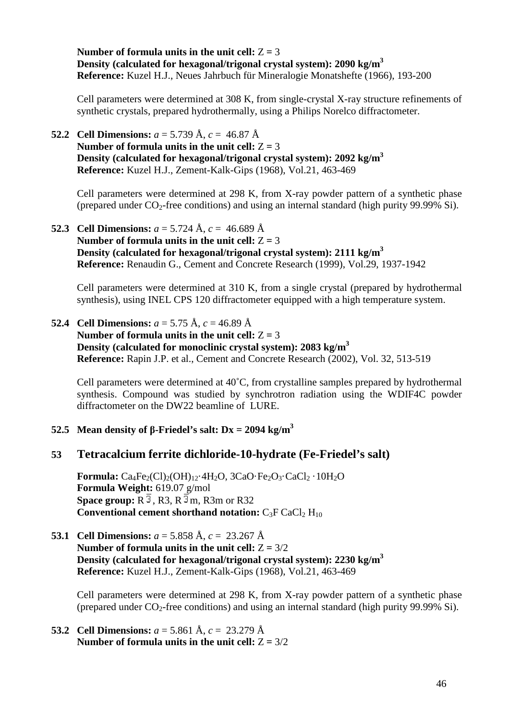**Number of formula units in the unit cell:**  $Z = 3$ **Density (calculated for hexagonal/trigonal crystal system): 2090 kg/m<sup>3</sup> Reference:** Kuzel H.J., Neues Jahrbuch für Mineralogie Monatshefte (1966), 193-200

Cell parameters were determined at 308 K, from single-crystal X-ray structure refinements of synthetic crystals, prepared hydrothermally, using a Philips Norelco diffractometer.

**52.2 Cell Dimensions:**  $a = 5.739 \text{ Å}$ ,  $c = 46.87 \text{ Å}$ **Number of formula units in the unit cell:**  $Z = 3$ **Density (calculated for hexagonal/trigonal crystal system): 2092 kg/m<sup>3</sup> Reference:** Kuzel H.J., Zement-Kalk-Gips (1968), Vol.21, 463-469

Cell parameters were determined at 298 K, from X-ray powder pattern of a synthetic phase (prepared under  $CO_2$ -free conditions) and using an internal standard (high purity 99.99% Si).

**52.3 Cell Dimensions:**  $a = 5.724 \text{ Å}$ ,  $c = 46.689 \text{ Å}$ **Number of formula units in the unit cell:**  $Z = 3$ **Density (calculated for hexagonal/trigonal crystal system): 2111 kg/m<sup>3</sup> Reference:** Renaudin G., Cement and Concrete Research (1999), Vol.29, 1937-1942

Cell parameters were determined at 310 K, from a single crystal (prepared by hydrothermal synthesis), using INEL CPS 120 diffractometer equipped with a high temperature system.

**52.4 Cell Dimensions:**  $a = 5.75 \text{ Å}$ ,  $c = 46.89 \text{ Å}$ **Number of formula units in the unit cell:**  $Z = 3$ **Density (calculated for monoclinic crystal system): 2083 kg/m<sup>3</sup> Reference:** Rapin J.P. et al., Cement and Concrete Research (2002), Vol. 32, 513-519

Cell parameters were determined at 40˚C, from crystalline samples prepared by hydrothermal synthesis. Compound was studied by synchrotron radiation using the WDIF4C powder diffractometer on the DW22 beamline of LURE.

# **52.5 Mean density of β-Friedel's salt: Dx = 2094 kg/m<sup>3</sup>**

### **53 Tetracalcium ferrite dichloride-10-hydrate (Fe-Friedel's salt)**

**Formula:**  $Ca_4Fe_2(Cl)_2(OH)_{12} \cdot 4H_2O$ ,  $3CaO·Fe_2O_3 \cdot CaCl_2 \cdot 10H_2O$ **Formula Weight:** 619.07 g/mol **Space group:**  $R\overline{3}$ ,  $R3$ ,  $R\overline{3}$ m,  $R3$ m or  $R32$ **Conventional cement shorthand notation:**  $C_3F$  CaCl<sub>2</sub> H<sub>10</sub>

**53.1 Cell Dimensions:**  $a = 5.858 \text{ Å}$ ,  $c = 23.267 \text{ Å}$ **Number of formula units in the unit cell:**  $Z = 3/2$ **Density (calculated for hexagonal/trigonal crystal system): 2230 kg/m<sup>3</sup> Reference:** Kuzel H.J., Zement-Kalk-Gips (1968), Vol.21, 463-469

Cell parameters were determined at 298 K, from X-ray powder pattern of a synthetic phase (prepared under  $CO_2$ -free conditions) and using an internal standard (high purity 99.99% Si).

**53.2 Cell Dimensions:**  $a = 5.861 \text{ Å}$ ,  $c = 23.279 \text{ Å}$ **Number of formula units in the unit cell:**  $Z = 3/2$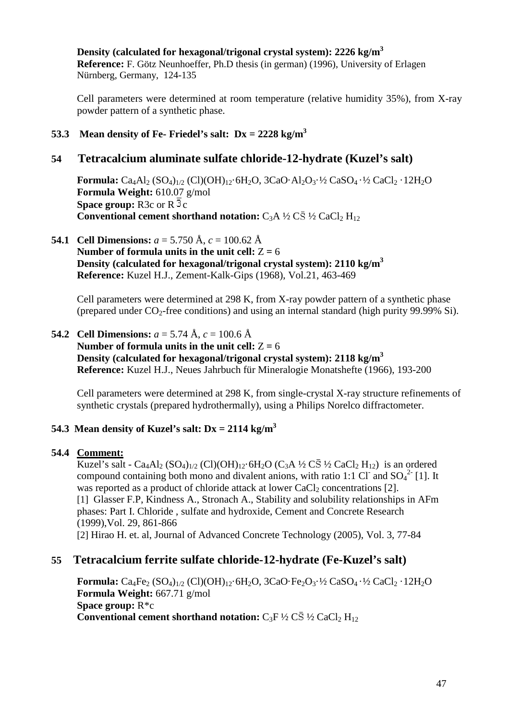**Density (calculated for hexagonal/trigonal crystal system): 2226 kg/m<sup>3</sup> Reference:** F. Götz Neunhoeffer, Ph.D thesis (in german) (1996), University of Erlagen Nürnberg, Germany, 124-135

Cell parameters were determined at room temperature (relative humidity 35%), from X-ray powder pattern of a synthetic phase.

# **53.3 Mean density of Fe- Friedel's salt: Dx = 2228 kg/m<sup>3</sup>**

# **54 Tetracalcium aluminate sulfate chloride-12-hydrate (Kuzel's salt)**

**Formula:**  $Ca_4Al_2 (SO_4)_{1/2} (Cl)(OH)_{12} \cdot 6H_2O$ ,  $3CaO \cdot Al_2O_3 \cdot \frac{1}{2} CaSO_4 \cdot \frac{1}{2} CaCl_2 \cdot 12H_2O$ **Formula Weight:** 610.07 g/mol **Space group:** R3c or  $R \overline{3}c$ **Conventional cement shorthand notation:**  $C_3A \frac{1}{2} C_3B \frac{1}{2} C_4C_2H_{12}$ 

**54.1 Cell Dimensions:**  $a = 5.750 \text{ Å}$ ,  $c = 100.62 \text{ Å}$ **Number of formula units in the unit cell:**  $Z = 6$ **Density (calculated for hexagonal/trigonal crystal system): 2110 kg/m<sup>3</sup> Reference:** Kuzel H.J., Zement-Kalk-Gips (1968), Vol.21, 463-469

Cell parameters were determined at 298 K, from X-ray powder pattern of a synthetic phase (prepared under  $CO_2$ -free conditions) and using an internal standard (high purity 99.99% Si).

**54.2 Cell Dimensions:**  $a = 5.74 \text{ Å}$ ,  $c = 100.6 \text{ Å}$ **Number of formula units in the unit cell:**  $Z = 6$ **Density (calculated for hexagonal/trigonal crystal system): 2118 kg/m<sup>3</sup> Reference:** Kuzel H.J., Neues Jahrbuch für Mineralogie Monatshefte (1966), 193-200

Cell parameters were determined at 298 K, from single-crystal X-ray structure refinements of synthetic crystals (prepared hydrothermally), using a Philips Norelco diffractometer.

### **54.3 Mean density of Kuzel's salt:**  $Dx = 2114 \text{ kg/m}^3$

### **54.4 Comment:**

Kuzel's salt - Ca<sub>4</sub>Al<sub>2</sub> (SO<sub>4</sub>)<sub>1/2</sub> (Cl)(OH)<sub>12</sub>·6H<sub>2</sub>O (C<sub>3</sub>A ½ CS ½ CaCl<sub>2</sub> H<sub>12</sub>) is an ordered compound containing both mono and divalent anions, with ratio 1:1 Cl<sup>-</sup> and  $SO_4^2$ <sup>-</sup> [1]. It was reported as a product of chloride attack at lower  $CaCl<sub>2</sub>$  concentrations [2]. [1] Glasser F.P, Kindness A., Stronach A., Stability and solubility relationships in AFm phases: Part I. Chloride , sulfate and hydroxide, Cement and Concrete Research (1999),Vol. 29, 861-866

[2] Hirao H. et. al, Journal of Advanced Concrete Technology (2005), Vol. 3, 77-84

# **55 Tetracalcium ferrite sulfate chloride-12-hydrate (Fe-Kuzel's salt)**

**Formula:**  $Ca_4Fe_2 (SO_4)_{1/2} (Cl)(OH)_{12} \cdot 6H_2O$ ,  $3CaO·Fe_2O_3 \cdot \frac{1}{2} CaSO_4 \cdot \frac{1}{2} CaCl_2 \cdot 12H_2O$ **Formula Weight:** 667.71 g/mol **Space group:** R\*c **Conventional cement shorthand notation:**  $C_3F\frac{1}{2}C_3F\frac{1}{2}C_4C_1F$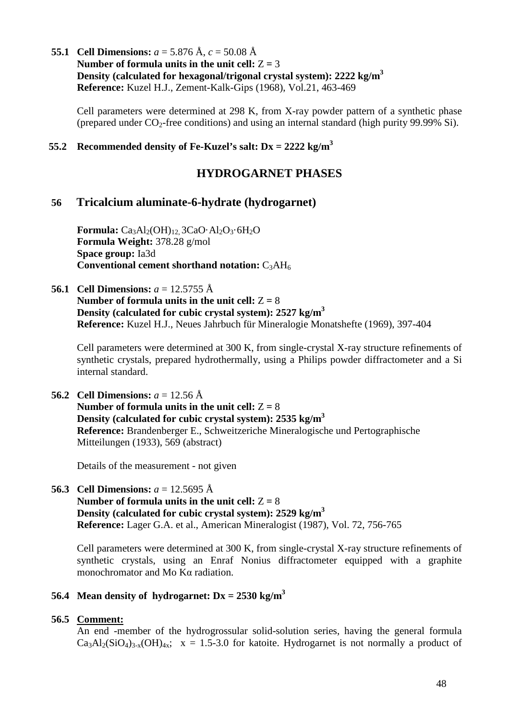**55.1 Cell Dimensions:**  $a = 5.876 \text{ Å}$ ,  $c = 50.08 \text{ Å}$ **Number of formula units in the unit cell:**  $Z = 3$ **Density (calculated for hexagonal/trigonal crystal system): 2222 kg/m<sup>3</sup> Reference:** Kuzel H.J., Zement-Kalk-Gips (1968), Vol.21, 463-469

Cell parameters were determined at 298 K, from X-ray powder pattern of a synthetic phase (prepared under  $CO_2$ -free conditions) and using an internal standard (high purity 99.99% Si).

#### **55.2 Recommended density of Fe-Kuzel's salt: Dx = 2222 kg/m<sup>3</sup>**

## **HYDROGARNET PHASES**

#### **56 Tricalcium aluminate-6-hydrate (hydrogarnet)**

**Formula:**  $Ca_3Al_2(OH)_{12}$ ,  $3CaO·Al_2O_3·6H_2O$ **Formula Weight:** 378.28 g/mol **Space group:** Ia3d Conventional cement shorthand notation: C<sub>3</sub>AH<sub>6</sub>

#### **56.1 Cell Dimensions:** *a* = 12.5755 Å

**Number of formula units in the unit cell:**  $Z = 8$ **Density (calculated for cubic crystal system): 2527 kg/m<sup>3</sup> Reference:** Kuzel H.J., Neues Jahrbuch für Mineralogie Monatshefte (1969), 397-404

Cell parameters were determined at 300 K, from single-crystal X-ray structure refinements of synthetic crystals, prepared hydrothermally, using a Philips powder diffractometer and a Si internal standard.

**56.2 Cell Dimensions:**  $a = 12.56 \text{ Å}$ **Number of formula units in the unit cell:**  $Z = 8$ **Density (calculated for cubic crystal system): 2535 kg/m<sup>3</sup> Reference:** Brandenberger E., Schweitzeriche Mineralogische und Pertographische Mitteilungen (1933), 569 (abstract)

Details of the measurement - not given

**56.3 Cell Dimensions:** *a* = 12.5695 Å **Number of formula units in the unit cell:**  $Z = 8$ **Density (calculated for cubic crystal system): 2529 kg/m<sup>3</sup> Reference:** Lager G.A. et al., American Mineralogist (1987), Vol. 72, 756-765

Cell parameters were determined at 300 K, from single-crystal X-ray structure refinements of synthetic crystals, using an Enraf Nonius diffractometer equipped with a graphite monochromator and Mo Kα radiation.

#### **56.4** Mean density of hydrogarnet:  $Dx = 2530 \text{ kg/m}^3$

#### **56.5 Comment:**

An end -member of the hydrogrossular solid-solution series, having the general formula  $Ca<sub>3</sub>Al<sub>2</sub>(SiO<sub>4</sub>)<sub>3-x</sub>(OH)<sub>4x</sub>; x = 1.5-3.0$  for katoite. Hydrogarnet is not normally a product of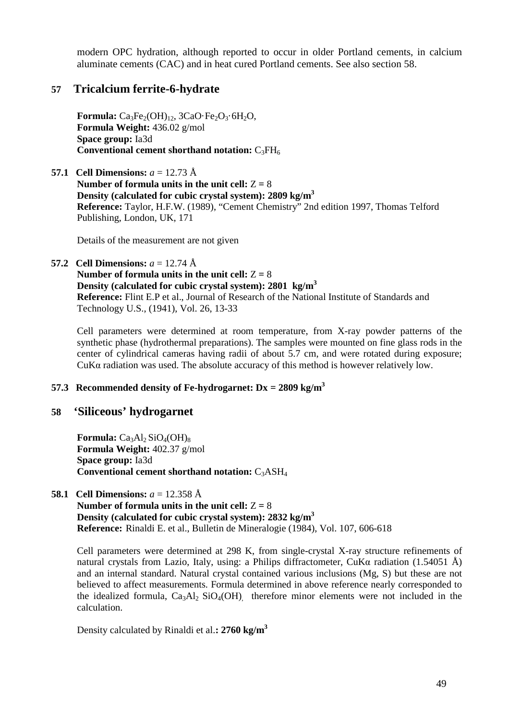modern OPC hydration, although reported to occur in older Portland cements, in calcium aluminate cements (CAC) and in heat cured Portland cements. See also section 58.

## **57 Tricalcium ferrite-6-hydrate**

**Formula:**  $Ca_3Fe_2(OH)_{12}$ ,  $3CaO·Fe_2O_3·6H_2O$ , **Formula Weight:** 436.02 g/mol **Space group:** Ia3d **Conventional cement shorthand notation:** C<sub>3</sub>FH<sub>6</sub>

**57.1 Cell Dimensions:** *a* = 12.73 Å **Number of formula units in the unit cell:**  $Z = 8$ **Density (calculated for cubic crystal system): 2809 kg/m<sup>3</sup> Reference:** Taylor, H.F.W. (1989), "Cement Chemistry" 2nd edition 1997, Thomas Telford Publishing, London, UK, 171

Details of the measurement are not given

**57.2 Cell Dimensions:**  $a = 12.74 \text{ Å}$ 

**Number of formula units in the unit cell:**  $Z = 8$ **Density (calculated for cubic crystal system): 2801 kg/m<sup>3</sup> Reference:** Flint E.P et al., Journal of Research of the National Institute of Standards and Technology U.S., (1941), Vol. 26, 13-33

Cell parameters were determined at room temperature, from X-ray powder patterns of the synthetic phase (hydrothermal preparations). The samples were mounted on fine glass rods in the center of cylindrical cameras having radii of about 5.7 cm, and were rotated during exposure; CuK $\alpha$  radiation was used. The absolute accuracy of this method is however relatively low.

#### **57.3 Recommended density of Fe-hydrogarnet: Dx = 2809 kg/m<sup>3</sup>**

### **58 'Siliceous' hydrogarnet**

**Formula:**  $Ca<sub>3</sub>Al<sub>2</sub> SiO<sub>4</sub>(OH)<sub>8</sub>$ **Formula Weight:** 402.37 g/mol **Space group:** Ia3d Conventional cement shorthand notation: C<sub>3</sub>ASH<sub>4</sub>

**58.1 Cell Dimensions:** *a* = 12.358 Å **Number of formula units in the unit cell:**  $Z = 8$ **Density (calculated for cubic crystal system): 2832 kg/m<sup>3</sup> Reference:** Rinaldi E. et al., Bulletin de Mineralogie (1984), Vol. 107, 606-618

Cell parameters were determined at 298 K, from single-crystal X-ray structure refinements of natural crystals from Lazio, Italy, using: a Philips diffractometer, CuKα radiation (1.54051 Å) and an internal standard. Natural crystal contained various inclusions (Mg, S) but these are not believed to affect measurements. Formula determined in above reference nearly corresponded to the idealized formula,  $Ca<sub>3</sub>Al<sub>2</sub> SiO<sub>4</sub>(OH)$ , therefore minor elements were not included in the calculation.

Density calculated by Rinaldi et al.**: 2760 kg/m<sup>3</sup>**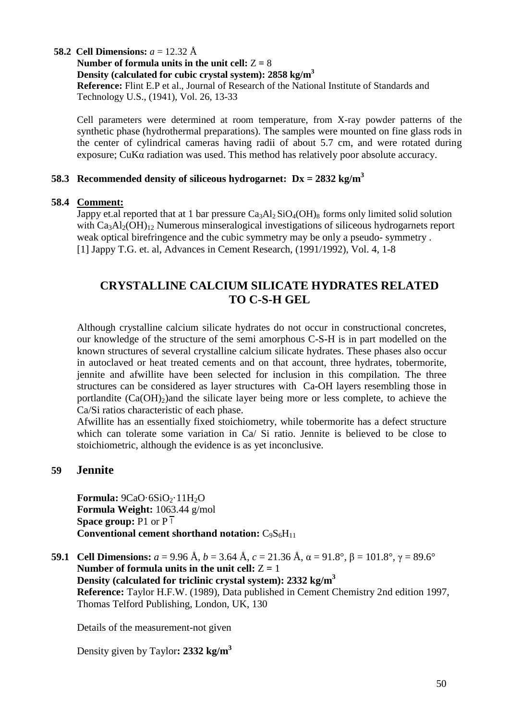#### **58.2 Cell Dimensions:**  $a = 12.32 \text{ Å}$

**Number of formula units in the unit cell:**  $Z = 8$ **Density (calculated for cubic crystal system): 2858 kg/m<sup>3</sup> Reference:** Flint E.P et al., Journal of Research of the National Institute of Standards and Technology U.S., (1941), Vol. 26, 13-33

Cell parameters were determined at room temperature, from X-ray powder patterns of the synthetic phase (hydrothermal preparations). The samples were mounted on fine glass rods in the center of cylindrical cameras having radii of about 5.7 cm, and were rotated during exposure; CuKα radiation was used. This method has relatively poor absolute accuracy.

#### **58.3 Recommended density of siliceous hydrogarnet: Dx = 2832 kg/m<sup>3</sup>**

#### **58.4 Comment:**

Jappy et.al reported that at 1 bar pressure  $Ca<sub>3</sub>Al<sub>2</sub>SiO<sub>4</sub>(OH)<sub>8</sub>$  forms only limited solid solution with  $Ca_3Al_2(OH)_{12}$  Numerous minseralogical investigations of siliceous hydrogarnets report weak optical birefringence and the cubic symmetry may be only a pseudo- symmetry . [1] Jappy T.G. et. al, Advances in Cement Research, (1991/1992), Vol. 4, 1-8

# **CRYSTALLINE CALCIUM SILICATE HYDRATES RELATED TO C-S-H GEL**

Although crystalline calcium silicate hydrates do not occur in constructional concretes, our knowledge of the structure of the semi amorphous C-S-H is in part modelled on the known structures of several crystalline calcium silicate hydrates. These phases also occur in autoclaved or heat treated cements and on that account, three hydrates, tobermorite, jennite and afwillite have been selected for inclusion in this compilation. The three structures can be considered as layer structures with Ca-OH layers resembling those in portlandite  $(Ca(OH))$ <sup>2</sup> and the silicate layer being more or less complete, to achieve the Ca/Si ratios characteristic of each phase.

Afwillite has an essentially fixed stoichiometry, while tobermorite has a defect structure which can tolerate some variation in Ca/ Si ratio. Jennite is believed to be close to stoichiometric, although the evidence is as yet inconclusive.

# **59 Jennite**

**Formula:**  $9CaO·6SiO<sub>2</sub>·11H<sub>2</sub>O$ **Formula Weight:** 1063.44 g/mol **Space group:** P1 or  $P\bar{1}$ **Conventional cement shorthand notation:**  $C_9S_6H_{11}$ 

**59.1 Cell Dimensions:**  $a = 9.96 \text{ Å}$ ,  $b = 3.64 \text{ Å}$ ,  $c = 21.36 \text{ Å}$ ,  $\alpha = 91.8^{\circ}$ ,  $\beta = 101.8^{\circ}$ ,  $\gamma = 89.6^{\circ}$ **Number of formula units in the unit cell:**  $Z = 1$ **Density (calculated for triclinic crystal system): 2332 kg/m<sup>3</sup> Reference:** Taylor H.F.W. (1989), Data published in Cement Chemistry 2nd edition 1997, Thomas Telford Publishing, London, UK, 130

Details of the measurement-not given

Density given by Taylor**: 2332 kg/m<sup>3</sup>**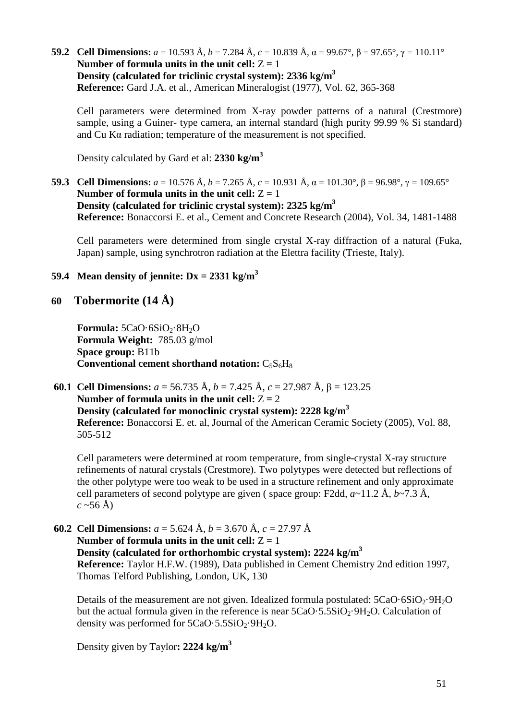**59.2 Cell Dimensions:**  $a = 10.593 \text{ Å}$ ,  $b = 7.284 \text{ Å}$ ,  $c = 10.839 \text{ Å}$ ,  $\alpha = 99.67^{\circ}$ ,  $\beta = 97.65^{\circ}$ ,  $\gamma = 110.11^{\circ}$ **Number of formula units in the unit cell:**  $Z = 1$ **Density (calculated for triclinic crystal system): 2336 kg/m<sup>3</sup> Reference:** Gard J.A. et al., American Mineralogist (1977), Vol. 62, 365-368

Cell parameters were determined from X-ray powder patterns of a natural (Crestmore) sample, using a Guiner- type camera, an internal standard (high purity 99.99 % Si standard) and Cu Kα radiation; temperature of the measurement is not specified.

Density calculated by Gard et al: **2330 kg/m<sup>3</sup>**

**59.3 Cell Dimensions:**  $a = 10.576$  Å,  $b = 7.265$  Å,  $c = 10.931$  Å,  $\alpha = 101.30^{\circ}$ ,  $\beta = 96.98^{\circ}$ ,  $\gamma = 109.65^{\circ}$ **Number of formula units in the unit cell:**  $Z = 1$ **Density (calculated for triclinic crystal system): 2325 kg/m<sup>3</sup> Reference:** Bonaccorsi E. et al., Cement and Concrete Research (2004), Vol. 34, 1481-1488

Cell parameters were determined from single crystal X-ray diffraction of a natural (Fuka, Japan) sample, using synchrotron radiation at the Elettra facility (Trieste, Italy).

### **59.4** Mean density of jennite:  $Dx = 2331 \text{ kg/m}^3$

# **60 Tobermorite (14 Å)**

**Formula:** 5CaO·6SiO<sub>2</sub>·8H<sub>2</sub>O **Formula Weight:** 785.03 g/mol **Space group:** B11b Conventional cement shorthand notation: C<sub>5</sub>S<sub>6</sub>H<sub>8</sub>

**60.1 Cell Dimensions:** *a* = 56.735 Å, *b* = 7.425 Å, *c* = 27.987 Å, β = 123.25 **Number of formula units in the unit cell:**  $Z = 2$ **Density (calculated for monoclinic crystal system): 2228 kg/m<sup>3</sup> Reference:** Bonaccorsi E. et. al, Journal of the American Ceramic Society (2005), Vol. 88, 505-512

Cell parameters were determined at room temperature, from single-crystal X-ray structure refinements of natural crystals (Crestmore). Two polytypes were detected but reflections of the other polytype were too weak to be used in a structure refinement and only approximate cell parameters of second polytype are given ( space group: F2dd, *a*~11.2 Å, *b*~7.3 Å,  $c \sim 56 \text{ Å}$ )

**60.2 Cell Dimensions:** *a* = 5.624 Å, *b* = 3.670 Å, *c* = 27.97 Å **Number of formula units in the unit cell:**  $Z = 1$ **Density (calculated for orthorhombic crystal system): 2224 kg/m<sup>3</sup> Reference:** Taylor H.F.W. (1989), Data published in Cement Chemistry 2nd edition 1997, Thomas Telford Publishing, London, UK, 130

Details of the measurement are not given. Idealized formula postulated:  $5CaO·6SiO<sub>2</sub>·9H<sub>2</sub>O$ but the actual formula given in the reference is near  $5CaO·5.5SiO<sub>2</sub>·9H<sub>2</sub>O$ . Calculation of density was performed for  $5CaO·5.5SiO<sub>2</sub>·9H<sub>2</sub>O$ .

Density given by Taylor**: 2224 kg/m<sup>3</sup>**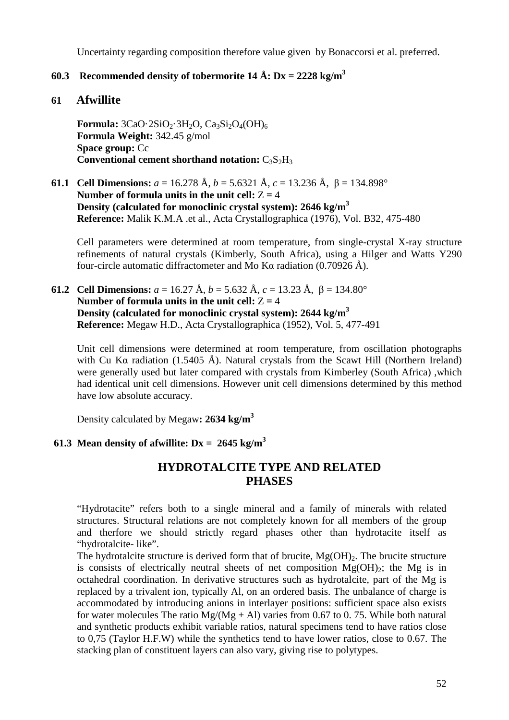Uncertainty regarding composition therefore value given by Bonaccorsi et al. preferred.

# **60.3** Recommended density of tobermorite  $14 \text{ Å}$ :  $Dx = 2228 \text{ kg/m}^3$

### **61 Afwillite**

**Formula:**  $3CaO·2SiO<sub>2</sub>·3H<sub>2</sub>O$ ,  $Ca<sub>3</sub>Si<sub>2</sub>O<sub>4</sub>(OH)<sub>6</sub>$ **Formula Weight:** 342.45 g/mol **Space group:** Cc **Conventional cement shorthand notation:** C<sub>3</sub>S<sub>2</sub>H<sub>3</sub>

**61.1 Cell Dimensions:**  $a = 16.278 \text{ Å}, b = 5.6321 \text{ Å}, c = 13.236 \text{ Å}, \beta = 134.898^{\circ}$ **Number of formula units in the unit cell:**  $Z = 4$ **Density (calculated for monoclinic crystal system): 2646 kg/m<sup>3</sup> Reference:** Malik K.M.A .et al., Acta Crystallographica (1976), Vol. B32, 475-480

Cell parameters were determined at room temperature, from single-crystal X-ray structure refinements of natural crystals (Kimberly, South Africa), using a Hilger and Watts Y290 four-circle automatic diffractometer and Mo Kα radiation (0.70926 Å).

**61.2 Cell Dimensions:**  $a = 16.27 \text{ Å}$ ,  $b = 5.632 \text{ Å}$ ,  $c = 13.23 \text{ Å}$ ,  $\beta = 134.80^{\circ}$ **Number of formula units in the unit cell:**  $Z = 4$ **Density (calculated for monoclinic crystal system): 2644 kg/m<sup>3</sup> Reference:** Megaw H.D., Acta Crystallographica (1952), Vol. 5, 477-491

Unit cell dimensions were determined at room temperature, from oscillation photographs with Cu K $\alpha$  radiation (1.5405 Å). Natural crystals from the Scawt Hill (Northern Ireland) were generally used but later compared with crystals from Kimberley (South Africa) ,which had identical unit cell dimensions. However unit cell dimensions determined by this method have low absolute accuracy.

Density calculated by Megaw**: 2634 kg/m<sup>3</sup>**

### **61.3 Mean density of afwillite: Dx = 2645 kg/m<sup>3</sup>**

# **HYDROTALCITE TYPE AND RELATED PHASES**

"Hydrotacite" refers both to a single mineral and a family of minerals with related structures. Structural relations are not completely known for all members of the group and therfore we should strictly regard phases other than hydrotacite itself as "hydrotalcite- like".

The hydrotalcite structure is derived form that of brucite,  $Mg(OH)_{2}$ . The brucite structure is consists of electrically neutral sheets of net composition  $Mg(OH)_{2}$ ; the Mg is in octahedral coordination. In derivative structures such as hydrotalcite, part of the Mg is replaced by a trivalent ion, typically Al, on an ordered basis. The unbalance of charge is accommodated by introducing anions in interlayer positions: sufficient space also exists for water molecules The ratio  $Mg/(Mg + Al)$  varies from 0.67 to 0.75. While both natural and synthetic products exhibit variable ratios, natural specimens tend to have ratios close to 0,75 (Taylor H.F.W) while the synthetics tend to have lower ratios, close to 0.67. The stacking plan of constituent layers can also vary, giving rise to polytypes.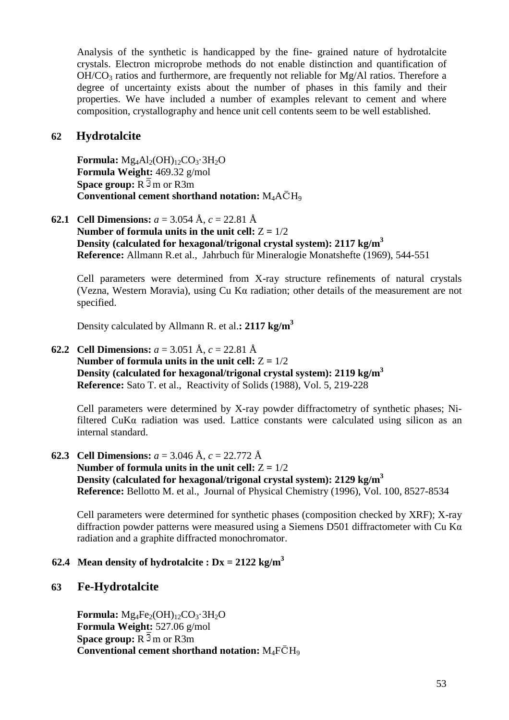Analysis of the synthetic is handicapped by the fine- grained nature of hydrotalcite crystals. Electron microprobe methods do not enable distinction and quantification of  $OH/CO<sub>3</sub>$  ratios and furthermore, are frequently not reliable for Mg/Al ratios. Therefore a degree of uncertainty exists about the number of phases in this family and their properties. We have included a number of examples relevant to cement and where composition, crystallography and hence unit cell contents seem to be well established.

# **62 Hydrotalcite**

**Formula:**  $Mg_4Al_2(OH)_{12}CO_3.3H_2O$ **Formula Weight:** 469.32 g/mol **Space group:**  $R\overline{3}$  m or  $R\overline{3}$  m **Conventional cement shorthand notation:** M<sub>4</sub>A $\bar{C}H_9$ 

**62.1 Cell Dimensions:**  $a = 3.054 \text{ Å}$ ,  $c = 22.81 \text{ Å}$ **Number of formula units in the unit cell:**  $Z = 1/2$ **Density (calculated for hexagonal/trigonal crystal system): 2117 kg/m<sup>3</sup> Reference:** Allmann R.et al., Jahrbuch für Mineralogie Monatshefte (1969), 544-551

Cell parameters were determined from X-ray structure refinements of natural crystals (Vezna, Western Moravia), using Cu Kα radiation; other details of the measurement are not specified.

Density calculated by Allmann R. et al.**: 2117 kg/m<sup>3</sup>**

**62.2 Cell Dimensions:**  $a = 3.051 \text{ Å}$ ,  $c = 22.81 \text{ Å}$ **Number of formula units in the unit cell:**  $Z = 1/2$ **Density (calculated for hexagonal/trigonal crystal system): 2119 kg/m<sup>3</sup> Reference:** Sato T. et al., Reactivity of Solids (1988), Vol. 5, 219-228

Cell parameters were determined by X-ray powder diffractometry of synthetic phases; Nifiltered CuKα radiation was used. Lattice constants were calculated using silicon as an internal standard.

**62.3 Cell Dimensions:**  $a = 3.046 \text{ Å}$ ,  $c = 22.772 \text{ Å}$ **Number of formula units in the unit cell:**  $Z = 1/2$ **Density (calculated for hexagonal/trigonal crystal system): 2129 kg/m<sup>3</sup> Reference:** Bellotto M. et al., Journal of Physical Chemistry (1996), Vol. 100, 8527-8534

Cell parameters were determined for synthetic phases (composition checked by XRF); X-ray diffraction powder patterns were measured using a Siemens D501 diffractometer with Cu Kα radiation and a graphite diffracted monochromator.

# **62.4** Mean density of hydrotalcite :  $Dx = 2122$  kg/m<sup>3</sup>

# **63 Fe-Hydrotalcite**

**Formula:**  $Mg_4Fe_2(OH)_{12}CO_3.3H_2O$ **Formula Weight:** 527.06 g/mol **Space group:**  $R^{\overline{3}}$  m or  $R3m$ **Conventional cement shorthand notation:** M<sub>4</sub>FCH<sub>9</sub>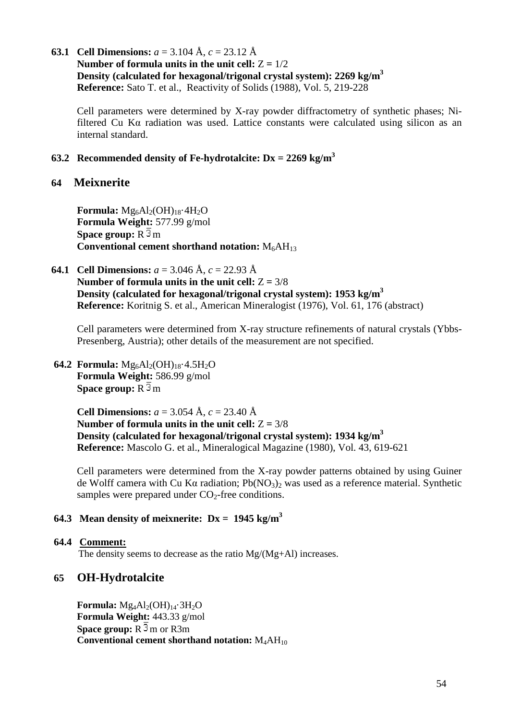**63.1 Cell Dimensions:**  $a = 3.104 \text{ Å}$ ,  $c = 23.12 \text{ Å}$ **Number of formula units in the unit cell:**  $Z = 1/2$ **Density (calculated for hexagonal/trigonal crystal system): 2269 kg/m<sup>3</sup> Reference:** Sato T. et al., Reactivity of Solids (1988), Vol. 5, 219-228

Cell parameters were determined by X-ray powder diffractometry of synthetic phases; Nifiltered Cu Kα radiation was used. Lattice constants were calculated using silicon as an internal standard.

#### **63.2** Recommended density of Fe-hydrotalcite:  $Dx = 2269 \text{ kg/m}^3$

#### **64 Meixnerite**

**Formula:**  $Mg_6Al_2(OH)_{18}.4H_2O$ **Formula Weight:** 577.99 g/mol **Space group:**  $R \bar{3}m$ **Conventional cement shorthand notation:**  $M_6AH_{13}$ 

**64.1 Cell Dimensions:**  $a = 3.046 \text{ Å}$ ,  $c = 22.93 \text{ Å}$ **Number of formula units in the unit cell:**  $Z = 3/8$ **Density (calculated for hexagonal/trigonal crystal system): 1953 kg/m<sup>3</sup> Reference:** Koritnig S. et al., American Mineralogist (1976), Vol. 61, 176 (abstract)

Cell parameters were determined from X-ray structure refinements of natural crystals (Ybbs-Presenberg, Austria); other details of the measurement are not specified.

**64.2 Formula:**  $Mg_6Al_2(OH)_{18} \cdot 4.5H_2O$ **Formula Weight:** 586.99 g/mol **Space group:**  $R^{\overline{3}}m$ 

> **Cell Dimensions:** *a* = 3.054 Å, *c* = 23.40 Å **Number of formula units in the unit cell:**  $Z = 3/8$ **Density (calculated for hexagonal/trigonal crystal system): 1934 kg/m<sup>3</sup> Reference:** Mascolo G. et al., Mineralogical Magazine (1980), Vol. 43, 619-621

Cell parameters were determined from the X-ray powder patterns obtained by using Guiner de Wolff camera with Cu K $\alpha$  radiation; Pb(NO<sub>3</sub>)<sub>2</sub> was used as a reference material. Synthetic samples were prepared under  $CO<sub>2</sub>$ -free conditions.

## **64.3 Mean density of meixnerite: Dx = 1945 kg/m<sup>3</sup>**

#### **64.4 Comment:**

The density seems to decrease as the ratio Mg/(Mg+Al) increases.

# **65 OH-Hydrotalcite**

**Formula:**  $Mg_4Al_2(OH)_{14} \cdot 3H_2O$ **Formula Weight:** 443.33 g/mol **Space group:**  $R^{\overline{3}}$ m or  $R3m$ Conventional cement shorthand notation:  $M_4AH_{10}$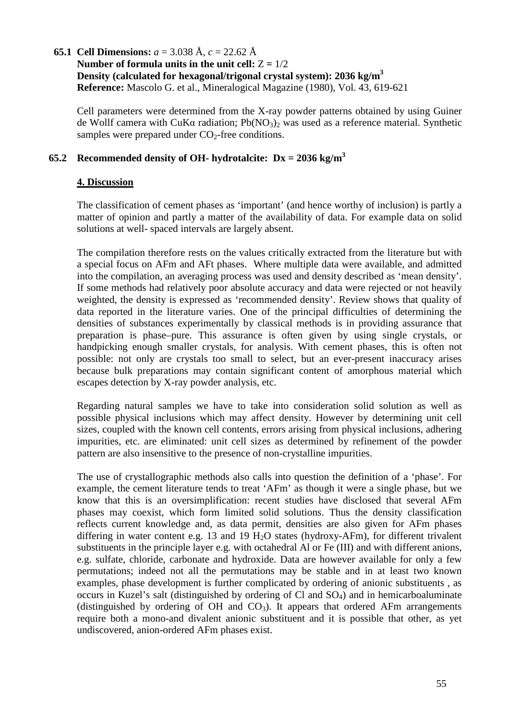### **65.1 Cell Dimensions:**  $a = 3.038 \text{ Å}$ ,  $c = 22.62 \text{ Å}$

**Number of formula units in the unit cell:**  $Z = 1/2$ **Density (calculated for hexagonal/trigonal crystal system): 2036 kg/m<sup>3</sup> Reference:** Mascolo G. et al., Mineralogical Magazine (1980), Vol. 43, 619-621

Cell parameters were determined from the X-ray powder patterns obtained by using Guiner de Wollf camera with CuK $\alpha$  radiation; Pb(NO<sub>3</sub>), was used as a reference material. Synthetic samples were prepared under  $CO<sub>2</sub>$ -free conditions.

### **65.2 Recommended density of OH- hydrotalcite: Dx = 2036 kg/m<sup>3</sup>**

### **4. Discussion**

The classification of cement phases as 'important' (and hence worthy of inclusion) is partly a matter of opinion and partly a matter of the availability of data. For example data on solid solutions at well- spaced intervals are largely absent.

The compilation therefore rests on the values critically extracted from the literature but with a special focus on AFm and AFt phases. Where multiple data were available, and admitted into the compilation, an averaging process was used and density described as 'mean density'. If some methods had relatively poor absolute accuracy and data were rejected or not heavily weighted, the density is expressed as 'recommended density'. Review shows that quality of data reported in the literature varies. One of the principal difficulties of determining the densities of substances experimentally by classical methods is in providing assurance that preparation is phase–pure. This assurance is often given by using single crystals, or handpicking enough smaller crystals, for analysis. With cement phases, this is often not possible: not only are crystals too small to select, but an ever-present inaccuracy arises because bulk preparations may contain significant content of amorphous material which escapes detection by X-ray powder analysis, etc.

Regarding natural samples we have to take into consideration solid solution as well as possible physical inclusions which may affect density. However by determining unit cell sizes, coupled with the known cell contents, errors arising from physical inclusions, adhering impurities, etc. are eliminated: unit cell sizes as determined by refinement of the powder pattern are also insensitive to the presence of non-crystalline impurities.

The use of crystallographic methods also calls into question the definition of a 'phase'. For example, the cement literature tends to treat 'AFm' as though it were a single phase, but we know that this is an oversimplification: recent studies have disclosed that several AFm phases may coexist, which form limited solid solutions. Thus the density classification reflects current knowledge and, as data permit, densities are also given for AFm phases differing in water content e.g. 13 and 19  $H<sub>2</sub>O$  states (hydroxy-AFm), for different trivalent substituents in the principle layer e.g. with octahedral Al or Fe (III) and with different anions, e.g. sulfate, chloride, carbonate and hydroxide. Data are however available for only a few permutations; indeed not all the permutations may be stable and in at least two known examples, phase development is further complicated by ordering of anionic substituents , as occurs in Kuzel's salt (distinguished by ordering of Cl and  $SO_4$ ) and in hemicarboaluminate (distinguished by ordering of OH and  $CO<sub>3</sub>$ ). It appears that ordered AFm arrangements require both a mono-and divalent anionic substituent and it is possible that other, as yet undiscovered, anion-ordered AFm phases exist.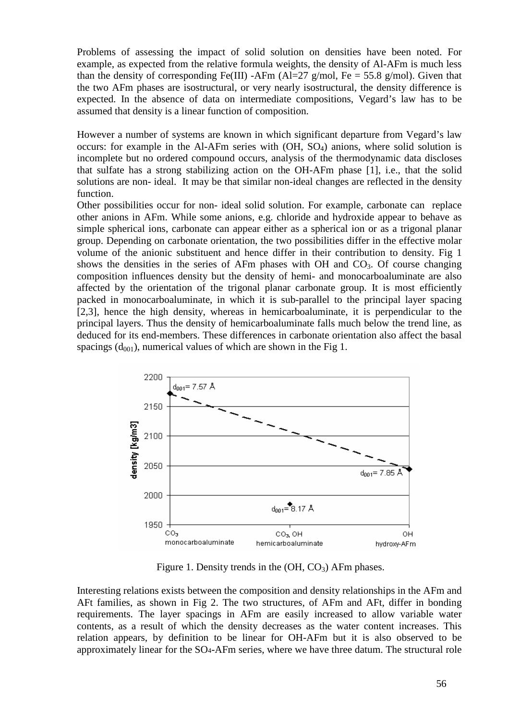Problems of assessing the impact of solid solution on densities have been noted. For example, as expected from the relative formula weights, the density of Al-AFm is much less than the density of corresponding Fe(III) -AFm (Al=27 g/mol, Fe = 55.8 g/mol). Given that the two AFm phases are isostructural, or very nearly isostructural, the density difference is expected. In the absence of data on intermediate compositions, Vegard's law has to be assumed that density is a linear function of composition.

However a number of systems are known in which significant departure from Vegard's law occurs: for example in the Al-AFm series with  $(OH, SO<sub>4</sub>)$  anions, where solid solution is incomplete but no ordered compound occurs, analysis of the thermodynamic data discloses that sulfate has a strong stabilizing action on the OH-AFm phase [1], i.e., that the solid solutions are non- ideal. It may be that similar non-ideal changes are reflected in the density function.

Other possibilities occur for non- ideal solid solution. For example, carbonate can replace other anions in AFm. While some anions, e.g. chloride and hydroxide appear to behave as simple spherical ions, carbonate can appear either as a spherical ion or as a trigonal planar group. Depending on carbonate orientation, the two possibilities differ in the effective molar volume of the anionic substituent and hence differ in their contribution to density. Fig 1 shows the densities in the series of AFm phases with OH and  $CO<sub>3</sub>$ . Of course changing composition influences density but the density of hemi- and monocarboaluminate are also affected by the orientation of the trigonal planar carbonate group. It is most efficiently packed in monocarboaluminate, in which it is sub-parallel to the principal layer spacing [2,3], hence the high density, whereas in hemicarboaluminate, it is perpendicular to the principal layers. Thus the density of hemicarboaluminate falls much below the trend line, as deduced for its end-members. These differences in carbonate orientation also affect the basal spacings  $(d_{001})$ , numerical values of which are shown in the Fig 1.



Figure 1. Density trends in the  $(OH, CO<sub>3</sub>)$  AFm phases.

Interesting relations exists between the composition and density relationships in the AFm and AFt families, as shown in Fig 2. The two structures, of AFm and AFt, differ in bonding requirements. The layer spacings in AFm are easily increased to allow variable water contents, as a result of which the density decreases as the water content increases. This relation appears, by definition to be linear for OH-AFm but it is also observed to be approximately linear for the SO4-AFm series, where we have three datum. The structural role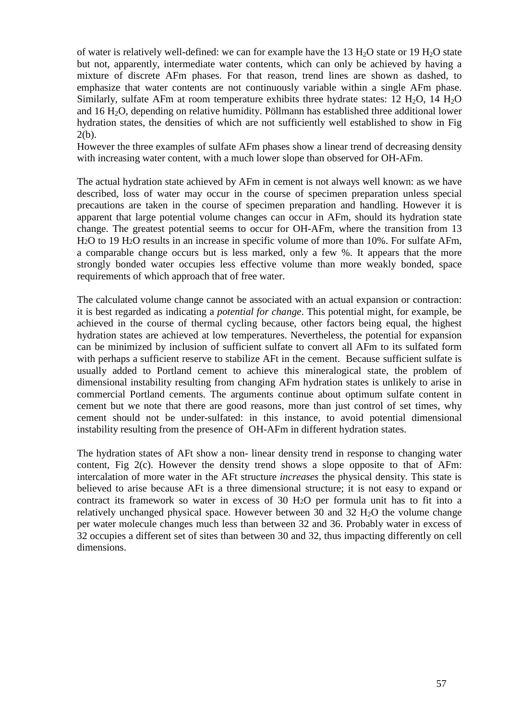of water is relatively well-defined: we can for example have the  $13 \text{ H}_2\text{O}$  state or  $19 \text{ H}_2\text{O}$  state but not, apparently, intermediate water contents, which can only be achieved by having a mixture of discrete AFm phases. For that reason, trend lines are shown as dashed, to emphasize that water contents are not continuously variable within a single AFm phase. Similarly, sulfate AFm at room temperature exhibits three hydrate states:  $12 \text{ H}_2\text{O}$ ,  $14 \text{ H}_2\text{O}$ and 16 H2O, depending on relative humidity. Pöllmann has established three additional lower hydration states, the densities of which are not sufficiently well established to show in Fig  $2(b)$ .

However the three examples of sulfate AFm phases show a linear trend of decreasing density with increasing water content, with a much lower slope than observed for OH-AFm.

The actual hydration state achieved by AFm in cement is not always well known: as we have described, loss of water may occur in the course of specimen preparation unless special precautions are taken in the course of specimen preparation and handling. However it is apparent that large potential volume changes can occur in AFm, should its hydration state change. The greatest potential seems to occur for OH-AFm, where the transition from 13 H2O to 19 H2O results in an increase in specific volume of more than 10%. For sulfate AFm, a comparable change occurs but is less marked, only a few %. It appears that the more strongly bonded water occupies less effective volume than more weakly bonded, space requirements of which approach that of free water.

The calculated volume change cannot be associated with an actual expansion or contraction: it is best regarded as indicating a *potential for change*. This potential might, for example, be achieved in the course of thermal cycling because, other factors being equal, the highest hydration states are achieved at low temperatures. Nevertheless, the potential for expansion can be minimized by inclusion of sufficient sulfate to convert all AFm to its sulfated form with perhaps a sufficient reserve to stabilize AFt in the cement. Because sufficient sulfate is usually added to Portland cement to achieve this mineralogical state, the problem of dimensional instability resulting from changing AFm hydration states is unlikely to arise in commercial Portland cements. The arguments continue about optimum sulfate content in cement but we note that there are good reasons, more than just control of set times, why cement should not be under-sulfated: in this instance, to avoid potential dimensional instability resulting from the presence of OH-AFm in different hydration states.

The hydration states of AFt show a non- linear density trend in response to changing water content. Fig  $2(c)$ . However the density trend shows a slope opposite to that of AFm: intercalation of more water in the AFt structure *increases* the physical density. This state is believed to arise because AFt is a three dimensional structure; it is not easy to expand or contract its framework so water in excess of 30 H2O per formula unit has to fit into a relatively unchanged physical space. However between 30 and 32  $H<sub>2</sub>O$  the volume change per water molecule changes much less than between 32 and 36. Probably water in excess of 32 occupies a different set of sites than between 30 and 32, thus impacting differently on cell dimensions.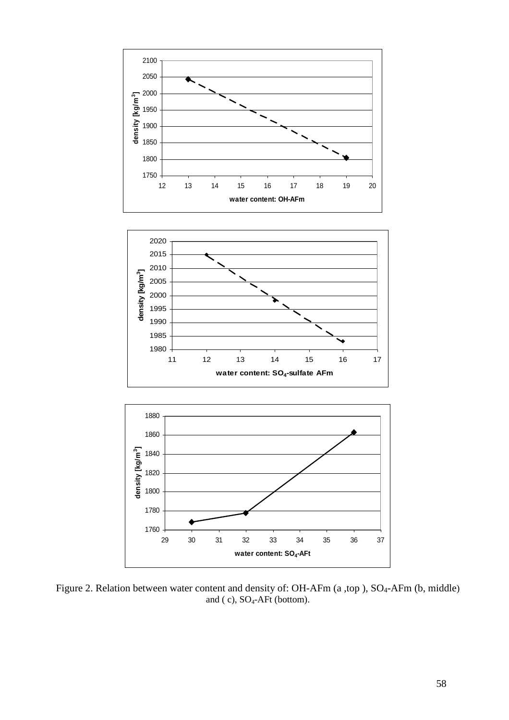

Figure 2. Relation between water content and density of: OH-AFm (a ,top), SO<sub>4</sub>-AFm (b, middle) and ( c),  $SO_4$ -AFt (bottom).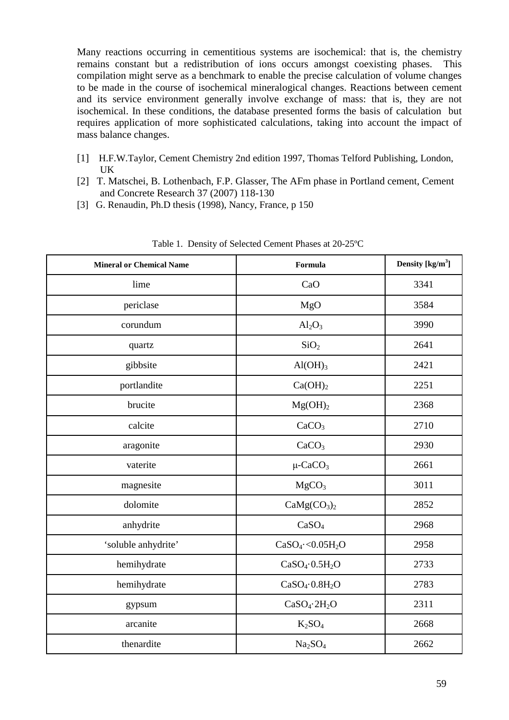Many reactions occurring in cementitious systems are isochemical: that is, the chemistry remains constant but a redistribution of ions occurs amongst coexisting phases. This compilation might serve as a benchmark to enable the precise calculation of volume changes to be made in the course of isochemical mineralogical changes. Reactions between cement and its service environment generally involve exchange of mass: that is, they are not isochemical. In these conditions, the database presented forms the basis of calculation but requires application of more sophisticated calculations, taking into account the impact of mass balance changes.

- [1] H.F.W.Taylor, Cement Chemistry 2nd edition 1997, Thomas Telford Publishing, London, UK
- [2] T. Matschei, B. Lothenbach, F.P. Glasser, The AFm phase in Portland cement, Cement and Concrete Research 37 (2007) 118-130
- [3] G. Renaudin, Ph.D thesis (1998), Nancy, France, p 150

| <b>Mineral or Chemical Name</b> | Formula                                | Density $[kg/m^3]$ |
|---------------------------------|----------------------------------------|--------------------|
| lime                            | CaO                                    | 3341               |
| periclase                       | MgO                                    | 3584               |
| corundum                        | $Al_2O_3$                              | 3990               |
| quartz                          | SiO <sub>2</sub>                       | 2641               |
| gibbsite                        | Al(OH) <sub>3</sub>                    | 2421               |
| portlandite                     | Ca(OH) <sub>2</sub>                    | 2251               |
| brucite                         | Mg(OH) <sub>2</sub>                    | 2368               |
| calcite                         | CaCO <sub>3</sub>                      | 2710               |
| aragonite                       | CaCO <sub>3</sub>                      | 2930               |
| vaterite                        | $\mu$ -CaCO <sub>3</sub>               | 2661               |
| magnesite                       | MgCO <sub>3</sub>                      | 3011               |
| dolomite                        | CaMg(CO <sub>3</sub> ) <sub>2</sub>    | 2852               |
| anhydrite                       | CaSO <sub>4</sub>                      | 2968               |
| 'soluble anhydrite'             | $CaSO_4$ ·<0.05H <sub>2</sub> O        | 2958               |
| hemihydrate                     | CaSO <sub>4</sub> ·0.5H <sub>2</sub> O | 2733               |
| hemihydrate                     | CaSO <sub>4</sub> ·0.8H <sub>2</sub> O | 2783               |
| gypsum                          | CaSO <sub>4</sub> ·2H <sub>2</sub> O   | 2311               |
| arcanite                        | $K_2SO_4$                              | 2668               |
| thenardite                      | Na <sub>2</sub> SO <sub>4</sub>        | 2662               |

Table 1. Density of Selected Cement Phases at 20-25ºC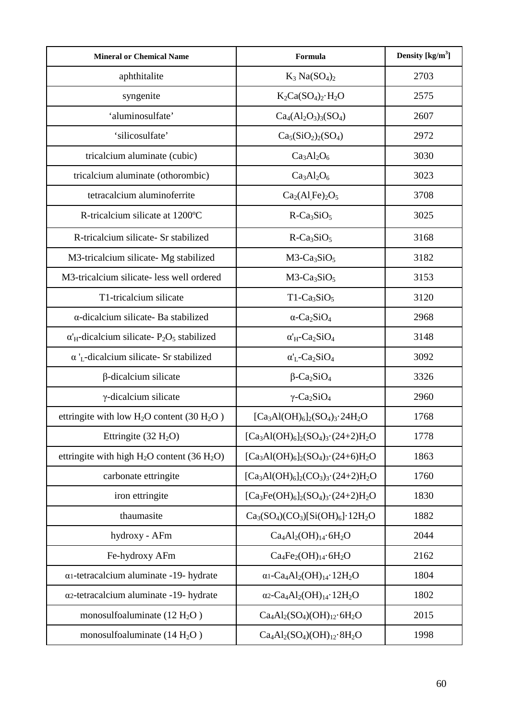| <b>Mineral or Chemical Name</b>                                             | Formula                                                                           | Density $[kg/m^3]$ |
|-----------------------------------------------------------------------------|-----------------------------------------------------------------------------------|--------------------|
| aphthitalite                                                                | $K_3 Na(SO_4)_2$                                                                  | 2703               |
| syngenite                                                                   | $K_2Ca(SO_4)_2 \cdot H_2O$                                                        | 2575               |
| 'aluminosulfate'                                                            | $Ca_4(Al_2O_3)_3(SO_4)$                                                           | 2607               |
| 'silicosulfate'                                                             | $Ca_5(SiO_2)_2(SO_4)$                                                             | 2972               |
| tricalcium aluminate (cubic)                                                | $Ca3Al2O6$                                                                        | 3030               |
| tricalcium aluminate (othorombic)                                           | $Ca3Al2O6$                                                                        | 3023               |
| tetracalcium aluminoferrite                                                 | $Ca2(AlFe)2O5$                                                                    | 3708               |
| R-tricalcium silicate at 1200°C                                             | $R$ -Ca <sub>3</sub> SiO <sub>5</sub>                                             | 3025               |
| R-tricalcium silicate- Sr stabilized                                        | $R$ -Ca <sub>3</sub> SiO <sub>5</sub>                                             | 3168               |
| M3-tricalcium silicate- Mg stabilized                                       | $M3-Ca_3SiO_5$                                                                    | 3182               |
| M3-tricalcium silicate-less well ordered                                    | $M3-Ca_3SiO_5$                                                                    | 3153               |
| T1-tricalcium silicate                                                      | $T1-Ca_3SiO_5$                                                                    | 3120               |
| $\alpha$ -dicalcium silicate- Ba stabilized                                 | $\alpha$ -Ca <sub>2</sub> SiO <sub>4</sub>                                        | 2968               |
| $\alpha'_{H}$ -dicalcium silicate- P <sub>2</sub> O <sub>5</sub> stabilized | $\alpha'_{H}$ -Ca <sub>2</sub> SiO <sub>4</sub>                                   | 3148               |
| $\alpha$ ' <sub>L</sub> -dicalcium silicate- Sr stabilized                  | $\alpha'_{L}$ -Ca <sub>2</sub> SiO <sub>4</sub>                                   | 3092               |
| $\beta$ -dicalcium silicate                                                 | $\beta$ -Ca <sub>2</sub> SiO <sub>4</sub>                                         | 3326               |
| $\gamma$ -dicalcium silicate                                                | $\gamma$ -Ca <sub>2</sub> SiO <sub>4</sub>                                        | 2960               |
| ettringite with low $H_2O$ content (30 $H_2O$ )                             | $[Ca_3Al(OH)_6]_2(SO_4)_3.24H_2O$                                                 | 1768               |
| Ettringite $(32 \text{ H}_2\text{O})$                                       | $[Ca_3Al(OH)_6]_2(SO_4)_3(24+2)H_2O$                                              | 1778               |
| ettringite with high $H_2O$ content (36 $H_2O$ )                            | $[Ca_3Al(OH)_6]_2(SO_4)_3(24+6)H_2O$                                              | 1863               |
| carbonate ettringite                                                        | $[Ca_3Al(OH)_6]_2(CO_3)_3(24+2)H_2O$                                              | 1760               |
| iron ettringite                                                             | $[Ca_3Fe(OH)6]_{2}(SO4)_{3}(24+2)H_2O$                                            | 1830               |
| thaumasite                                                                  | $Ca_3(SO_4)(CO_3)[Si(OH)_6] \cdot 12H_2O$                                         | 1882               |
| hydroxy - AFm                                                               | $Ca4Al2(OH)14·6H2O$                                                               | 2044               |
| Fe-hydroxy AFm                                                              | $Ca_4Fe_2(OH)_{14}·6H_2O$                                                         | 2162               |
| $\alpha$ 1-tetracalcium aluminate -19- hydrate                              | $\alpha$ 1-Ca <sub>4</sub> Al <sub>2</sub> (OH) <sub>14</sub> .12H <sub>2</sub> O | 1804               |
| $\alpha$ 2-tetracalcium aluminate -19- hydrate                              | $\alpha$ 2-Ca <sub>4</sub> Al <sub>2</sub> (OH) <sub>14</sub> ·12H <sub>2</sub> O | 1802               |
| monosulfoaluminate $(12 \text{ H}_2\text{O})$                               | $Ca4Al2(SO4)(OH)12·6H2O$                                                          | 2015               |
| monosulfoaluminate (14 H <sub>2</sub> O)                                    | $Ca4Al2(SO4)(OH)12·8H2O$                                                          | 1998               |